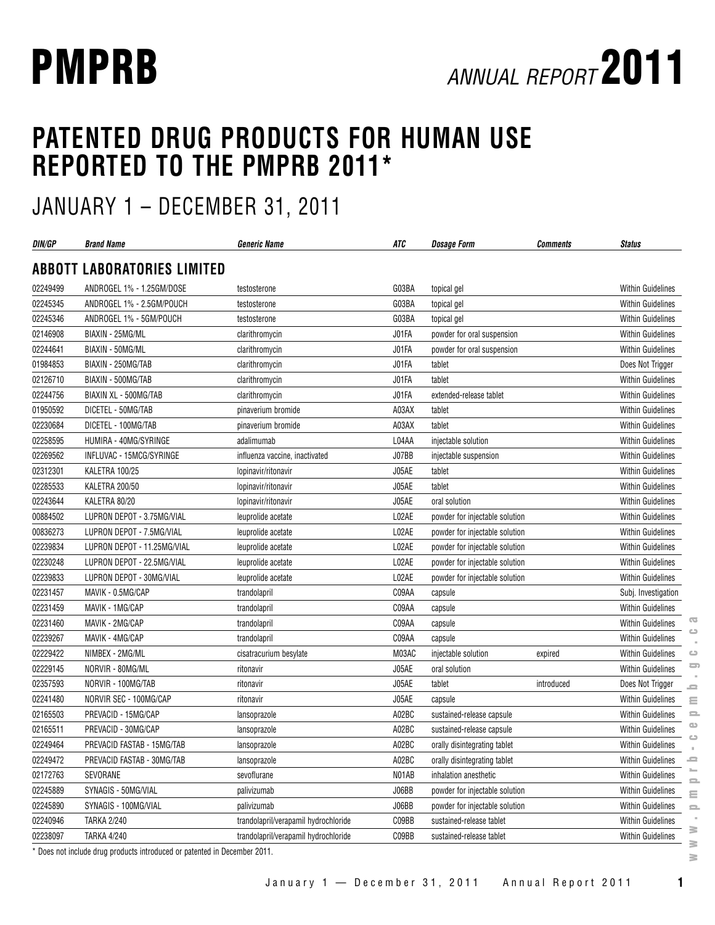# **PATENTED DRUG PRODUCTS FOR HUMAN USE REPORTED TO THE PMPRB 2011\***

# JANUARY 1 – DECEMBER 31, 2011

| DIN/GP   | <b>Brand Name</b>                                                       | <b>Generic Name</b>                  | ATC   | <b>Dosage Form</b>             | <b>Comments</b> | <b>Status</b>                                 |
|----------|-------------------------------------------------------------------------|--------------------------------------|-------|--------------------------------|-----------------|-----------------------------------------------|
|          | <b>ABBOTT LABORATORIES LIMITED</b>                                      |                                      |       |                                |                 |                                               |
| 02249499 | ANDROGEL 1% - 1.25GM/DOSE                                               | testosterone                         | G03BA | topical gel                    |                 | <b>Within Guidelines</b>                      |
| 02245345 | ANDROGEL 1% - 2.5GM/POUCH                                               | testosterone                         | G03BA | topical gel                    |                 | <b>Within Guidelines</b>                      |
| 02245346 | ANDROGEL 1% - 5GM/POUCH                                                 | testosterone                         | G03BA | topical gel                    |                 | Within Guidelines                             |
| 02146908 | BIAXIN - 25MG/ML                                                        | clarithromycin                       | J01FA | powder for oral suspension     |                 | <b>Within Guidelines</b>                      |
| 02244641 | BIAXIN - 50MG/ML                                                        | clarithromycin                       | J01FA | powder for oral suspension     |                 | <b>Within Guidelines</b>                      |
| 01984853 | BIAXIN - 250MG/TAB                                                      | clarithromycin                       | J01FA | tablet                         |                 | Does Not Trigger                              |
| 02126710 | BIAXIN - 500MG/TAB                                                      | clarithromycin                       | J01FA | tablet                         |                 | <b>Within Guidelines</b>                      |
| 02244756 | BIAXIN XL - 500MG/TAB                                                   | clarithromycin                       | J01FA | extended-release tablet        |                 | <b>Within Guidelines</b>                      |
| 01950592 | DICETEL - 50MG/TAB                                                      | pinaverium bromide                   | A03AX | tablet                         |                 | <b>Within Guidelines</b>                      |
| 02230684 | DICETEL - 100MG/TAB                                                     | pinaverium bromide                   | A03AX | tablet                         |                 | <b>Within Guidelines</b>                      |
| 02258595 | HUMIRA - 40MG/SYRINGE                                                   | adalimumab                           | L04AA | injectable solution            |                 | Within Guidelines                             |
| 02269562 | INFLUVAC - 15MCG/SYRINGE                                                | influenza vaccine, inactivated       | J07BB | injectable suspension          |                 | Within Guidelines                             |
| 02312301 | KALETRA 100/25                                                          | lopinavir/ritonavir                  | J05AE | tablet                         |                 | Within Guidelines                             |
| 02285533 | <b>KALETRA 200/50</b>                                                   | lopinavir/ritonavir                  | J05AE | tablet                         |                 | Within Guidelines                             |
| 02243644 | KALETRA 80/20                                                           | lopinavir/ritonavir                  | J05AE | oral solution                  |                 | <b>Within Guidelines</b>                      |
| 00884502 | LUPRON DEPOT - 3.75MG/VIAL                                              | leuprolide acetate                   | L02AE | powder for injectable solution |                 | Within Guidelines                             |
| 00836273 | LUPRON DEPOT - 7.5MG/VIAL                                               | leuprolide acetate                   | L02AE | powder for injectable solution |                 | <b>Within Guidelines</b>                      |
| 02239834 | LUPRON DEPOT - 11.25MG/VIAL                                             | leuprolide acetate                   | L02AE | powder for injectable solution |                 | <b>Within Guidelines</b>                      |
| 02230248 | LUPRON DEPOT - 22.5MG/VIAL                                              | leuprolide acetate                   | L02AE | powder for injectable solution |                 | Within Guidelines                             |
| 02239833 | LUPRON DEPOT - 30MG/VIAL                                                | leuprolide acetate                   | L02AE | powder for injectable solution |                 | <b>Within Guidelines</b>                      |
| 02231457 | MAVIK - 0.5MG/CAP                                                       | trandolapril                         | C09AA | capsule                        |                 | Subj. Investigation                           |
| 02231459 | MAVIK - 1MG/CAP                                                         | trandolapril                         | C09AA | capsule                        |                 | Within Guidelines                             |
| 02231460 | MAVIK - 2MG/CAP                                                         | trandolapril                         | C09AA | capsule                        |                 | Œ<br><b>Within Guidelines</b>                 |
| 02239267 | MAVIK - 4MG/CAP                                                         | trandolapril                         | C09AA | capsule                        |                 | Within Guidelines                             |
| 02229422 | NIMBEX - 2MG/ML                                                         | cisatracurium besylate               | M03AC | injectable solution            | expired         | <b>Within Guidelines</b><br>$\circ$           |
| 02229145 | NORVIR - 80MG/ML                                                        | ritonavir                            | J05AE | oral solution                  |                 | $\Box$<br><b>Within Guidelines</b>            |
| 02357593 | NORVIR - 100MG/TAB                                                      | ritonavir                            | J05AE | tablet                         | introduced      | Does Not Trigger<br>د                         |
| 02241480 | NORVIR SEC - 100MG/CAP                                                  | ritonavir                            | J05AE | capsule                        |                 | Within Guidelines<br>Ξ                        |
| 02165503 | PREVACID - 15MG/CAP                                                     | lansoprazole                         | A02BC | sustained-release capsule      |                 | Within Guidelines<br>으                        |
| 02165511 | PREVACID - 30MG/CAP                                                     | lansoprazole                         | A02BC | sustained-release capsule      |                 | $\bigcirc$<br>Within Guidelines<br>$\bigcirc$ |
| 02249464 | PREVACID FASTAB - 15MG/TAB                                              | lansoprazole                         | A02BC | orally disintegrating tablet   |                 | <b>Within Guidelines</b>                      |
| 02249472 | PREVACID FASTAB - 30MG/TAB                                              | lansoprazole                         | A02BC | orally disintegrating tablet   |                 | Within Guidelines<br>ᆖ                        |
| 02172763 | SEVORANE                                                                | sevoflurane                          | N01AB | inhalation anesthetic          |                 | Within Guidelines                             |
| 02245889 | SYNAGIS - 50MG/VIAL                                                     | palivizumab                          | J06BB | powder for injectable solution |                 | Within Guidelines<br>Ξ                        |
| 02245890 | SYNAGIS - 100MG/VIAL                                                    | palivizumab                          | J06BB | powder for injectable solution |                 | Within Guidelines<br>$\equiv$                 |
| 02240946 | <b>TARKA 2/240</b>                                                      | trandolapril/verapamil hydrochloride | C09BB | sustained-release tablet       |                 | <b>Within Guidelines</b>                      |
| 02238097 | <b>TARKA 4/240</b>                                                      | trandolapril/verapamil hydrochloride | C09BB | sustained-release tablet       |                 | ≧<br>Within Guidelines                        |
|          | Does not include drug products introduced or patented in December 2011. |                                      |       |                                |                 | ≋<br>$\geq$                                   |

January 1 — December 31, 2011 Annual Report 2011 **1**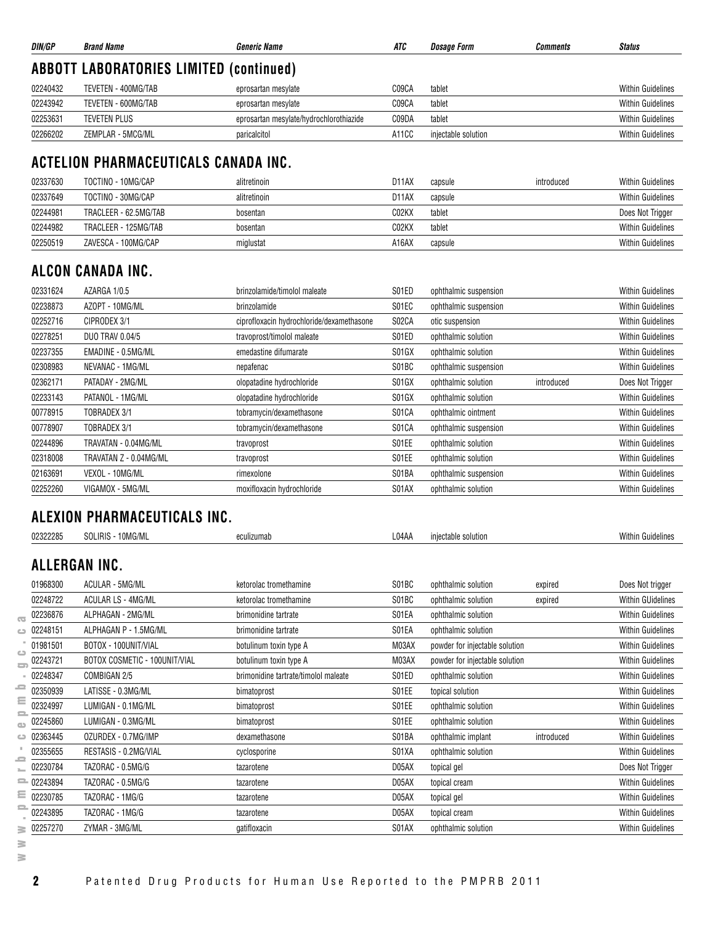| DIN/GP   | <b>Brand Name</b>                              | <b>Generic Name</b>                     | ATC   | Dosage Form         | Comments | <b>Status</b>            |  |  |  |  |
|----------|------------------------------------------------|-----------------------------------------|-------|---------------------|----------|--------------------------|--|--|--|--|
|          | <b>ABBOTT LABORATORIES LIMITED (continued)</b> |                                         |       |                     |          |                          |  |  |  |  |
| 02240432 | TEVETEN - 400MG/TAB                            | eprosartan mesylate                     | C09CA | tablet              |          | <b>Within Guidelines</b> |  |  |  |  |
| 02243942 | TEVETEN - 600MG/TAB                            | eprosartan mesylate                     | C09CA | tablet              |          | <b>Within Guidelines</b> |  |  |  |  |
| 02253631 | TEVETEN PLUS                                   | eprosartan mesylate/hydrochlorothiazide | C09DA | tablet              |          | <b>Within Guidelines</b> |  |  |  |  |
| 02266202 | ZEMPLAR - 5MCG/ML                              | paricalcitol                            | A11CC | injectable solution |          | <b>Within Guidelines</b> |  |  |  |  |

## **ACTELION PHARMACEUTICALS CANADA INC.**

| 02337630 | TOCTINO - 10MG/CAP    | alitretinoin | D11AX | capsule | introduced | <b>Within Guidelines</b> |
|----------|-----------------------|--------------|-------|---------|------------|--------------------------|
| 02337649 | TOCTINO - 30MG/CAP    | alitretinoin | D11AX | capsule |            | <b>Within Guidelines</b> |
| 02244981 | TRACLEER - 62.5MG/TAB | bosentan     | CO2KX | tablet  |            | Does Not Trigger         |
| 02244982 | TRACLEER - 125MG/TAB  | bosentan     | CO2KX | tablet  |            | <b>Within Guidelines</b> |
| 02250519 | ZAVESCA - 100MG/CAP   | miglustat    | A16AX | capsule |            | <b>Within Guidelines</b> |

## **ALCON CANADA INC.**

| 02331624 | AZARGA 1/0.5           | brinzolamide/timolol maleate              | S01ED | ophthalmic suspension |            | <b>Within Guidelines</b> |
|----------|------------------------|-------------------------------------------|-------|-----------------------|------------|--------------------------|
| 02238873 | AZOPT - 10MG/ML        | brinzolamide                              | S01EC | ophthalmic suspension |            | <b>Within Guidelines</b> |
| 02252716 | CIPRODEX 3/1           | ciprofloxacin hydrochloride/dexamethasone | S02CA | otic suspension       |            | <b>Within Guidelines</b> |
| 02278251 | DUO TRAV 0.04/5        | travoprost/timolol maleate                | S01ED | ophthalmic solution   |            | <b>Within Guidelines</b> |
| 02237355 | EMADINE - 0.5MG/ML     | emedastine difumarate                     | S01GX | ophthalmic solution   |            | <b>Within Guidelines</b> |
| 02308983 | NEVANAC - 1MG/ML       | nepafenac                                 | S01BC | ophthalmic suspension |            | <b>Within Guidelines</b> |
| 02362171 | PATADAY - 2MG/ML       | olopatadine hydrochloride                 | S01GX | ophthalmic solution   | introduced | Does Not Trigger         |
| 02233143 | PATANOL - 1MG/ML       | olopatadine hydrochloride                 | S01GX | ophthalmic solution   |            | <b>Within Guidelines</b> |
| 00778915 | TOBRADEX 3/1           | tobramycin/dexamethasone                  | S01CA | ophthalmic ointment   |            | <b>Within Guidelines</b> |
| 00778907 | TOBRADEX 3/1           | tobramycin/dexamethasone                  | S01CA | ophthalmic suspension |            | <b>Within Guidelines</b> |
| 02244896 | TRAVATAN - 0.04MG/ML   | travoprost                                | S01EE | ophthalmic solution   |            | <b>Within Guidelines</b> |
| 02318008 | TRAVATAN Z - 0.04MG/ML | travoprost                                | S01EE | ophthalmic solution   |            | <b>Within Guidelines</b> |
| 02163691 | VEXOL - 10MG/ML        | rimexolone                                | S01BA | ophthalmic suspension |            | <b>Within Guidelines</b> |
| 02252260 | VIGAMOX - 5MG/ML       | moxifloxacin hydrochloride                | S01AX | ophthalmic solution   |            | <b>Within Guidelines</b> |

|                                   |              | ALEXION PHARMACEUTICALS INC.  |                                      |       |                                |            |                          |
|-----------------------------------|--------------|-------------------------------|--------------------------------------|-------|--------------------------------|------------|--------------------------|
|                                   | 02322285     | SOLIRIS - 10MG/ML             | eculizumab                           | L04AA | injectable solution            |            | <b>Within Guidelines</b> |
|                                   |              | ALLERGAN INC.                 |                                      |       |                                |            |                          |
|                                   | 01968300     | ACULAR - 5MG/ML               | ketorolac tromethamine               | S01BC | ophthalmic solution            | expired    | Does Not trigger         |
|                                   | 02248722     | ACULAR LS - 4MG/ML            | ketorolac tromethamine               | S01BC | ophthalmic solution            | expired    | <b>Within GUidelines</b> |
| $\overline{\mathbf{C}}$           | 02236876     | ALPHAGAN - 2MG/ML             | brimonidine tartrate                 | S01EA | ophthalmic solution            |            | <b>Within Guidelines</b> |
| ده                                | 02248151     | ALPHAGAN P - 1.5MG/ML         | brimonidine tartrate                 | S01EA | ophthalmic solution            |            | <b>Within Guidelines</b> |
|                                   | 01981501     | BOTOX - 100UNIT/VIAL          | botulinum toxin type A               | M03AX | powder for injectable solution |            | <b>Within Guidelines</b> |
| ده<br>۵                           | 02243721     | BOTOX COSMETIC - 100UNIT/VIAL | botulinum toxin type A               | M03AX | powder for injectable solution |            | <b>Within Guidelines</b> |
|                                   | 02248347     | COMBIGAN 2/5                  | brimonidine tartrate/timolol maleate | S01ED | ophthalmic solution            |            | <b>Within Guidelines</b> |
| د                                 | 02350939     | LATISSE - 0.3MG/ML            | bimatoprost                          | S01EE | topical solution               |            | <b>Within Guidelines</b> |
| Ξ                                 | 02324997     | LUMIGAN - 0.1MG/ML            | bimatoprost                          | S01EE | ophthalmic solution            |            | <b>Within Guidelines</b> |
| $\qquad \qquad \blacksquare$<br>œ | 02245860     | LUMIGAN - 0.3MG/ML            | bimatoprost                          | S01EE | ophthalmic solution            |            | <b>Within Guidelines</b> |
| ت                                 | 02363445     | OZURDEX - 0.7MG/IMP           | dexamethasone                        | S01BA | ophthalmic implant             | introduced | <b>Within Guidelines</b> |
|                                   | 02355655     | RESTASIS - 0.2MG/VIAL         | cyclosporine                         | S01XA | ophthalmic solution            |            | <b>Within Guidelines</b> |
| 0                                 | 02230784     | TAZORAC - 0.5MG/G             | tazarotene                           | D05AX | topical gel                    |            | Does Not Trigger         |
|                                   | $= 02243894$ | TAZORAC - 0.5MG/G             | tazarotene                           | D05AX | topical cream                  |            | <b>Within Guidelines</b> |

 $\equiv$  $\equiv$ 

 $\bullet$  $\bigcirc$  $\bar{a}$  $\equiv$  $\bar{a}$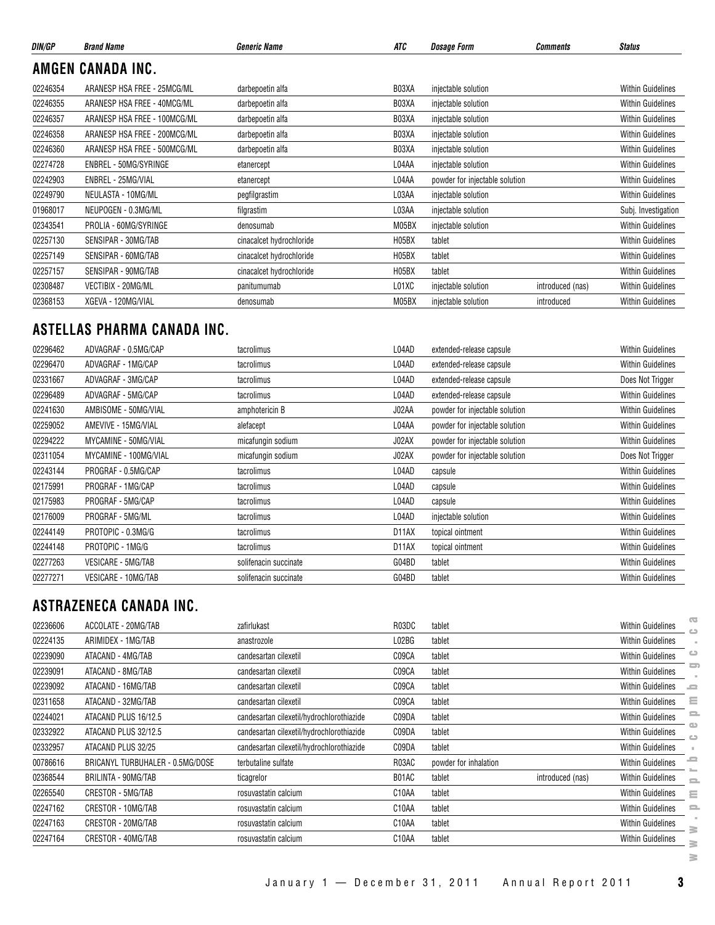| DIN/GP   | <b>Brand Name</b>            | <b>Generic Name</b>      | ATC                | <b>Dosage Form</b>             | <b>Comments</b>  | <b>Status</b>            |
|----------|------------------------------|--------------------------|--------------------|--------------------------------|------------------|--------------------------|
|          | AMGEN CANADA INC.            |                          |                    |                                |                  |                          |
| 02246354 | ARANESP HSA FREE - 25MCG/ML  | darbepoetin alfa         | B03XA              | injectable solution            |                  | <b>Within Guidelines</b> |
| 02246355 | ARANESP HSA FREE - 40MCG/ML  | darbepoetin alfa         | B03XA              | injectable solution            |                  | <b>Within Guidelines</b> |
| 02246357 | ARANESP HSA FREE - 100MCG/ML | darbepoetin alfa         | B03XA              | injectable solution            |                  | <b>Within Guidelines</b> |
| 02246358 | ARANESP HSA FREE - 200MCG/ML | darbepoetin alfa         | B03XA              | injectable solution            |                  | <b>Within Guidelines</b> |
| 02246360 | ARANESP HSA FREE - 500MCG/ML | darbepoetin alfa         | B03XA              | injectable solution            |                  | <b>Within Guidelines</b> |
| 02274728 | ENBREL - 50MG/SYRINGE        | etanercept               | L04AA              | injectable solution            |                  | <b>Within Guidelines</b> |
| 02242903 | ENBREL - 25MG/VIAL           | etanercept               | L04AA              | powder for injectable solution |                  | <b>Within Guidelines</b> |
| 02249790 | NEULASTA - 10MG/ML           | pegfilgrastim            | L03AA              | injectable solution            |                  | <b>Within Guidelines</b> |
| 01968017 | NEUPOGEN - 0.3MG/ML          | filgrastim               | L03AA              | injectable solution            |                  | Subj. Investigation      |
| 02343541 | PROLIA - 60MG/SYRINGE        | denosumab                | M05BX              | injectable solution            |                  | <b>Within Guidelines</b> |
| 02257130 | SENSIPAR - 30MG/TAB          | cinacalcet hydrochloride | H05BX              | tablet                         |                  | <b>Within Guidelines</b> |
| 02257149 | SENSIPAR - 60MG/TAB          | cinacalcet hydrochloride | H <sub>05</sub> BX | tablet                         |                  | <b>Within Guidelines</b> |
| 02257157 | SENSIPAR - 90MG/TAB          | cinacalcet hydrochloride | H <sub>05</sub> BX | tablet                         |                  | <b>Within Guidelines</b> |
| 02308487 | VECTIBIX - 20MG/ML           | panitumumab              | L01XC              | injectable solution            | introduced (nas) | <b>Within Guidelines</b> |
| 02368153 | XGEVA - 120MG/VIAL           | denosumab                | M05BX              | injectable solution            | introduced       | <b>Within Guidelines</b> |

## **ASTELLAS PHARMA CANADA INC.**

| 02296462 | ADVAGRAF - 0.5MG/CAP  | tacrolimus            | L04AD              | extended-release capsule       | <b>Within Guidelines</b> |
|----------|-----------------------|-----------------------|--------------------|--------------------------------|--------------------------|
| 02296470 | ADVAGRAF - 1MG/CAP    | tacrolimus            | L04AD              | extended-release capsule       | <b>Within Guidelines</b> |
| 02331667 | ADVAGRAF - 3MG/CAP    | tacrolimus            | L04AD              | extended-release capsule       | Does Not Trigger         |
| 02296489 | ADVAGRAF - 5MG/CAP    | tacrolimus            | L04AD              | extended-release capsule       | <b>Within Guidelines</b> |
| 02241630 | AMBISOME - 50MG/VIAL  | amphotericin B        | J02AA              | powder for injectable solution | <b>Within Guidelines</b> |
| 02259052 | AMEVIVE - 15MG/VIAL   | alefacept             | L04AA              | powder for injectable solution | <b>Within Guidelines</b> |
| 02294222 | MYCAMINE - 50MG/VIAL  | micafungin sodium     | J02AX              | powder for injectable solution | <b>Within Guidelines</b> |
| 02311054 | MYCAMINE - 100MG/VIAL | micafungin sodium     | J02AX              | powder for injectable solution | Does Not Trigger         |
| 02243144 | PROGRAF - 0.5MG/CAP   | tacrolimus            | L04AD              | capsule                        | <b>Within Guidelines</b> |
| 02175991 | PROGRAF - 1MG/CAP     | tacrolimus            | L04AD              | capsule                        | <b>Within Guidelines</b> |
| 02175983 | PROGRAF - 5MG/CAP     | tacrolimus            | L04AD              | capsule                        | Within Guidelines        |
| 02176009 | PROGRAF - 5MG/ML      | tacrolimus            | L04AD              | injectable solution            | <b>Within Guidelines</b> |
| 02244149 | PROTOPIC - 0.3MG/G    | tacrolimus            | D <sub>1</sub> 1AX | topical ointment               | Within Guidelines        |
| 02244148 | PROTOPIC - 1MG/G      | tacrolimus            | D <sub>1</sub> 1AX | topical ointment               | <b>Within Guidelines</b> |
| 02277263 | VESICARE - 5MG/TAB    | solifenacin succinate | G04BD              | tablet                         | <b>Within Guidelines</b> |
| 02277271 | VESICARE - 10MG/TAB   | solifenacin succinate | G04BD              | tablet                         | <b>Within Guidelines</b> |

## **ASTRAZENECA CANADA INC.**

| 02236606 | ACCOLATE - 20MG/TAB              | zafirlukast                               | R03DC              | tablet                |                  | <b>Within Guidelines</b> | œ                            |
|----------|----------------------------------|-------------------------------------------|--------------------|-----------------------|------------------|--------------------------|------------------------------|
| 02224135 | ARIMIDEX - 1MG/TAB               | anastrozole                               | L02BG              | tablet                |                  | <b>Within Guidelines</b> |                              |
| 02239090 | ATACAND - 4MG/TAB                | candesartan cilexetil                     | C09CA              | tablet                |                  | <b>Within Guidelines</b> | $\circ$                      |
| 02239091 | ATACAND - 8MG/TAB                | candesartan cilexetil                     | C09CA              | tablet                |                  | <b>Within Guidelines</b> | ᆖ                            |
| 02239092 | ATACAND - 16MG/TAB               | candesartan cilexetil                     | C09CA              | tablet                |                  | <b>Within Guidelines</b> | <b>S</b>                     |
| 02311658 | ATACAND - 32MG/TAB               | candesartan cilexetil                     | C09CA              | tablet                |                  | <b>Within Guidelines</b> | Ξ                            |
| 02244021 | ATACAND PLUS 16/12.5             | candesartan cilexetil/hydrochlorothiazide | C09DA              | tablet                |                  | <b>Within Guidelines</b> |                              |
| 02332922 | ATACAND PLUS 32/12.5             | candesartan cilexetil/hydrochlorothiazide | C09DA              | tablet                |                  | <b>Within Guidelines</b> | C3                           |
| 02332957 | ATACAND PLUS 32/25               | candesartan cilexetil/hydrochlorothiazide | C09DA              | tablet                |                  | <b>Within Guidelines</b> |                              |
| 00786616 | BRICANYL TURBUHALER - 0.5MG/DOSE | terbutaline sulfate                       | R03AC              | powder for inhalation |                  | <b>Within Guidelines</b> |                              |
| 02368544 | BRILINTA - 90MG/TAB              | ticagrelor                                | B01AC              | tablet                | introduced (nas) | <b>Within Guidelines</b> | $\qquad \qquad \blacksquare$ |
| 02265540 | CRESTOR - 5MG/TAB                | rosuvastatin calcium                      | C <sub>10</sub> AA | tablet                |                  | <b>Within Guidelines</b> | Ξ                            |
| 02247162 | CRESTOR - 10MG/TAB               | rosuvastatin calcium                      | C10AA              | tablet                |                  | <b>Within Guidelines</b> | $\equiv$                     |
| 02247163 | CRESTOR - 20MG/TAB               | rosuvastatin calcium                      | C10AA              | tablet                |                  | <b>Within Guidelines</b> | ≊                            |
| 02247164 | CRESTOR - 40MG/TAB               | rosuvastatin calcium                      | C <sub>10</sub> AA | tablet                |                  | Within Guidelines        | s                            |
|          |                                  |                                           |                    |                       |                  |                          | ≧                            |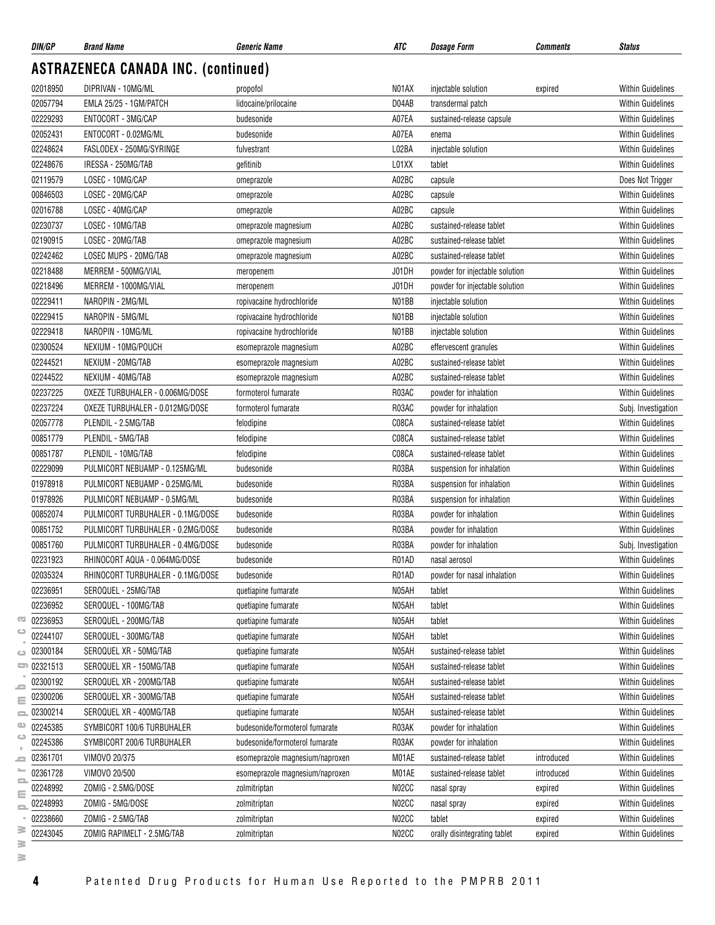| DIN/GP               | <b>Brand Name</b>                                        | <b>Generic Name</b>                                              | ATC   | Dosage Form                                       | <b>Comments</b> | <b>Status</b>                                        |
|----------------------|----------------------------------------------------------|------------------------------------------------------------------|-------|---------------------------------------------------|-----------------|------------------------------------------------------|
|                      | <b>ASTRAZENECA CANADA INC. (continued)</b>               |                                                                  |       |                                                   |                 |                                                      |
| 02018950             | DIPRIVAN - 10MG/ML                                       | propofol                                                         | N01AX | injectable solution                               | expired         | <b>Within Guidelines</b>                             |
| 02057794             | EMLA 25/25 - 1GM/PATCH                                   | lidocaine/prilocaine                                             | D04AB | transdermal patch                                 |                 | <b>Within Guidelines</b>                             |
| 02229293             | ENTOCORT - 3MG/CAP                                       | budesonide                                                       | A07EA | sustained-release capsule                         |                 | <b>Within Guidelines</b>                             |
| 02052431             | ENTOCORT - 0.02MG/ML                                     | budesonide                                                       | A07EA | enema                                             |                 | <b>Within Guidelines</b>                             |
| 02248624             | FASLODEX - 250MG/SYRINGE                                 | fulvestrant                                                      | L02BA | injectable solution                               |                 | <b>Within Guidelines</b>                             |
| 02248676             | IRESSA - 250MG/TAB                                       | gefitinib                                                        | L01XX | tablet                                            |                 | <b>Within Guidelines</b>                             |
| 02119579             | LOSEC - 10MG/CAP                                         | omeprazole                                                       | A02BC | capsule                                           |                 | Does Not Trigger                                     |
| 00846503             | LOSEC - 20MG/CAP                                         | omeprazole                                                       | A02BC | capsule                                           |                 | <b>Within Guidelines</b>                             |
| 02016788             | LOSEC - 40MG/CAP                                         | omeprazole                                                       | A02BC | capsule                                           |                 | <b>Within Guidelines</b>                             |
| 02230737             | LOSEC - 10MG/TAB                                         | omeprazole magnesium                                             | A02BC | sustained-release tablet                          |                 | <b>Within Guidelines</b>                             |
| 02190915             | LOSEC - 20MG/TAB                                         | omeprazole magnesium                                             | A02BC | sustained-release tablet                          |                 | <b>Within Guidelines</b>                             |
| 02242462             | LOSEC MUPS - 20MG/TAB                                    | omeprazole magnesium                                             | A02BC | sustained-release tablet                          |                 | <b>Within Guidelines</b>                             |
| 02218488             | MERREM - 500MG/VIAL                                      | meropenem                                                        | J01DH | powder for injectable solution                    |                 | <b>Within Guidelines</b>                             |
| 02218496             | MERREM - 1000MG/VIAL                                     | meropenem                                                        | J01DH | powder for injectable solution                    |                 | <b>Within Guidelines</b>                             |
| 02229411             | NAROPIN - 2MG/ML                                         | ropivacaine hydrochloride                                        | N01BB | injectable solution                               |                 | <b>Within Guidelines</b>                             |
| 02229415             | NAROPIN - 5MG/ML                                         | ropivacaine hydrochloride                                        | N01BB | injectable solution                               |                 | <b>Within Guidelines</b>                             |
| 02229418             | NAROPIN - 10MG/ML                                        | ropivacaine hydrochloride                                        | N01BB | injectable solution                               |                 | <b>Within Guidelines</b>                             |
| 02300524             | NEXIUM - 10MG/POUCH                                      | esomeprazole magnesium                                           | A02BC | effervescent granules                             |                 | <b>Within Guidelines</b>                             |
| 02244521             | NEXIUM - 20MG/TAB                                        | esomeprazole magnesium                                           | A02BC | sustained-release tablet                          |                 | <b>Within Guidelines</b>                             |
| 02244522             | NEXIUM - 40MG/TAB                                        | esomeprazole magnesium                                           | A02BC | sustained-release tablet                          |                 | <b>Within Guidelines</b>                             |
| 02237225             | OXEZE TURBUHALER - 0.006MG/DOSE                          | formoterol fumarate                                              | R03AC | powder for inhalation                             |                 | <b>Within Guidelines</b>                             |
| 02237224             | OXEZE TURBUHALER - 0.012MG/DOSE                          | formoterol fumarate                                              | R03AC | powder for inhalation                             |                 | Subj. Investigation                                  |
| 02057778             | PLENDIL - 2.5MG/TAB                                      | felodipine                                                       | C08CA | sustained-release tablet                          |                 | <b>Within Guidelines</b>                             |
| 00851779             | PLENDIL - 5MG/TAB                                        | felodipine                                                       | C08CA | sustained-release tablet                          |                 | <b>Within Guidelines</b>                             |
| 00851787             | PLENDIL - 10MG/TAB                                       | felodipine                                                       | C08CA | sustained-release tablet                          |                 | <b>Within Guidelines</b>                             |
| 02229099             | PULMICORT NEBUAMP - 0.125MG/ML                           | budesonide                                                       | R03BA | suspension for inhalation                         |                 | <b>Within Guidelines</b>                             |
| 01978918             | PULMICORT NEBUAMP - 0.25MG/ML                            | budesonide                                                       | R03BA | suspension for inhalation                         |                 | <b>Within Guidelines</b>                             |
| 01978926             | PULMICORT NEBUAMP - 0.5MG/ML                             | budesonide                                                       | R03BA | suspension for inhalation                         |                 | <b>Within Guidelines</b>                             |
| 00852074             | PULMICORT TURBUHALER - 0.1MG/DOSE                        | budesonide                                                       | R03BA | powder for inhalation                             |                 | <b>Within Guidelines</b>                             |
| 00851752             | PULMICORT TURBUHALER - 0.2MG/DOSE                        | budesonide                                                       | R03BA | powder for inhalation                             |                 | <b>Within Guidelines</b>                             |
| 00851760             | PULMICORT TURBUHALER - 0.4MG/DOSE                        | budesonide                                                       | R03BA | powder for inhalation                             |                 | Subj. Investigation                                  |
| 02231923             | RHINOCORT AQUA - 0.064MG/DOSE                            | budesonide                                                       | R01AD | nasal aerosol                                     |                 | Within Guidelines                                    |
| 02035324             | RHINOCORT TURBUHALER - 0.1MG/DOSE                        | budesonide                                                       | R01AD | powder for nasal inhalation                       |                 | <b>Within Guidelines</b>                             |
| 02236951             | SEROQUEL - 25MG/TAB                                      | quetiapine fumarate                                              | N05AH | tablet                                            |                 | <b>Within Guidelines</b>                             |
| 02236952             | SEROQUEL - 100MG/TAB                                     | quetiapine fumarate                                              | N05AH | tablet                                            |                 | <b>Within Guidelines</b>                             |
| 02236953             | SEROQUEL - 200MG/TAB                                     | quetiapine fumarate                                              | N05AH | tablet                                            |                 | <b>Within Guidelines</b>                             |
| 02244107             | SEROQUEL - 300MG/TAB                                     | quetiapine fumarate                                              | N05AH | tablet                                            |                 | <b>Within Guidelines</b>                             |
| 02300184             | SEROQUEL XR - 50MG/TAB                                   | quetiapine fumarate                                              | N05AH | sustained-release tablet                          |                 | Within Guidelines                                    |
| 02321513             | SEROQUEL XR - 150MG/TAB                                  | quetiapine fumarate                                              | N05AH | sustained-release tablet                          |                 | <b>Within Guidelines</b>                             |
| 02300192             | SEROQUEL XR - 200MG/TAB                                  |                                                                  | N05AH | sustained-release tablet                          |                 | <b>Within Guidelines</b>                             |
| 02300206             | SEROQUEL XR - 300MG/TAB                                  | quetiapine fumarate<br>quetiapine fumarate                       | N05AH | sustained-release tablet                          |                 | <b>Within Guidelines</b>                             |
| 02300214             | SEROQUEL XR - 400MG/TAB                                  |                                                                  | N05AH |                                                   |                 | <b>Within Guidelines</b>                             |
|                      |                                                          | quetiapine fumarate                                              | R03AK | sustained-release tablet                          |                 |                                                      |
| 02245385<br>02245386 | SYMBICORT 100/6 TURBUHALER<br>SYMBICORT 200/6 TURBUHALER | budesonide/formoterol fumarate<br>budesonide/formoterol fumarate | R03AK | powder for inhalation                             |                 | <b>Within Guidelines</b><br><b>Within Guidelines</b> |
| 02361701             | VIMOVO 20/375                                            |                                                                  | M01AE | powder for inhalation<br>sustained-release tablet | introduced      | <b>Within Guidelines</b>                             |
| 02361728             | VIMOVO 20/500                                            | esomeprazole magnesium/naproxen                                  |       |                                                   |                 | <b>Within Guidelines</b>                             |
|                      |                                                          | esomeprazole magnesium/naproxen                                  | M01AE | sustained-release tablet                          | introduced      |                                                      |
| 02248992             | ZOMIG - 2.5MG/DOSE<br>ZOMIG - 5MG/DOSE                   | zolmitriptan                                                     | N02CC | nasal spray                                       | expired         | <b>Within Guidelines</b>                             |
| 02248993             |                                                          | zolmitriptan                                                     | N02CC | nasal spray                                       | expired         | <b>Within Guidelines</b>                             |
| 02238660             | ZOMIG - 2.5MG/TAB                                        | zolmitriptan                                                     | N02CC | tablet                                            | expired         | <b>Within Guidelines</b>                             |
| 02243045             | ZOMIG RAPIMELT - 2.5MG/TAB                               | zolmitriptan                                                     | N02CC | orally disintegrating tablet                      | expired         | Within Guidelines                                    |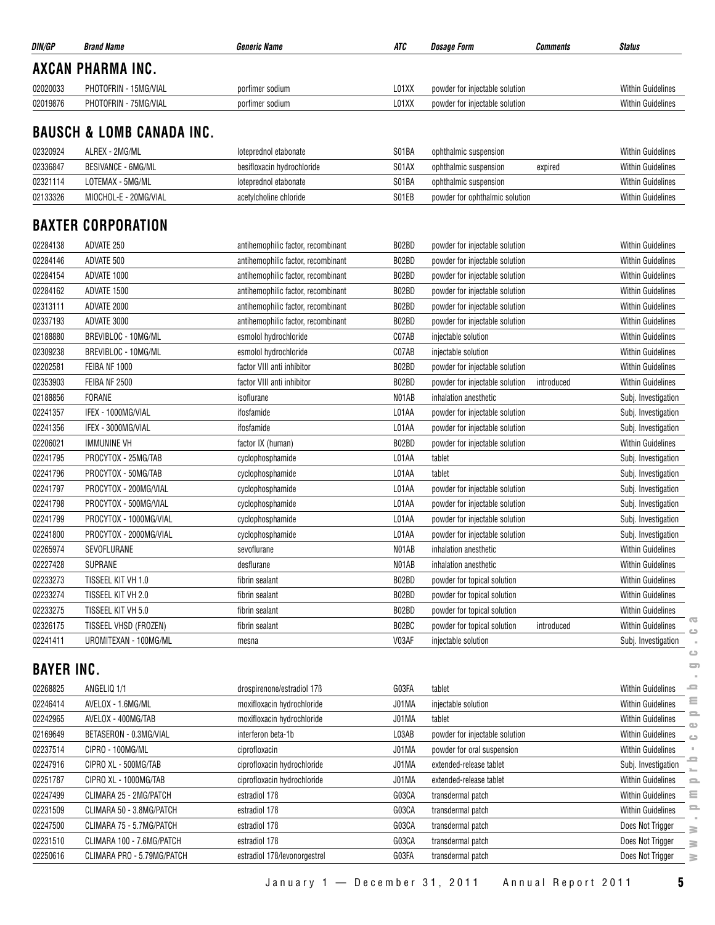| DIN/GP               | <b>Brand Name</b>                              | <b>Generic Name</b>                | ATC            | <b>Dosage Form</b>                                 | <b>Comments</b> | <b>Status</b>                                       |
|----------------------|------------------------------------------------|------------------------------------|----------------|----------------------------------------------------|-----------------|-----------------------------------------------------|
|                      | <b>AXCAN PHARMA INC.</b>                       |                                    |                |                                                    |                 |                                                     |
| 02020033             | PHOTOFRIN - 15MG/VIAL                          | porfimer sodium                    | L01XX          | powder for injectable solution                     |                 | <b>Within Guidelines</b>                            |
| 02019876             | PHOTOFRIN - 75MG/VIAL                          | porfimer sodium                    | L01XX          | powder for injectable solution                     |                 | <b>Within Guidelines</b>                            |
|                      |                                                |                                    |                |                                                    |                 |                                                     |
|                      | <b>BAUSCH &amp; LOMB CANADA INC.</b>           |                                    |                |                                                    |                 |                                                     |
| 02320924             | ALREX - 2MG/ML                                 | loteprednol etabonate              | S01BA          | ophthalmic suspension                              |                 | <b>Within Guidelines</b>                            |
| 02336847             | <b>BESIVANCE - 6MG/ML</b>                      | besifloxacin hydrochloride         | S01AX          | ophthalmic suspension                              | expired         | Within Guidelines                                   |
| 02321114             | LOTEMAX - 5MG/ML                               | loteprednol etabonate              | S01BA          | ophthalmic suspension                              |                 | <b>Within Guidelines</b>                            |
| 02133326             | MIOCHOL-E - 20MG/VIAL                          | acetylcholine chloride             | S01EB          | powder for ophthalmic solution                     |                 | Within Guidelines                                   |
|                      | <b>BAXTER CORPORATION</b>                      |                                    |                |                                                    |                 |                                                     |
| 02284138             | ADVATE 250                                     | antihemophilic factor, recombinant | B02BD          | powder for injectable solution                     |                 | Within Guidelines                                   |
| 02284146             | ADVATE 500                                     | antihemophilic factor, recombinant | B02BD          | powder for injectable solution                     |                 | <b>Within Guidelines</b>                            |
| 02284154             | ADVATE 1000                                    | antihemophilic factor, recombinant | B02BD          | powder for injectable solution                     |                 | <b>Within Guidelines</b>                            |
| 02284162             | ADVATE 1500                                    | antihemophilic factor, recombinant | B02BD          | powder for injectable solution                     |                 | <b>Within Guidelines</b>                            |
| 02313111             | ADVATE 2000                                    | antihemophilic factor, recombinant | B02BD          | powder for injectable solution                     |                 | <b>Within Guidelines</b>                            |
| 02337193             | ADVATE 3000                                    | antihemophilic factor, recombinant | B02BD          | powder for injectable solution                     |                 | <b>Within Guidelines</b>                            |
| 02188880             | BREVIBLOC - 10MG/ML                            | esmolol hydrochloride              | C07AB          | injectable solution                                |                 | <b>Within Guidelines</b>                            |
| 02309238             | BREVIBLOC - 10MG/ML                            | esmolol hydrochloride              | C07AB          | injectable solution                                |                 | <b>Within Guidelines</b>                            |
| 02202581             | FEIBA NF 1000                                  | factor VIII anti inhibitor         | B02BD          | powder for injectable solution                     |                 | <b>Within Guidelines</b>                            |
| 02353903             | FEIBA NF 2500                                  | factor VIII anti inhibitor         | B02BD          | powder for injectable solution                     | introduced      | <b>Within Guidelines</b>                            |
| 02188856             | <b>FORANE</b>                                  | isoflurane                         | N01AB          | inhalation anesthetic                              |                 | Subj. Investigation                                 |
| 02241357             | IFEX - 1000MG/VIAL                             | ifosfamide                         | L01AA          | powder for injectable solution                     |                 | Subj. Investigation                                 |
| 02241356             | IFEX - 3000MG/VIAL                             | ifosfamide                         | L01AA          | powder for injectable solution                     |                 | Subj. Investigation                                 |
| 02206021             | <b>IMMUNINE VH</b>                             |                                    | B02BD          | powder for injectable solution                     |                 | <b>Within Guidelines</b>                            |
| 02241795             | PROCYTOX - 25MG/TAB                            | factor IX (human)                  | L01AA          |                                                    |                 |                                                     |
| 02241796             | PROCYTOX - 50MG/TAB                            | cyclophosphamide                   | L01AA          | tablet<br>tablet                                   |                 | Subj. Investigation                                 |
|                      |                                                | cyclophosphamide                   |                |                                                    |                 | Subj. Investigation                                 |
| 02241797             | PROCYTOX - 200MG/VIAL<br>PROCYTOX - 500MG/VIAL | cyclophosphamide                   | L01AA<br>L01AA | powder for injectable solution                     |                 | Subj. Investigation                                 |
| 02241798             | PROCYTOX - 1000MG/VIAL                         | cyclophosphamide                   |                | powder for injectable solution                     |                 | Subj. Investigation                                 |
| 02241799<br>02241800 | PROCYTOX - 2000MG/VIAL                         | cyclophosphamide                   | L01AA          | powder for injectable solution                     |                 | Subj. Investigation                                 |
|                      |                                                | cyclophosphamide                   | L01AA          | powder for injectable solution                     |                 | Subj. Investigation                                 |
| 02265974             | SEVOFLURANE                                    | sevoflurane                        | N01AB          | inhalation anesthetic                              |                 | <b>Within Guidelines</b>                            |
| 02227428             | SUPRANE                                        | desflurane                         | N01AB          | inhalation anesthetic                              |                 | <b>Within Guidelines</b>                            |
| 02233273             | TISSEEL KIT VH 1.0                             | fibrin sealant                     | B02BD          | powder for topical solution                        |                 | <b>Within Guidelines</b>                            |
| 02233274             | TISSEEL KIT VH 2.0                             | fibrin sealant                     | B02BD          | powder for topical solution                        |                 | <b>Within Guidelines</b>                            |
| 02233275             | TISSEEL KIT VH 5.0                             | fibrin sealant                     | B02BD          | powder for topical solution                        |                 | <b>Within Guidelines</b><br>$\overline{\mathbf{C}}$ |
| 02326175<br>02241411 | TISSEEL VHSD (FROZEN)<br>UROMITEXAN - 100MG/ML | fibrin sealant                     | B02BC<br>V03AF | powder for topical solution<br>injectable solution | introduced      | <b>Within Guidelines</b><br>Subj. Investigation     |
|                      |                                                | mesna                              |                |                                                    |                 | $\circ$                                             |
| <b>BAYER INC.</b>    |                                                |                                    |                |                                                    |                 | $\Box$                                              |
| 02268825             | ANGELIQ 1/1                                    | drospirenone/estradiol 17B         | G03FA          | tablet                                             |                 | 으<br><b>Within Guidelines</b>                       |
| 02246414             | AVELOX - 1.6MG/ML                              | moxifloxacin hydrochloride         | J01MA          | injectable solution                                |                 | ≣<br>Within Guidelines<br>으                         |
| 02242965             | AVELOX - 400MG/TAB                             | moxifloxacin hydrochloride         | J01MA          | tablet                                             |                 | <b>Within Guidelines</b><br>$\bigcirc$              |
| 02169649             | BETASERON - 0.3MG/VIAL                         | interferon beta-1b                 | L03AB          | powder for injectable solution                     |                 | <b>Within Guidelines</b><br>$\bigcirc$              |
| 02237514             | CIPRO - 100MG/ML                               | ciprofloxacin                      | J01MA          | powder for oral suspension                         |                 | <b>Within Guidelines</b>                            |
| 02247916             | CIPRO XL - 500MG/TAB                           | ciprofloxacin hydrochloride        | J01MA          | extended-release tablet                            |                 | ≘<br>Subj. Investigation                            |
| 02251787             | CIPRO XL - 1000MG/TAB                          | ciprofloxacin hydrochloride        | J01MA          | extended-release tablet                            |                 | <b>Within Guidelines</b><br>으                       |
| 02247499             | CLIMARA 25 - 2MG/PATCH                         | estradiol 17 <sub>B</sub>          | G03CA          | transdermal patch                                  |                 | Ξ<br>Within Guidelines                              |
| 02231509             | CLIMARA 50 - 3.8MG/PATCH                       | estradiol 17B                      | G03CA          | transdermal patch                                  |                 | 2<br>Within Guidelines                              |
| 02247500             | CLIMARA 75 - 5.7MG/PATCH                       | estradiol 17 <sub>B</sub>          | G03CA          | transdermal patch                                  |                 | Does Not Trigger<br>$\geq$                          |
| 02231510             | CLIMARA 100 - 7.6MG/PATCH                      | estradiol 17 <sub>B</sub>          | G03CA          | transdermal patch                                  |                 | Does Not Trigger<br>≧                               |
| 02250616             | CLIMARA PRO - 5.79MG/PATCH                     | estradiol 17ß/levonorgestrel       | G03FA          | transdermal patch                                  |                 | Does Not Trigger<br>$\geq$                          |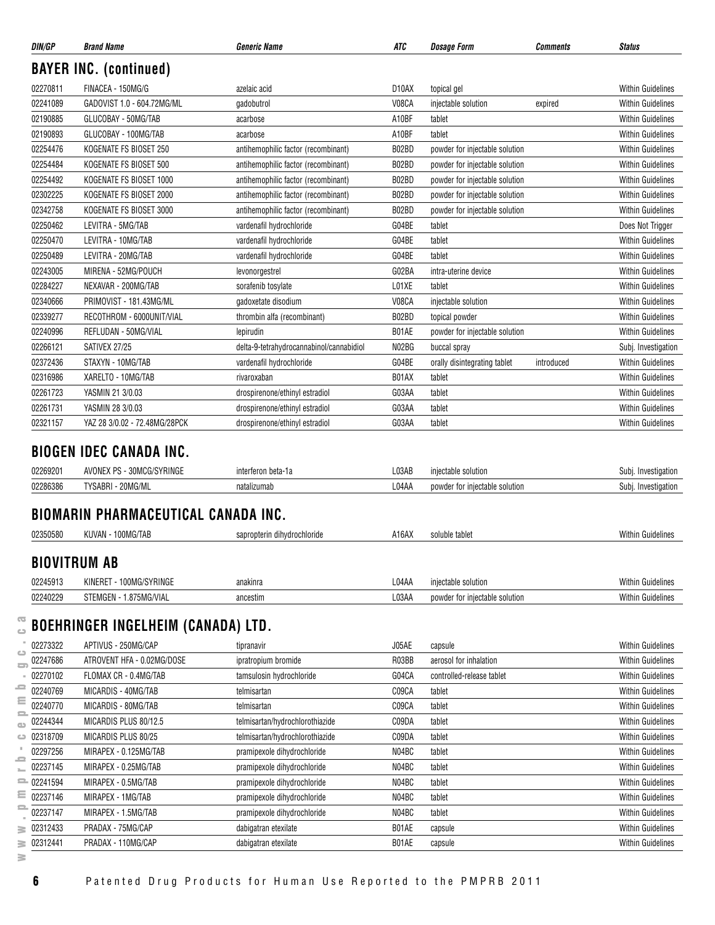| DIN/GP   | <b>Brand Name</b>                          | <b>Generic Name</b>                      | ATC                | <b>Dosage Form</b>             | Comments   | <b>Status</b>            |
|----------|--------------------------------------------|------------------------------------------|--------------------|--------------------------------|------------|--------------------------|
|          | <b>BAYER INC. (continued)</b>              |                                          |                    |                                |            |                          |
| 02270811 | FINACEA - 150MG/G                          | azelaic acid                             | D <sub>10</sub> AX | topical gel                    |            | <b>Within Guidelines</b> |
| 02241089 | GADOVIST 1.0 - 604.72MG/ML                 | gadobutrol                               | V08CA              | injectable solution            | expired    | Within Guidelines        |
| 02190885 | GLUCOBAY - 50MG/TAB                        | acarbose                                 | A10BF              | tablet                         |            | <b>Within Guidelines</b> |
| 02190893 | GLUCOBAY - 100MG/TAB                       | acarbose                                 | A10BF              | tablet                         |            | <b>Within Guidelines</b> |
| 02254476 | KOGENATE FS BIOSET 250                     | antihemophilic factor (recombinant)      | B02BD              | powder for injectable solution |            | <b>Within Guidelines</b> |
| 02254484 | KOGENATE FS BIOSET 500                     | antihemophilic factor (recombinant)      | B02BD              | powder for injectable solution |            | <b>Within Guidelines</b> |
| 02254492 | KOGENATE FS BIOSET 1000                    | antihemophilic factor (recombinant)      | B02BD              | powder for injectable solution |            | Within Guidelines        |
| 02302225 | KOGENATE FS BIOSET 2000                    | antihemophilic factor (recombinant)      | B02BD              | powder for injectable solution |            | <b>Within Guidelines</b> |
| 02342758 | KOGENATE FS BIOSET 3000                    | antihemophilic factor (recombinant)      | B02BD              | powder for injectable solution |            | <b>Within Guidelines</b> |
| 02250462 | LEVITRA - 5MG/TAB                          | vardenafil hydrochloride                 | G04BE              | tablet                         |            | Does Not Trigger         |
| 02250470 | LEVITRA - 10MG/TAB                         | vardenafil hydrochloride                 | G04BE              | tablet                         |            | <b>Within Guidelines</b> |
| 02250489 | LEVITRA - 20MG/TAB                         | vardenafil hydrochloride                 | G04BE              | tablet                         |            | <b>Within Guidelines</b> |
| 02243005 | MIRENA - 52MG/POUCH                        | levonorgestrel                           | G02BA              | intra-uterine device           |            | <b>Within Guidelines</b> |
| 02284227 | NEXAVAR - 200MG/TAB                        | sorafenib tosylate                       | L01XE              | tablet                         |            | <b>Within Guidelines</b> |
| 02340666 | PRIMOVIST - 181.43MG/ML                    | gadoxetate disodium                      | V08CA              | injectable solution            |            | <b>Within Guidelines</b> |
| 02339277 | RECOTHROM - 6000UNIT/VIAL                  | thrombin alfa (recombinant)              | B02BD              | topical powder                 |            | <b>Within Guidelines</b> |
| 02240996 | REFLUDAN - 50MG/VIAL                       | lepirudin                                | B01AE              | powder for injectable solution |            | <b>Within Guidelines</b> |
| 02266121 | SATIVEX 27/25                              | delta-9-tetrahydrocannabinol/cannabidiol | N02BG              | buccal spray                   |            | Subj. Investigation      |
| 02372436 | STAXYN - 10MG/TAB                          | vardenafil hydrochloride                 | G04BE              | orally disintegrating tablet   | introduced | <b>Within Guidelines</b> |
| 02316986 | XARELTO - 10MG/TAB                         | rivaroxaban                              | B01AX              | tablet                         |            | <b>Within Guidelines</b> |
| 02261723 | YASMIN 21 3/0.03                           | drospirenone/ethinyl estradiol           | G03AA              | tablet                         |            | <b>Within Guidelines</b> |
| 02261731 | YASMIN 28 3/0.03                           | drospirenone/ethinyl estradiol           | G03AA              | tablet                         |            | <b>Within Guidelines</b> |
| 02321157 | YAZ 28 3/0.02 - 72.48MG/28PCK              | drospirenone/ethinyl estradiol           | G03AA              | tablet                         |            | <b>Within Guidelines</b> |
|          | <b>BIOGEN IDEC CANADA INC.</b>             |                                          |                    |                                |            |                          |
|          |                                            |                                          |                    |                                |            |                          |
| 02269201 | AVONEX PS - 30MCG/SYRINGE                  | interferon beta-1a                       | L03AB              | injectable solution            |            | Subj. Investigation      |
| 02286386 | TYSABRI - 20MG/ML                          | natalizumab                              | L04AA              | powder for injectable solution |            | Subj. Investigation      |
|          | <b>BIOMARIN PHARMACEUTICAL CANADA INC.</b> |                                          |                    |                                |            |                          |
| 02350580 | KUVAN - 100MG/TAB                          | sapropterin dihydrochloride              | A16AX              | soluble tablet                 |            | Within Guidelines        |
|          | <b>BIOVITRUM AB</b>                        |                                          |                    |                                |            |                          |
| 02245913 | KINERET - 100MG/SYRINGE                    | anakinra                                 | L04AA              | injectable solution            |            | <b>Within Guidelines</b> |

## **BOEHRINGER INGELHEIM (CANADA) LTD.**

| œ<br>$\triangle$ |              | BOEHRINGER INGELHEIM (CANADA) LTD. |                                 |       |                           |                          |
|------------------|--------------|------------------------------------|---------------------------------|-------|---------------------------|--------------------------|
|                  | 02273322     | APTIVUS - 250MG/CAP                | tipranavir                      | J05AE | capsule                   | <b>Within Guidelines</b> |
| ت<br>$\equiv$    | 02247686     | ATROVENT HFA - 0.02MG/DOSE         | ipratropium bromide             | R03BB | aerosol for inhalation    | <b>Within Guidelines</b> |
|                  | 02270102     | FLOMAX CR - 0.4MG/TAB              | tamsulosin hydrochloride        | G04CA | controlled-release tablet | <b>Within Guidelines</b> |
|                  | 02240769     | MICARDIS - 40MG/TAB                | telmisartan                     | C09CA | tablet                    | <b>Within Guidelines</b> |
| Ξ<br>$\equiv$    | 02240770     | MICARDIS - 80MG/TAB                | telmisartan                     | C09CA | tablet                    | <b>Within Guidelines</b> |
| œ                | 02244344     | MICARDIS PLUS 80/12.5              | telmisartan/hydrochlorothiazide | C09DA | tablet                    | <b>Within Guidelines</b> |
| د                | 02318709     | MICARDIS PLUS 80/25                | telmisartan/hydrochlorothiazide | C09DA | tablet                    | <b>Within Guidelines</b> |
|                  | 02297256     | MIRAPEX - 0.125MG/TAB              | pramipexole dihydrochloride     | N04BC | tablet                    | <b>Within Guidelines</b> |
|                  | 02237145     | MIRAPEX - 0.25MG/TAB               | pramipexole dihydrochloride     | N04BC | tablet                    | <b>Within Guidelines</b> |
|                  | $= 02241594$ | MIRAPEX - 0.5MG/TAB                | pramipexole dihydrochloride     | N04BC | tablet                    | <b>Within Guidelines</b> |
| Ξ                | 02237146     | MIRAPEX - 1MG/TAB                  | pramipexole dihydrochloride     | N04BC | tablet                    | <b>Within Guidelines</b> |
| 2                | 02237147     | MIRAPEX - 1.5MG/TAB                | pramipexole dihydrochloride     | N04BC | tablet                    | <b>Within Guidelines</b> |
| ≧                | 02312433     | PRADAX - 75MG/CAP                  | dabigatran etexilate            | B01AE | capsule                   | <b>Within Guidelines</b> |
| ≧                | 02312441     | PRADAX - 110MG/CAP                 | dabigatran etexilate            | B01AE | capsule                   | <b>Within Guidelines</b> |
| ≧                |              |                                    |                                 |       |                           |                          |

02240229 STEMGEN - 1.875MG/VIAL ancestim ancestim L03AA powder for injectable solution Within Guidelines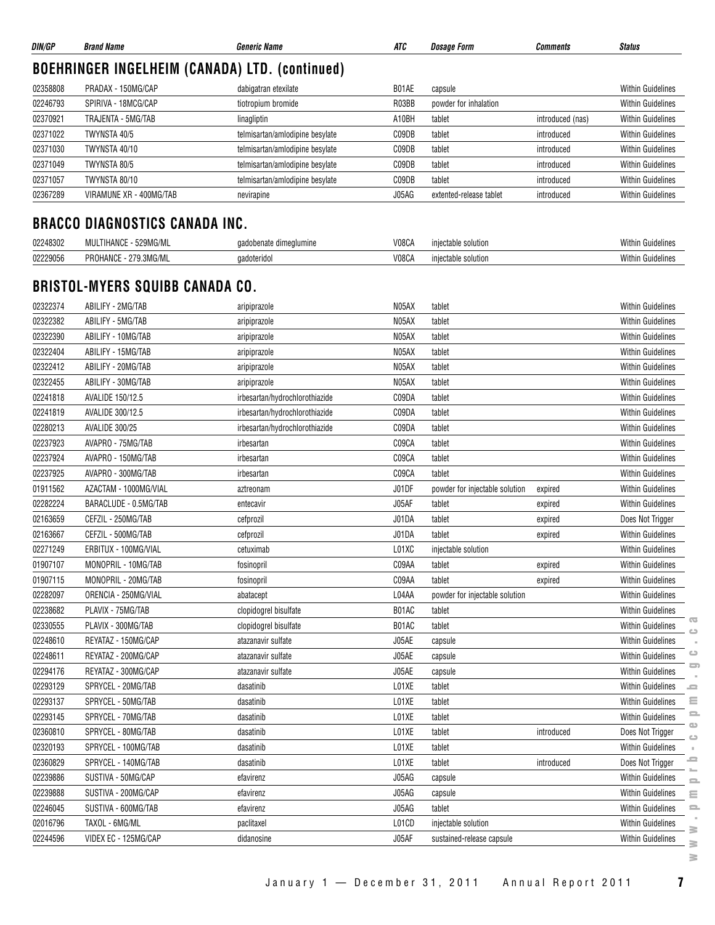|          | <b>BOEHRINGER INGELHEIM (CANADA) LTD. (continued)</b> |                                 |       |                                |                  |                                                       |
|----------|-------------------------------------------------------|---------------------------------|-------|--------------------------------|------------------|-------------------------------------------------------|
| 02358808 | PRADAX - 150MG/CAP                                    | dabigatran etexilate            | B01AE | capsule                        |                  | <b>Within Guidelines</b>                              |
| 02246793 | SPIRIVA - 18MCG/CAP                                   | tiotropium bromide              | R03BB | powder for inhalation          |                  | <b>Within Guidelines</b>                              |
| 02370921 | TRAJENTA - 5MG/TAB                                    | linagliptin                     | A10BH | tablet                         | introduced (nas) | <b>Within Guidelines</b>                              |
| 02371022 | TWYNSTA 40/5                                          | telmisartan/amlodipine besylate | C09DB | tablet                         | introduced       | <b>Within Guidelines</b>                              |
| 02371030 | TWYNSTA 40/10                                         | telmisartan/amlodipine besylate | C09DB | tablet                         | introduced       | <b>Within Guidelines</b>                              |
| 02371049 | TWYNSTA 80/5                                          | telmisartan/amlodipine besylate | C09DB | tablet                         | introduced       | <b>Within Guidelines</b>                              |
| 02371057 | TWYNSTA 80/10                                         | telmisartan/amlodipine besylate | C09DB | tablet                         | introduced       | <b>Within Guidelines</b>                              |
| 02367289 | VIRAMUNE XR - 400MG/TAB                               | nevirapine                      | J05AG | extented-release tablet        | introduced       | <b>Within Guidelines</b>                              |
|          | <b>BRACCO DIAGNOSTICS CANADA INC.</b>                 |                                 |       |                                |                  |                                                       |
| 02248302 | MULTIHANCE - 529MG/ML                                 | gadobenate dimeglumine          | V08CA | injectable solution            |                  | <b>Within Guidelines</b>                              |
| 02229056 | PROHANCE - 279.3MG/ML                                 | gadoteridol                     | V08CA | injectable solution            |                  | <b>Within Guidelines</b>                              |
|          | <b>BRISTOL-MYERS SQUIBB CANADA CO.</b>                |                                 |       |                                |                  |                                                       |
| 02322374 | ABILIFY - 2MG/TAB                                     | aripiprazole                    | N05AX | tablet                         |                  | <b>Within Guidelines</b>                              |
| 02322382 | ABILIFY - 5MG/TAB                                     | aripiprazole                    | N05AX | tablet                         |                  | <b>Within Guidelines</b>                              |
| 02322390 | ABILIFY - 10MG/TAB                                    | aripiprazole                    | N05AX | tablet                         |                  | Within Guidelines                                     |
| 02322404 | ABILIFY - 15MG/TAB                                    | aripiprazole                    | N05AX | tablet                         |                  | <b>Within Guidelines</b>                              |
| 02322412 | ABILIFY - 20MG/TAB                                    | aripiprazole                    | N05AX | tablet                         |                  | <b>Within Guidelines</b>                              |
| 02322455 | ABILIFY - 30MG/TAB                                    | aripiprazole                    | N05AX | tablet                         |                  | <b>Within Guidelines</b>                              |
| 02241818 | AVALIDE 150/12.5                                      | irbesartan/hydrochlorothiazide  | C09DA | tablet                         |                  | <b>Within Guidelines</b>                              |
| 02241819 | AVALIDE 300/12.5                                      | irbesartan/hydrochlorothiazide  | C09DA | tablet                         |                  | <b>Within Guidelines</b>                              |
| 02280213 | <b>AVALIDE 300/25</b>                                 | irbesartan/hydrochlorothiazide  | C09DA | tablet                         |                  | <b>Within Guidelines</b>                              |
| 02237923 | AVAPRO - 75MG/TAB                                     | irbesartan                      | C09CA | tablet                         |                  | <b>Within Guidelines</b>                              |
| 02237924 | AVAPRO - 150MG/TAB                                    | irbesartan                      | C09CA | tablet                         |                  | <b>Within Guidelines</b>                              |
| 02237925 | AVAPRO - 300MG/TAB                                    | irbesartan                      | C09CA | tablet                         |                  | <b>Within Guidelines</b>                              |
| 01911562 | AZACTAM - 1000MG/VIAL                                 | aztreonam                       | J01DF | powder for injectable solution | expired          | Within Guidelines                                     |
| 02282224 | BARACLUDE - 0.5MG/TAB                                 | entecavir                       | J05AF | tablet                         | expired          | <b>Within Guidelines</b>                              |
| 02163659 | CEFZIL - 250MG/TAB                                    | cefprozil                       | J01DA | tablet                         | expired          | Does Not Trigger                                      |
| 02163667 | CEFZIL - 500MG/TAB                                    | cefprozil                       | J01DA | tablet                         | expired          | <b>Within Guidelines</b>                              |
| 02271249 | ERBITUX - 100MG/VIAL                                  | cetuximab                       | L01XC | injectable solution            |                  | <b>Within Guidelines</b>                              |
| 01907107 | MONOPRIL - 10MG/TAB                                   | fosinopril                      | C09AA | tablet                         | expired          | <b>Within Guidelines</b>                              |
| 01907115 | MONOPRIL - 20MG/TAB                                   | fosinopril                      | C09AA | tablet                         | expired          | Within Guidelines                                     |
| 02282097 | ORENCIA - 250MG/VIAL                                  | abatacept                       | L04AA | powder for injectable solution |                  | <b>Within Guidelines</b>                              |
| 02238682 | PLAVIX - 75MG/TAB                                     | clopidogrel bisulfate           | B01AC | tablet                         |                  | <b>Within Guidelines</b>                              |
| 02330555 | PLAVIX - 300MG/TAB                                    | clopidogrel bisulfate           | B01AC | tablet                         |                  | <b>Within Guidelines</b>                              |
| 02248610 | REYATAZ - 150MG/CAP                                   | atazanavir sulfate              | J05AE | capsule                        |                  | ت<br><b>Within Guidelines</b>                         |
| 02248611 | REYATAZ - 200MG/CAP                                   | atazanavir sulfate              | J05AE | capsule                        |                  | ت<br><b>Within Guidelines</b>                         |
| 02294176 | REYATAZ - 300MG/CAP                                   | atazanavir sulfate              | J05AE | capsule                        |                  | 5<br>Within Guidelines                                |
| 02293129 | SPRYCEL - 20MG/TAB                                    | dasatinib                       | L01XE | tablet                         |                  | Within Guidelines<br>-                                |
| 02293137 | SPRYCEL - 50MG/TAB                                    | dasatinib                       | L01XE | tablet                         |                  | Ξ<br>Within Guidelines                                |
| 02293145 | SPRYCEL - 70MG/TAB                                    | dasatinib                       | L01XE | tablet                         |                  | 으<br><b>Within Guidelines</b>                         |
| 02360810 | SPRYCEL - 80MG/TAB                                    | dasatinib                       | L01XE | tablet                         | introduced       | $\bigcirc$<br>Does Not Trigger                        |
| 02320193 | SPRYCEL - 100MG/TAB                                   | dasatinib                       | L01XE | tablet                         |                  | $\Rightarrow$<br><b>Within Guidelines</b>             |
| 02360829 | SPRYCEL - 140MG/TAB                                   | dasatinib                       | L01XE | tablet                         | introduced       | ᆖ<br>Does Not Trigger                                 |
| 02239886 | SUSTIVA - 50MG/CAP                                    | efavirenz                       | J05AG | capsule                        |                  | Within Guidelines                                     |
| 02239888 | SUSTIVA - 200MG/CAP                                   | efavirenz                       | J05AG | capsule                        |                  | $\Rightarrow$<br><b>Within Guidelines</b><br>$\equiv$ |
| 02246045 | SUSTIVA - 600MG/TAB                                   | efavirenz                       | J05AG | tablet                         |                  | <b>Within Guidelines</b><br>으                         |
| 02016796 | TAXOL - 6MG/ML                                        | paclitaxel                      | L01CD | injectable solution            |                  | <b>Within Guidelines</b>                              |
| 02244596 | VIDEX EC - 125MG/CAP                                  | didanosine                      | J05AF | sustained-release capsule      |                  | ≧<br><b>Within Guidelines</b>                         |
|          |                                                       |                                 |       |                                |                  | $\geq$                                                |

**DIN/GP Brand Name Generic Name ATC Dosage Form Comments Status**

January 1 — December 31, 2011 Annual Report 2011 **7**

 $\bar{a}$  $\equiv$  $\equiv$  $\equiv$  $\sim$  $\geq$  $\geq$  $\geq$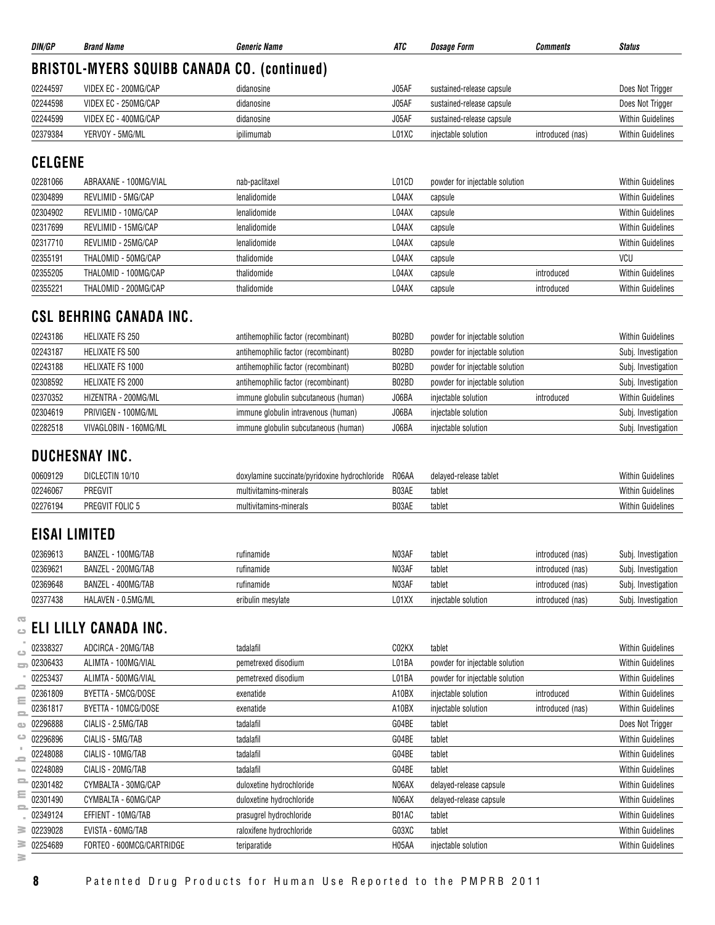| DIN/GP   | <b>Brand Name</b>                                  | Generic Name | ATC   | Dosage Form               | Comments         | <b>Status</b>            |  |  |  |  |
|----------|----------------------------------------------------|--------------|-------|---------------------------|------------------|--------------------------|--|--|--|--|
|          | <b>BRISTOL-MYERS SQUIBB CANADA CO. (continued)</b> |              |       |                           |                  |                          |  |  |  |  |
| 02244597 | VIDEX EC - 200MG/CAP                               | didanosine   | J05AF | sustained-release capsule |                  | Does Not Trigger         |  |  |  |  |
| 02244598 | VIDEX EC - 250MG/CAP                               | didanosine   | J05AF | sustained-release capsule |                  | Does Not Trigger         |  |  |  |  |
| 02244599 | VIDEX EC - 400MG/CAP                               | didanosine   | J05AF | sustained-release capsule |                  | <b>Within Guidelines</b> |  |  |  |  |
| 02379384 | YERVOY - 5MG/ML                                    | ipilimumab   | L01XC | injectable solution       | introduced (nas) | <b>Within Guidelines</b> |  |  |  |  |
|          |                                                    |              |       |                           |                  |                          |  |  |  |  |

## **CELGENE**

| 02281066 | ABRAXANE - 100MG/VIAL | nab-paclitaxel | L01CD | powder for injectable solution |            | <b>Within Guidelines</b> |
|----------|-----------------------|----------------|-------|--------------------------------|------------|--------------------------|
| 02304899 | REVLIMID - 5MG/CAP    | lenalidomide   | L04AX | capsule                        |            | <b>Within Guidelines</b> |
| 02304902 | REVLIMID - 10MG/CAP   | lenalidomide   | L04AX | capsule                        |            | <b>Within Guidelines</b> |
| 02317699 | REVLIMID - 15MG/CAP   | lenalidomide   | L04AX | capsule                        |            | <b>Within Guidelines</b> |
| 02317710 | REVLIMID - 25MG/CAP   | lenalidomide   | L04AX | capsule                        |            | <b>Within Guidelines</b> |
| 02355191 | THALOMID - 50MG/CAP   | thalidomide    | L04AX | capsule                        |            | VCU                      |
| 02355205 | THALOMID - 100MG/CAP  | thalidomide    | L04AX | capsule                        | introduced | <b>Within Guidelines</b> |
| 02355221 | THALOMID - 200MG/CAP  | thalidomide    | L04AX | capsule                        | introduced | <b>Within Guidelines</b> |

## **CSL BEHRING CANADA INC.**

| 02243186 | HELIXATE FS 250       | antihemophilic factor (recombinant)  | B02BD | powder for injectable solution |            | <b>Within Guidelines</b> |
|----------|-----------------------|--------------------------------------|-------|--------------------------------|------------|--------------------------|
| 02243187 | HELIXATE FS 500       | antihemophilic factor (recombinant)  | B02BD | powder for injectable solution |            | Subj. Investigation      |
| 02243188 | HELIXATE FS 1000      | antihemophilic factor (recombinant)  | B02BD | powder for injectable solution |            | Subj. Investigation      |
| 02308592 | HELIXATE FS 2000      | antihemophilic factor (recombinant)  | B02BD | powder for injectable solution |            | Subj. Investigation      |
| 02370352 | HIZENTRA - 200MG/ML   | immune globulin subcutaneous (human) | J06BA | injectable solution            | introduced | <b>Within Guidelines</b> |
| 02304619 | PRIVIGEN - 100MG/ML   | immune globulin intravenous (human)  | J06BA | injectable solution            |            | Subj. Investigation      |
| 02282518 | VIVAGLOBIN - 160MG/ML | immune globulin subcutaneous (human) | J06BA | injectable solution            |            | Subj. Investigation      |

## **DUCHESNAY INC.**

| 00609129 | DICLECTIN<br>10/10   | doxylamine succinate/pyridoxine hydrochloride | R06AA | delaved-release tablet | <b>Within Guidelines</b> |
|----------|----------------------|-----------------------------------------------|-------|------------------------|--------------------------|
| 02246067 | PREGVIT              | multivitamins-minerals                        | B03AE | tablet                 | <b>Within Guidelines</b> |
| 02276194 | ັ FOLIC ນ<br>PREGVIT | multivitamins-minerals                        | B03AE | tablet                 | <b>Within Guidelines</b> |

## **EISAI LIMITED**

| 02369613 | BANZEL - 100MG/TAB | rufinamide        | N03AF | tablet              | introduced (nas) | Subj. Investigation |
|----------|--------------------|-------------------|-------|---------------------|------------------|---------------------|
| 02369621 | BANZEL - 200MG/TAB | rufinamide        | N03AF | tablet              | introduced (nas) | Subj. Investigation |
| 02369648 | BANZEL - 400MG/TAB | rufinamide        | N03AF | tablet              | introduced (nas) | Subj. Investigation |
| 02377438 | HALAVEN - 0.5MG/ML | eribulin mesylate | L01XX | injectable solution | introduced (nas) | Subj. Investigation |

## **ELI LILLY CANADA INC.**

|          | 02338327 | ADCIRCA - 20MG/TAB        | tadalafil                | C02KX | tablet                         |                  | <b>Within Guidelines</b> |
|----------|----------|---------------------------|--------------------------|-------|--------------------------------|------------------|--------------------------|
|          | 02306433 | ALIMTA - 100MG/VIAL       | pemetrexed disodium      | L01BA | powder for injectable solution |                  | <b>Within Guidelines</b> |
|          | 02253437 | ALIMTA - 500MG/VIAL       | pemetrexed disodium      | L01BA | powder for injectable solution |                  | <b>Within Guidelines</b> |
| ≣        | 02361809 | BYETTA - 5MCG/DOSE        | exenatide                | A10BX | injectable solution            | introduced       | <b>Within Guidelines</b> |
| S        | 02361817 | BYETTA - 10MCG/DOSE       | exenatide                | A10BX | injectable solution            | introduced (nas) | <b>Within Guidelines</b> |
|          | 02296888 | CIALIS - 2.5MG/TAB        | tadalafil                | G04BE | tablet                         |                  | Does Not Trigger         |
| ده       | 02296896 | CIALIS - 5MG/TAB          | tadalafil                | G04BE | tablet                         |                  | <b>Within Guidelines</b> |
| $\equiv$ | 02248088 | CIALIS - 10MG/TAB         | tadalafil                | G04BE | tablet                         |                  | <b>Within Guidelines</b> |
|          | 02248089 | CIALIS - 20MG/TAB         | tadalafil                | G04BE | tablet                         |                  | <b>Within Guidelines</b> |
| 2        | 02301482 | CYMBALTA - 30MG/CAP       | duloxetine hydrochloride | N06AX | delayed-release capsule        |                  | <b>Within Guidelines</b> |
| Ξ        | 02301490 | CYMBALTA - 60MG/CAP       | duloxetine hydrochloride | N06AX | delayed-release capsule        |                  | <b>Within Guidelines</b> |
| 5        | 02349124 | EFFIENT - 10MG/TAB        | prasugrel hydrochloride  | B01AC | tablet                         |                  | <b>Within Guidelines</b> |
| ≊        | 02239028 | EVISTA - 60MG/TAB         | raloxifene hydrochloride | G03XC | tablet                         |                  | <b>Within Guidelines</b> |
| 3        | 02254689 | FORTEO - 600MCG/CARTRIDGE | teriparatide             | H05AA | injectable solution            |                  | <b>Within Guidelines</b> |
| ≧        |          |                           |                          |       |                                |                  |                          |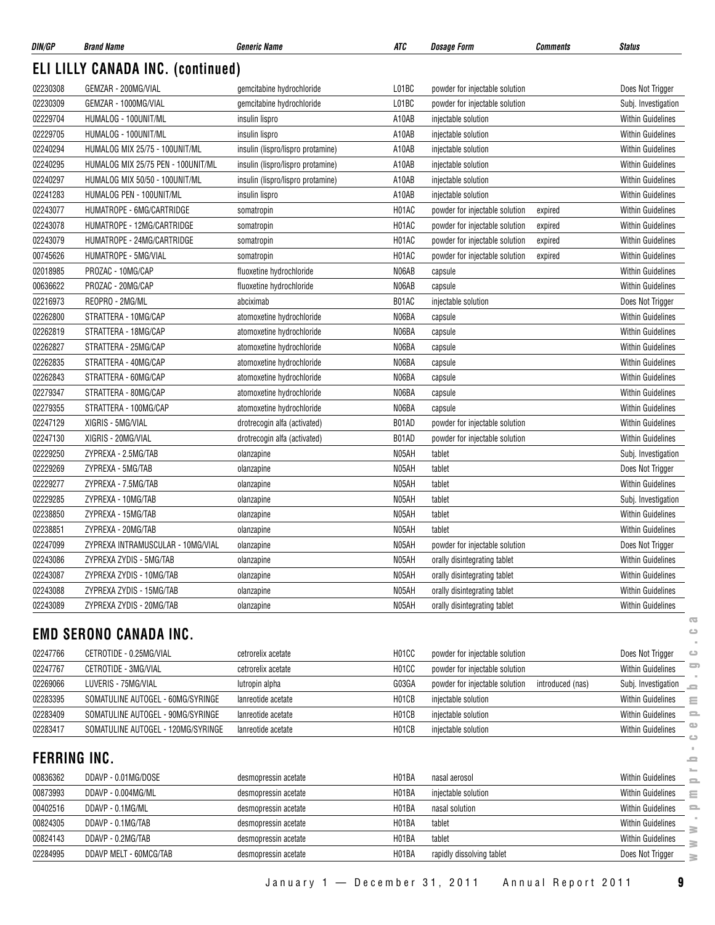| DIN/GP              | <b>Brand Name</b>                        | Generic Name                      | ATC                | <b>Dosage Form</b>             | <b>Comments</b>  | <b>Status</b>                        |
|---------------------|------------------------------------------|-----------------------------------|--------------------|--------------------------------|------------------|--------------------------------------|
|                     | <b>ELI LILLY CANADA INC. (continued)</b> |                                   |                    |                                |                  |                                      |
| 02230308            | GEMZAR - 200MG/VIAL                      | gemcitabine hydrochloride         | L01BC              | powder for injectable solution |                  | Does Not Trigger                     |
| 02230309            | GEMZAR - 1000MG/VIAL                     | gemcitabine hydrochloride         | L01BC              | powder for injectable solution |                  | Subj. Investigation                  |
| 02229704            | HUMALOG - 100UNIT/ML                     | insulin lispro                    | A10AB              | injectable solution            |                  | Within Guidelines                    |
| 02229705            | HUMALOG - 100UNIT/ML                     | insulin lispro                    | A10AB              | injectable solution            |                  | <b>Within Guidelines</b>             |
| 02240294            | HUMALOG MIX 25/75 - 100UNIT/ML           | insulin (lispro/lispro protamine) | A10AB              | injectable solution            |                  | <b>Within Guidelines</b>             |
| 02240295            | HUMALOG MIX 25/75 PEN - 100UNIT/ML       | insulin (lispro/lispro protamine) | A10AB              | injectable solution            |                  | <b>Within Guidelines</b>             |
| 02240297            | HUMALOG MIX 50/50 - 100UNIT/ML           | insulin (lispro/lispro protamine) | A10AB              | injectable solution            |                  | <b>Within Guidelines</b>             |
| 02241283            | HUMALOG PEN - 100UNIT/ML                 | insulin lispro                    | A10AB              | injectable solution            |                  | <b>Within Guidelines</b>             |
| 02243077            | HUMATROPE - 6MG/CARTRIDGE                | somatropin                        | H01AC              | powder for injectable solution | expired          | <b>Within Guidelines</b>             |
| 02243078            | HUMATROPE - 12MG/CARTRIDGE               | somatropin                        | H01AC              | powder for injectable solution | expired          | <b>Within Guidelines</b>             |
| 02243079            | HUMATROPE - 24MG/CARTRIDGE               | somatropin                        | H01AC              | powder for injectable solution | expired          | <b>Within Guidelines</b>             |
| 00745626            | HUMATROPE - 5MG/VIAL                     | somatropin                        | H01AC              | powder for injectable solution | expired          | <b>Within Guidelines</b>             |
| 02018985            | PROZAC - 10MG/CAP                        | fluoxetine hydrochloride          | N06AB              | capsule                        |                  | <b>Within Guidelines</b>             |
| 00636622            | PROZAC - 20MG/CAP                        | fluoxetine hydrochloride          | N06AB              | capsule                        |                  | <b>Within Guidelines</b>             |
| 02216973            | REOPRO - 2MG/ML                          | abciximab                         | B01AC              | injectable solution            |                  | Does Not Trigger                     |
| 02262800            | STRATTERA - 10MG/CAP                     | atomoxetine hydrochloride         | N06BA              | capsule                        |                  | <b>Within Guidelines</b>             |
| 02262819            | STRATTERA - 18MG/CAP                     | atomoxetine hydrochloride         | N06BA              | capsule                        |                  | <b>Within Guidelines</b>             |
| 02262827            | STRATTERA - 25MG/CAP                     | atomoxetine hydrochloride         | N06BA              | capsule                        |                  | <b>Within Guidelines</b>             |
| 02262835            | STRATTERA - 40MG/CAP                     | atomoxetine hydrochloride         | N06BA              | capsule                        |                  | Within Guidelines                    |
| 02262843            | STRATTERA - 60MG/CAP                     | atomoxetine hydrochloride         | N06BA              | capsule                        |                  | <b>Within Guidelines</b>             |
| 02279347            | STRATTERA - 80MG/CAP                     | atomoxetine hydrochloride         | N06BA              | capsule                        |                  | Within Guidelines                    |
| 02279355            | STRATTERA - 100MG/CAP                    | atomoxetine hydrochloride         | N06BA              | capsule                        |                  | <b>Within Guidelines</b>             |
| 02247129            | XIGRIS - 5MG/VIAL                        | drotrecogin alfa (activated)      | B01AD              | powder for injectable solution |                  | <b>Within Guidelines</b>             |
| 02247130            | XIGRIS - 20MG/VIAL                       | drotrecogin alfa (activated)      | B01AD              | powder for injectable solution |                  | <b>Within Guidelines</b>             |
| 02229250            | ZYPREXA - 2.5MG/TAB                      | olanzapine                        | N05AH              | tablet                         |                  | Subj. Investigation                  |
| 02229269            | ZYPREXA - 5MG/TAB                        | olanzapine                        | N05AH              | tablet                         |                  | Does Not Trigger                     |
| 02229277            | ZYPREXA - 7.5MG/TAB                      | olanzapine                        | N05AH              | tablet                         |                  | Within Guidelines                    |
| 02229285            | ZYPREXA - 10MG/TAB                       | olanzapine                        | N05AH              | tablet                         |                  | Subj. Investigation                  |
| 02238850            | ZYPREXA - 15MG/TAB                       | olanzapine                        | N05AH              | tablet                         |                  | <b>Within Guidelines</b>             |
| 02238851            | ZYPREXA - 20MG/TAB                       | olanzapine                        | N05AH              | tablet                         |                  | Within Guidelines                    |
| 02247099            | ZYPREXA INTRAMUSCULAR - 10MG/VIAL        | olanzapine                        | N05AH              | powder for injectable solution |                  | Does Not Trigger                     |
| 02243086            | ZYPREXA ZYDIS - 5MG/TAB                  | olanzapine                        | N05AH              | orally disintegrating tablet   |                  | Within Guidelines                    |
| 02243087            | ZYPREXA ZYDIS - 10MG/TAB                 | olanzapine                        | N05AH              | orally disintegrating tablet   |                  | Within Guidelines                    |
| 02243088            | ZYPREXA ZYDIS - 15MG/TAB                 | olanzapine                        | N05AH              | orally disintegrating tablet   |                  | <b>Within Guidelines</b>             |
| 02243089            | ZYPREXA ZYDIS - 20MG/TAB                 | olanzapine                        | N05AH              | orally disintegrating tablet   |                  | <b>Within Guidelines</b>             |
|                     |                                          |                                   |                    |                                |                  | $\overline{\mathbf{C}}$              |
|                     | <b>EMD SERONO CANADA INC.</b>            |                                   |                    |                                |                  | $\circ$                              |
| 02247766            | CETROTIDE - 0.25MG/VIAL                  | cetrorelix acetate                | H01CC              | powder for injectable solution |                  | Does Not Trigger<br>ت                |
| 02247767            | CETROTIDE - 3MG/VIAL                     | cetrorelix acetate                | H01CC              | powder for injectable solution |                  | 5<br><b>Within Guidelines</b>        |
| 02269066            | LUVERIS - 75MG/VIAL                      | lutropin alpha                    | G03GA              | powder for injectable solution | introduced (nas) | Subj. Investigation<br>5             |
| 02283395            | SOMATULINE AUTOGEL - 60MG/SYRINGE        | lanreotide acetate                | H01CB              | injectable solution            |                  | Within Guidelines<br>Ξ               |
| 02283409            | SOMATULINE AUTOGEL - 90MG/SYRINGE        | lanreotide acetate                | H01CB              | injectable solution            |                  | <b>Within Guidelines</b><br>$\equiv$ |
| 02283417            | SOMATULINE AUTOGEL - 120MG/SYRINGE       | lanreotide acetate                | H <sub>01</sub> CB | injectable solution            |                  | ₾<br>Within Guidelines<br>ت          |
| <b>FERRING INC.</b> |                                          |                                   |                    |                                |                  | ≘                                    |
| 00836362            | DDAVP - 0.01MG/DOSE                      | desmopressin acetate              | H01BA              | nasal aerosol                  |                  | <b>Within Guidelines</b>             |
| 00873993            | DDAVP - 0.004MG/ML                       | desmopressin acetate              | H01BA              | injectable solution            |                  | 2<br>Within Guidelines<br>Ξ          |
| 00402516            | DDAVP - 0.1MG/ML                         | desmopressin acetate              | H01BA              | nasal solution                 |                  | <b>Within Guidelines</b><br>2        |
| 00824305            | DDAVP - 0.1MG/TAB                        | desmopressin acetate              | H01BA              | tablet                         |                  | <b>Within Guidelines</b>             |
| 00824143            | DDAVP - 0.2MG/TAB                        | desmopressin acetate              | H <sub>01</sub> BA | tablet                         |                  | B<br><b>Within Guidelines</b>        |
| 02284995            | DDAVP MELT - 60MCG/TAB                   | desmopressin acetate              | H01BA              | rapidly dissolving tablet      |                  | $\geq$<br>Does Not Trigger           |
|                     |                                          |                                   |                    |                                |                  | $\geq$                               |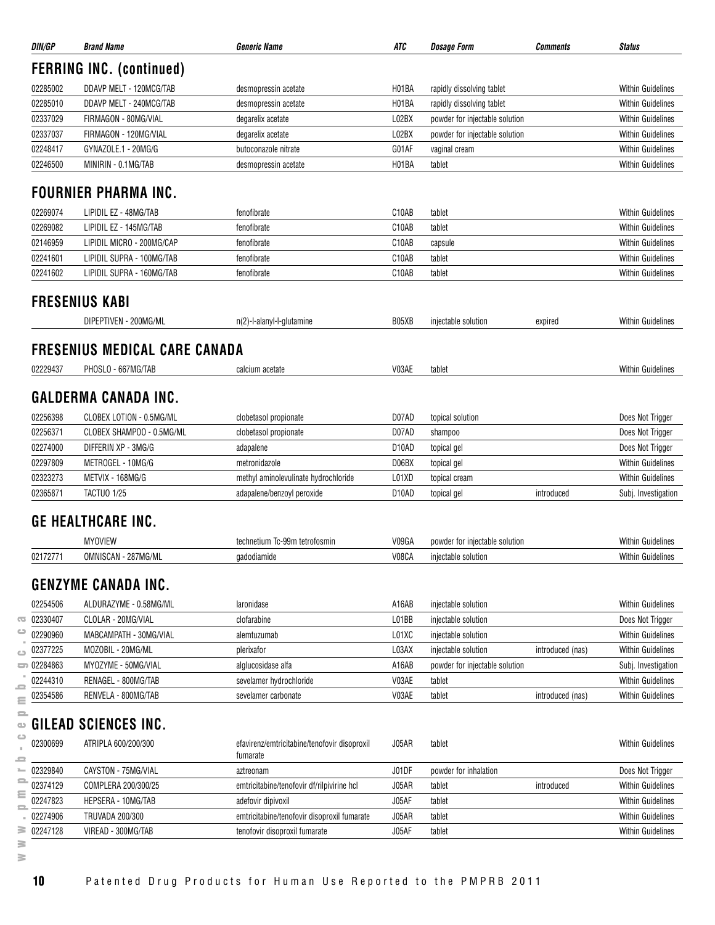|                      | <b>Brand Name</b>                          | <b>Generic Name</b>                                                | ATC                         | <b>Dosage Form</b>             | <b>Comments</b>  | <b>Status</b>                                                                                                                                                                                                                                                                                                                                       |
|----------------------|--------------------------------------------|--------------------------------------------------------------------|-----------------------------|--------------------------------|------------------|-----------------------------------------------------------------------------------------------------------------------------------------------------------------------------------------------------------------------------------------------------------------------------------------------------------------------------------------------------|
|                      | <b>FERRING INC. (continued)</b>            |                                                                    |                             |                                |                  |                                                                                                                                                                                                                                                                                                                                                     |
| 02285002             | DDAVP MELT - 120MCG/TAB                    | desmopressin acetate                                               | H01BA                       | rapidly dissolving tablet      |                  | <b>Within Guidelines</b>                                                                                                                                                                                                                                                                                                                            |
| 02285010             | DDAVP MELT - 240MCG/TAB                    | desmopressin acetate                                               | H01BA                       | rapidly dissolving tablet      |                  | <b>Within Guidelines</b>                                                                                                                                                                                                                                                                                                                            |
| 02337029             | FIRMAGON - 80MG/VIAL                       | degarelix acetate                                                  | L02BX                       | powder for injectable solution |                  | <b>Within Guidelines</b>                                                                                                                                                                                                                                                                                                                            |
| 02337037             | FIRMAGON - 120MG/VIAL                      | degarelix acetate                                                  | L02BX                       | powder for injectable solution |                  | <b>Within Guidelines</b>                                                                                                                                                                                                                                                                                                                            |
| 02248417             | GYNAZOLE.1 - 20MG/G                        | butoconazole nitrate                                               | G01AF                       | vaginal cream                  |                  | <b>Within Guidelines</b>                                                                                                                                                                                                                                                                                                                            |
| 02246500             | MINIRIN - 0.1MG/TAB                        | desmopressin acetate                                               | H01BA                       | tablet                         |                  | <b>Within Guidelines</b>                                                                                                                                                                                                                                                                                                                            |
|                      | <b>FOURNIER PHARMA INC.</b>                |                                                                    |                             |                                |                  |                                                                                                                                                                                                                                                                                                                                                     |
| 02269074             | LIPIDIL EZ - 48MG/TAB                      | fenofibrate                                                        | C10AB                       | tablet                         |                  | <b>Within Guidelines</b>                                                                                                                                                                                                                                                                                                                            |
| 02269082             | LIPIDIL EZ - 145MG/TAB                     | fenofibrate                                                        | C10AB                       | tablet                         |                  | <b>Within Guidelines</b>                                                                                                                                                                                                                                                                                                                            |
| 02146959             | LIPIDIL MICRO - 200MG/CAP                  | fenofibrate                                                        | C10AB                       | capsule                        |                  | <b>Within Guidelines</b>                                                                                                                                                                                                                                                                                                                            |
| 02241601             | LIPIDIL SUPRA - 100MG/TAB                  | fenofibrate                                                        | C10AB                       | tablet                         |                  | <b>Within Guidelines</b>                                                                                                                                                                                                                                                                                                                            |
| 02241602             | LIPIDIL SUPRA - 160MG/TAB                  | fenofibrate                                                        | C10AB                       | tablet                         |                  | <b>Within Guidelines</b>                                                                                                                                                                                                                                                                                                                            |
|                      |                                            |                                                                    |                             |                                |                  |                                                                                                                                                                                                                                                                                                                                                     |
|                      | <b>FRESENIUS KABI</b>                      |                                                                    |                             |                                |                  |                                                                                                                                                                                                                                                                                                                                                     |
|                      | DIPEPTIVEN - 200MG/ML                      | n(2)-l-alanyl-l-glutamine                                          | B05XB                       | injectable solution            | expired          | <b>Within Guidelines</b>                                                                                                                                                                                                                                                                                                                            |
|                      | <b>FRESENIUS MEDICAL CARE CANADA</b>       |                                                                    |                             |                                |                  |                                                                                                                                                                                                                                                                                                                                                     |
| 02229437             | PHOSLO - 667MG/TAB                         | calcium acetate                                                    | V03AE                       | tablet                         |                  | <b>Within Guidelines</b>                                                                                                                                                                                                                                                                                                                            |
|                      |                                            |                                                                    |                             |                                |                  |                                                                                                                                                                                                                                                                                                                                                     |
|                      | <b>GALDERMA CANADA INC.</b>                |                                                                    |                             |                                |                  |                                                                                                                                                                                                                                                                                                                                                     |
| 02256398             | CLOBEX LOTION - 0.5MG/ML                   | clobetasol propionate                                              | D07AD                       | topical solution               |                  | Does Not Trigger                                                                                                                                                                                                                                                                                                                                    |
| 02256371             | CLOBEX SHAMPOO - 0.5MG/ML                  | clobetasol propionate                                              | D07AD                       | shampoo                        |                  | Does Not Trigger                                                                                                                                                                                                                                                                                                                                    |
| 02274000             | DIFFERIN XP - 3MG/G                        | adapalene                                                          | D <sub>10</sub> AD          | topical gel                    |                  | Does Not Trigger                                                                                                                                                                                                                                                                                                                                    |
|                      |                                            |                                                                    |                             |                                |                  | <b>Within Guidelines</b>                                                                                                                                                                                                                                                                                                                            |
|                      |                                            |                                                                    |                             |                                |                  |                                                                                                                                                                                                                                                                                                                                                     |
| 02297809             | METROGEL - 10MG/G                          | metronidazole                                                      | D06BX                       | topical gel                    |                  |                                                                                                                                                                                                                                                                                                                                                     |
| 02323273<br>02365871 | METVIX - 168MG/G<br><b>TACTUO 1/25</b>     | methyl aminolevulinate hydrochloride<br>adapalene/benzoyl peroxide | L01XD<br>D <sub>10</sub> AD | topical cream<br>topical gel   | introduced       |                                                                                                                                                                                                                                                                                                                                                     |
|                      |                                            |                                                                    |                             |                                |                  |                                                                                                                                                                                                                                                                                                                                                     |
|                      | <b>GE HEALTHCARE INC.</b>                  |                                                                    |                             |                                |                  |                                                                                                                                                                                                                                                                                                                                                     |
|                      | <b>MYOVIEW</b>                             | technetium Tc-99m tetrofosmin                                      | V09GA                       | powder for injectable solution |                  | <b>Within Guidelines</b><br>Subj. Investigation<br>Within Guidelines                                                                                                                                                                                                                                                                                |
| 02172771             | OMNISCAN - 287MG/ML                        | gadodiamide                                                        | V08CA                       | injectable solution            |                  |                                                                                                                                                                                                                                                                                                                                                     |
|                      | <b>GENZYME CANADA INC.</b>                 |                                                                    |                             |                                |                  |                                                                                                                                                                                                                                                                                                                                                     |
| 02254506             | ALDURAZYME - 0.58MG/ML                     | laronidase                                                         | A16AB                       | injectable solution            |                  |                                                                                                                                                                                                                                                                                                                                                     |
| 02330407             | CLOLAR - 20MG/VIAL                         | clofarabine                                                        | L01BB                       | injectable solution            |                  |                                                                                                                                                                                                                                                                                                                                                     |
|                      |                                            |                                                                    |                             | injectable solution            |                  |                                                                                                                                                                                                                                                                                                                                                     |
| 02290960<br>02377225 | MABCAMPATH - 30MG/VIAL                     | alemtuzumab                                                        | L01XC                       |                                |                  |                                                                                                                                                                                                                                                                                                                                                     |
|                      | MOZOBIL - 20MG/ML                          | plerixafor                                                         | L03AX                       | injectable solution            | introduced (nas) |                                                                                                                                                                                                                                                                                                                                                     |
| $\equiv 02284863$    | MYOZYME - 50MG/VIAL                        | alglucosidase alfa                                                 | A16AB                       | powder for injectable solution |                  |                                                                                                                                                                                                                                                                                                                                                     |
| 02244310<br>02354586 | RENAGEL - 800MG/TAB<br>RENVELA - 800MG/TAB | sevelamer hydrochloride<br>sevelamer carbonate                     | V03AE<br>V03AE              | tablet<br>tablet               | introduced (nas) |                                                                                                                                                                                                                                                                                                                                                     |
|                      |                                            |                                                                    |                             |                                |                  |                                                                                                                                                                                                                                                                                                                                                     |
|                      | GILEAD SCIENCES INC.                       |                                                                    |                             |                                |                  |                                                                                                                                                                                                                                                                                                                                                     |
| 02300699             | ATRIPLA 600/200/300                        | efavirenz/emtricitabine/tenofovir disoproxil                       | J05AR                       | tablet                         |                  |                                                                                                                                                                                                                                                                                                                                                     |
| 02329840             | CAYSTON - 75MG/VIAL                        | fumarate<br>aztreonam                                              | J01DF                       | powder for inhalation          |                  |                                                                                                                                                                                                                                                                                                                                                     |
| 02374129             | COMPLERA 200/300/25                        | emtricitabine/tenofovir df/rilpivirine hcl                         | J05AR                       | tablet                         | introduced       |                                                                                                                                                                                                                                                                                                                                                     |
| 02247823             | HEPSERA - 10MG/TAB                         | adefovir dipivoxil                                                 | J05AF                       | tablet                         |                  |                                                                                                                                                                                                                                                                                                                                                     |
| 02274906             | TRUVADA 200/300                            | emtricitabine/tenofovir disoproxil fumarate                        | J05AR                       | tablet                         |                  | <b>Within Guidelines</b><br><b>Within Guidelines</b><br>Does Not Trigger<br><b>Within Guidelines</b><br><b>Within Guidelines</b><br>Subj. Investigation<br><b>Within Guidelines</b><br><b>Within Guidelines</b><br><b>Within Guidelines</b><br>Does Not Trigger<br><b>Within Guidelines</b><br><b>Within Guidelines</b><br><b>Within Guidelines</b> |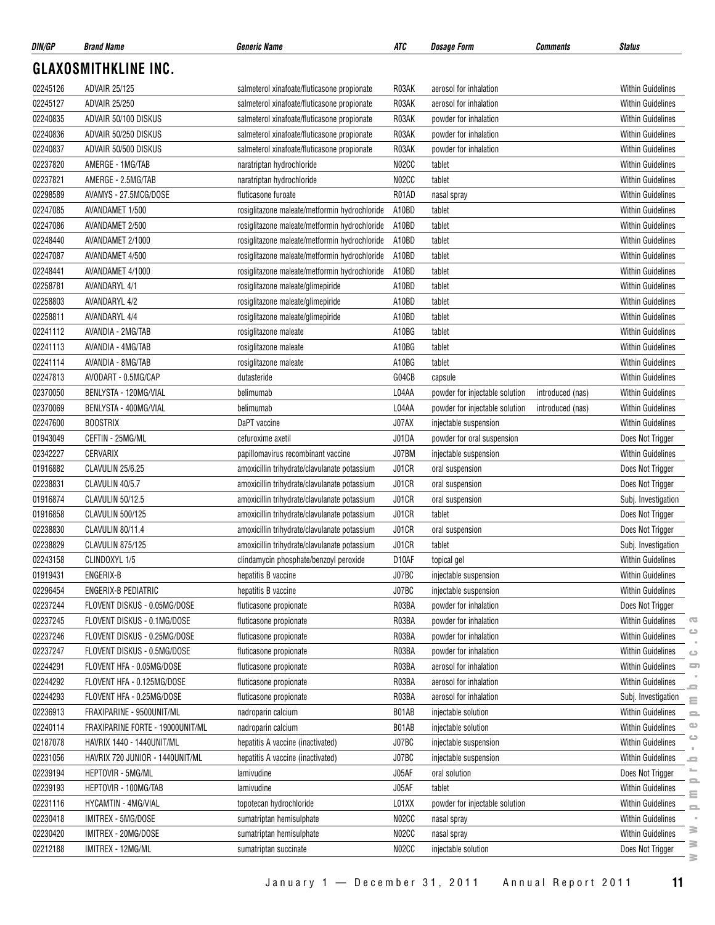| DIN/GP               | <b>Brand Name</b>                                           | <b>Generic Name</b>                                           | ATC                         | <i><b>Dosage Form</b></i>                      | Comments         | <b>Status</b>            |                                |
|----------------------|-------------------------------------------------------------|---------------------------------------------------------------|-----------------------------|------------------------------------------------|------------------|--------------------------|--------------------------------|
|                      | <b>GLAXOSMITHKLINE INC.</b>                                 |                                                               |                             |                                                |                  |                          |                                |
| 02245126             | <b>ADVAIR 25/125</b>                                        | salmeterol xinafoate/fluticasone propionate                   | R03AK                       | aerosol for inhalation                         |                  | <b>Within Guidelines</b> |                                |
| 02245127             | <b>ADVAIR 25/250</b>                                        | salmeterol xinafoate/fluticasone propionate                   | R03AK                       | aerosol for inhalation                         |                  | <b>Within Guidelines</b> |                                |
| 02240835             | ADVAIR 50/100 DISKUS                                        | salmeterol xinafoate/fluticasone propionate                   | R03AK                       | powder for inhalation                          |                  | <b>Within Guidelines</b> |                                |
| 02240836             | ADVAIR 50/250 DISKUS                                        | salmeterol xinafoate/fluticasone propionate                   | R03AK                       | powder for inhalation                          |                  | Within Guidelines        |                                |
| 02240837             | ADVAIR 50/500 DISKUS                                        | salmeterol xinafoate/fluticasone propionate                   | R03AK                       | powder for inhalation                          |                  | <b>Within Guidelines</b> |                                |
| 02237820             | AMERGE - 1MG/TAB                                            | naratriptan hydrochloride                                     | N02CC                       | tablet                                         |                  | <b>Within Guidelines</b> |                                |
| 02237821             | AMERGE - 2.5MG/TAB                                          | naratriptan hydrochloride                                     | N02CC                       | tablet                                         |                  | <b>Within Guidelines</b> |                                |
| 02298589             | AVAMYS - 27.5MCG/DOSE                                       | fluticasone furoate                                           | R01AD                       | nasal spray                                    |                  | Within Guidelines        |                                |
| 02247085             | AVANDAMET 1/500                                             | rosiglitazone maleate/metformin hydrochloride                 | A10BD                       | tablet                                         |                  | <b>Within Guidelines</b> |                                |
| 02247086             | AVANDAMET 2/500                                             | rosiglitazone maleate/metformin hydrochloride                 | A10BD                       | tablet                                         |                  | Within Guidelines        |                                |
| 02248440             | AVANDAMET 2/1000                                            | rosiglitazone maleate/metformin hydrochloride                 | A10BD                       | tablet                                         |                  | <b>Within Guidelines</b> |                                |
| 02247087             | AVANDAMET 4/500                                             | rosiglitazone maleate/metformin hydrochloride                 | A10BD                       | tablet                                         |                  | <b>Within Guidelines</b> |                                |
| 02248441             | AVANDAMET 4/1000                                            | rosiglitazone maleate/metformin hydrochloride                 | A10BD                       | tablet                                         |                  | <b>Within Guidelines</b> |                                |
| 02258781             | <b>AVANDARYL 4/1</b>                                        | rosiglitazone maleate/glimepiride                             | A10BD                       | tablet                                         |                  | Within Guidelines        |                                |
| 02258803             | <b>AVANDARYL 4/2</b>                                        | rosiglitazone maleate/glimepiride                             | A10BD                       | tablet                                         |                  | <b>Within Guidelines</b> |                                |
| 02258811             | <b>AVANDARYL 4/4</b>                                        | rosiglitazone maleate/glimepiride                             | A10BD                       | tablet                                         |                  | Within Guidelines        |                                |
| 02241112             | AVANDIA - 2MG/TAB                                           | rosiglitazone maleate                                         | A10BG                       | tablet                                         |                  | <b>Within Guidelines</b> |                                |
| 02241113             | AVANDIA - 4MG/TAB                                           | rosiglitazone maleate                                         | A10BG                       | tablet                                         |                  | <b>Within Guidelines</b> |                                |
| 02241114             | AVANDIA - 8MG/TAB                                           | rosiglitazone maleate                                         | A10BG                       | tablet                                         |                  | <b>Within Guidelines</b> |                                |
| 02247813             | AVODART - 0.5MG/CAP                                         | dutasteride                                                   | G04CB                       | capsule                                        |                  | Within Guidelines        |                                |
| 02370050             | BENLYSTA - 120MG/VIAL                                       | belimumab                                                     | L04AA                       | powder for injectable solution                 | introduced (nas) | Within Guidelines        |                                |
| 02370069             | BENLYSTA - 400MG/VIAL                                       | belimumab                                                     | L04AA                       | powder for injectable solution                 | introduced (nas) | Within Guidelines        |                                |
| 02247600             | <b>BOOSTRIX</b>                                             | DaPT vaccine                                                  | J07AX                       | injectable suspension                          |                  | <b>Within Guidelines</b> |                                |
| 01943049             | CEFTIN - 25MG/ML                                            | cefuroxime axetil                                             | J01DA                       | powder for oral suspension                     |                  | Does Not Trigger         |                                |
| 02342227             | CERVARIX                                                    | papillomavirus recombinant vaccine                            | J07BM                       | injectable suspension                          |                  | <b>Within Guidelines</b> |                                |
| 01916882             | CLAVULIN 25/6.25                                            | amoxicillin trihydrate/clavulanate potassium                  | J01CR                       | oral suspension                                |                  | Does Not Trigger         |                                |
| 02238831             | CLAVULIN 40/5.7                                             | amoxicillin trihydrate/clavulanate potassium                  | J01CR                       | oral suspension                                |                  | Does Not Trigger         |                                |
| 01916874             | CLAVULIN 50/12.5                                            | amoxicillin trihydrate/clavulanate potassium                  | J01CR                       | oral suspension                                |                  | Subj. Investigation      |                                |
| 01916858             | <b>CLAVULIN 500/125</b>                                     | amoxicillin trihydrate/clavulanate potassium                  | J01CR                       | tablet                                         |                  | Does Not Trigger         |                                |
| 02238830             | CLAVULIN 80/11.4                                            | amoxicillin trihydrate/clavulanate potassium                  | J01CR                       | oral suspension                                |                  | Does Not Trigger         |                                |
| 02238829             | CLAVULIN 875/125                                            | amoxicillin trihydrate/clavulanate potassium                  | J01CR                       | tablet                                         |                  | Subj. Investigation      |                                |
|                      | CLINDOXYL 1/5                                               |                                                               |                             |                                                |                  | Within Guidelines        |                                |
| 02243158<br>01919431 | ENGERIX-B                                                   | clindamycin phosphate/benzoyl peroxide<br>hepatitis B vaccine | D <sub>10</sub> AF<br>J07BC | topical gel<br>injectable suspension           |                  | <b>Within Guidelines</b> |                                |
| 02296454             | ENGERIX-B PEDIATRIC                                         | hepatitis B vaccine                                           | J07BC                       | injectable suspension                          |                  | <b>Within Guidelines</b> |                                |
| 02237244             | FLOVENT DISKUS - 0.05MG/DOSE                                | fluticasone propionate                                        | R03BA                       | powder for inhalation                          |                  | Does Not Trigger         |                                |
|                      |                                                             |                                                               | R03BA                       |                                                |                  | <b>Within Guidelines</b> | $\overline{\mathbf{C}}$        |
| 02237245<br>02237246 | FLOVENT DISKUS - 0.1MG/DOSE<br>FLOVENT DISKUS - 0.25MG/DOSE | fluticasone propionate<br>fluticasone propionate              | R03BA                       | powder for inhalation<br>powder for inhalation |                  | Within Guidelines        |                                |
|                      |                                                             |                                                               |                             |                                                |                  |                          |                                |
| 02237247             | FLOVENT DISKUS - 0.5MG/DOSE                                 | fluticasone propionate                                        | R03BA                       | powder for inhalation                          |                  | <b>Within Guidelines</b> | $\qquad \qquad \Box$<br>$\Box$ |
| 02244291             | FLOVENT HFA - 0.05MG/DOSE                                   | fluticasone propionate                                        | R03BA                       | aerosol for inhalation                         |                  | Within Guidelines        |                                |
| 02244292             | FLOVENT HFA - 0.125MG/DOSE                                  | fluticasone propionate                                        | R03BA                       | aerosol for inhalation                         |                  | Within Guidelines        | 2                              |
| 02244293             | FLOVENT HFA - 0.25MG/DOSE                                   | fluticasone propionate                                        | R03BA                       | aerosol for inhalation                         |                  | Subj. Investigation      | $\equiv$                       |
| 02236913             | FRAXIPARINE - 9500UNIT/ML                                   | nadroparin calcium                                            | B01AB                       | injectable solution                            |                  | <b>Within Guidelines</b> | $\equiv$<br>$\bullet$          |
| 02240114             | FRAXIPARINE FORTE - 19000UNIT/ML                            | nadroparin calcium                                            | B01AB                       | injectable solution                            |                  | <b>Within Guidelines</b> | $\circ$                        |
| 02187078             | HAVRIX 1440 - 1440UNIT/ML                                   | hepatitis A vaccine (inactivated)                             | J07BC                       | injectable suspension                          |                  | Within Guidelines        |                                |
| 02231056             | HAVRIX 720 JUNIOR - 1440UNIT/ML                             | hepatitis A vaccine (inactivated)                             | J07BC                       | injectable suspension                          |                  | Within Guidelines        | ᆖ                              |
| 02239194             | HEPTOVIR - 5MG/ML                                           | lamivudine                                                    | J05AF                       | oral solution                                  |                  | Does Not Trigger         | 2                              |
| 02239193             | HEPTOVIR - 100MG/TAB                                        | lamivudine                                                    | J05AF                       | tablet                                         |                  | <b>Within Guidelines</b> | ≘                              |
| 02231116             | HYCAMTIN - 4MG/VIAL                                         | topotecan hydrochloride                                       | L01XX                       | powder for injectable solution                 |                  | Within Guidelines        | $\equiv$                       |
| 02230418             | IMITREX - 5MG/DOSE                                          | sumatriptan hemisulphate                                      | N02CC                       | nasal spray                                    |                  | Within Guidelines        |                                |
| 02230420             | IMITREX - 20MG/DOSE                                         | sumatriptan hemisulphate                                      | N02CC                       | nasal spray                                    |                  | Within Guidelines        | ≋<br>$\geq$                    |
| 02212188             | IMITREX - 12MG/ML                                           | sumatriptan succinate                                         | N02CC                       | injectable solution                            |                  | Does Not Trigger         | $\geq$                         |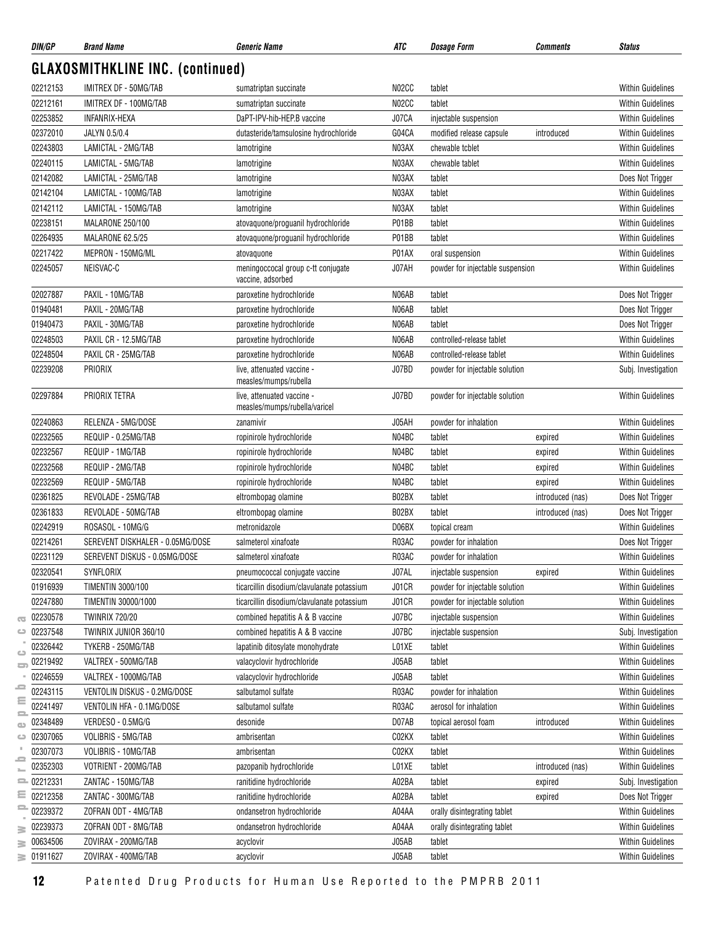| DIN/GP               | <b>Brand Name</b>                       | <b>Generic Name</b>                                         | ATC   | <b>Dosage Form</b>               | <b>Comments</b>  | <b>Status</b>            |
|----------------------|-----------------------------------------|-------------------------------------------------------------|-------|----------------------------------|------------------|--------------------------|
|                      | <b>GLAXOSMITHKLINE INC. (continued)</b> |                                                             |       |                                  |                  |                          |
| 02212153             | IMITREX DF - 50MG/TAB                   | sumatriptan succinate                                       | N02CC | tablet                           |                  | <b>Within Guidelines</b> |
| 02212161             | IMITREX DF - 100MG/TAB                  | sumatriptan succinate                                       | N02CC | tablet                           |                  | <b>Within Guidelines</b> |
| 02253852             | <b>INFANRIX-HEXA</b>                    | DaPT-IPV-hib-HEP.B vaccine                                  | J07CA | injectable suspension            |                  | <b>Within Guidelines</b> |
| 02372010             | JALYN 0.5/0.4                           | dutasteride/tamsulosine hydrochloride                       | G04CA | modified release capsule         | introduced       | <b>Within Guidelines</b> |
| 02243803             | LAMICTAL - 2MG/TAB                      | lamotrigine                                                 | N03AX | chewable tcblet                  |                  | <b>Within Guidelines</b> |
| 02240115             | LAMICTAL - 5MG/TAB                      | lamotrigine                                                 | N03AX | chewable tablet                  |                  | <b>Within Guidelines</b> |
| 02142082             | LAMICTAL - 25MG/TAB                     | lamotrigine                                                 | N03AX | tablet                           |                  | Does Not Trigger         |
| 02142104             | LAMICTAL - 100MG/TAB                    | lamotrigine                                                 | N03AX | tablet                           |                  | <b>Within Guidelines</b> |
| 02142112             | LAMICTAL - 150MG/TAB                    | lamotrigine                                                 | N03AX | tablet                           |                  | <b>Within Guidelines</b> |
| 02238151             | MALARONE 250/100                        | atovaquone/proguanil hydrochloride                          | P01BB | tablet                           |                  | <b>Within Guidelines</b> |
| 02264935             | MALARONE 62.5/25                        | atovaquone/proguanil hydrochloride                          | P01BB | tablet                           |                  | <b>Within Guidelines</b> |
| 02217422             | MEPRON - 150MG/ML                       | atovaquone                                                  | P01AX | oral suspension                  |                  | <b>Within Guidelines</b> |
| 02245057             | NEISVAC-C                               | meningoccocal group c-tt conjugate<br>vaccine, adsorbed     | J07AH | powder for injectable suspension |                  | <b>Within Guidelines</b> |
| 02027887             | PAXIL - 10MG/TAB                        | paroxetine hydrochloride                                    | N06AB | tablet                           |                  | Does Not Trigger         |
| 01940481             | PAXIL - 20MG/TAB                        | paroxetine hydrochloride                                    | N06AB | tablet                           |                  | Does Not Trigger         |
| 01940473             | PAXIL - 30MG/TAB                        | paroxetine hydrochloride                                    | N06AB | tablet                           |                  | Does Not Trigger         |
| 02248503             | PAXIL CR - 12.5MG/TAB                   | paroxetine hydrochloride                                    | N06AB | controlled-release tablet        |                  | <b>Within Guidelines</b> |
| 02248504             | PAXIL CR - 25MG/TAB                     | paroxetine hydrochloride                                    | N06AB | controlled-release tablet        |                  | <b>Within Guidelines</b> |
| 02239208             | PRIORIX                                 | live, attenuated vaccine -<br>measles/mumps/rubella         | J07BD | powder for injectable solution   |                  | Subj. Investigation      |
| 02297884             | PRIORIX TETRA                           | live, attenuated vaccine -<br>measles/mumps/rubella/varicel | J07BD | powder for injectable solution   |                  | <b>Within Guidelines</b> |
| 02240863             | RELENZA - 5MG/DOSE                      | zanamivir                                                   | J05AH | powder for inhalation            |                  | <b>Within Guidelines</b> |
| 02232565             | REQUIP - 0.25MG/TAB                     | ropinirole hydrochloride                                    | N04BC | tablet                           | expired          | <b>Within Guidelines</b> |
| 02232567             | REQUIP - 1MG/TAB                        | ropinirole hydrochloride                                    | N04BC | tablet                           | expired          | <b>Within Guidelines</b> |
| 02232568             | REQUIP - 2MG/TAB                        | ropinirole hydrochloride                                    | N04BC | tablet                           | expired          | <b>Within Guidelines</b> |
| 02232569             | REQUIP - 5MG/TAB                        | ropinirole hydrochloride                                    | N04BC | tablet                           | expired          | <b>Within Guidelines</b> |
| 02361825             | REVOLADE - 25MG/TAB                     | eltrombopag olamine                                         | B02BX | tablet                           | introduced (nas) | Does Not Trigger         |
| 02361833             | REVOLADE - 50MG/TAB                     | eltrombopag olamine                                         | B02BX | tablet                           | introduced (nas) | Does Not Trigger         |
| 02242919             | ROSASOL - 10MG/G                        | metronidazole                                               | D06BX | topical cream                    |                  | <b>Within Guidelines</b> |
| 02214261             | SEREVENT DISKHALER - 0.05MG/DOSE        | salmeterol xinafoate                                        | R03AC | powder for inhalation            |                  | Does Not Trigger         |
| 02231129             | SEREVENT DISKUS - 0.05MG/DOSE           | salmeterol xinafoate                                        | R03AC | powder for inhalation            |                  | Within Guidelines        |
| 02320541             | SYNFLORIX                               | pneumococcal conjugate vaccine                              | J07AL | injectable suspension            | expired          | <b>Within Guidelines</b> |
| 01916939             | <b>TIMENTIN 3000/100</b>                | ticarcillin disodium/clavulanate potassium                  | J01CR | powder for injectable solution   |                  | <b>Within Guidelines</b> |
| 02247880             | TIMENTIN 30000/1000                     | ticarcillin disodium/clavulanate potassium                  | J01CR | powder for injectable solution   |                  | <b>Within Guidelines</b> |
| 02230578             | <b>TWINRIX 720/20</b>                   | combined hepatitis A & B vaccine                            | J07BC | injectable suspension            |                  | <b>Within Guidelines</b> |
| 02237548             | TWINRIX JUNIOR 360/10                   | combined hepatitis A & B vaccine                            | J07BC | injectable suspension            |                  | Subj. Investigation      |
| 02326442<br>ت        | TYKERB - 250MG/TAB                      | lapatinib ditosylate monohydrate                            | L01XE | tablet                           |                  | <b>Within Guidelines</b> |
| 02219492<br>$\equiv$ | VALTREX - 500MG/TAB                     | valacyclovir hydrochloride                                  | J05AB | tablet                           |                  | <b>Within Guidelines</b> |
| 02246559             | VALTREX - 1000MG/TAB                    | valacyclovir hydrochloride                                  | J05AB | tablet                           |                  | <b>Within Guidelines</b> |
| 02243115             | VENTOLIN DISKUS - 0.2MG/DOSE            | salbutamol sulfate                                          | R03AC | powder for inhalation            |                  | <b>Within Guidelines</b> |
| 02241497             | VENTOLIN HFA - 0.1MG/DOSE               | salbutamol sulfate                                          | R03AC | aerosol for inhalation           |                  | <b>Within Guidelines</b> |
| 02348489             | VERDESO - 0.5MG/G                       | desonide                                                    | D07AB | topical aerosol foam             | introduced       | <b>Within Guidelines</b> |
| 02307065             | VOLIBRIS - 5MG/TAB                      | ambrisentan                                                 | C02KX | tablet                           |                  | Within Guidelines        |
| 02307073             | VOLIBRIS - 10MG/TAB                     | ambrisentan                                                 | C02KX | tablet                           |                  | <b>Within Guidelines</b> |
| 02352303             | VOTRIENT - 200MG/TAB                    | pazopanib hydrochloride                                     | L01XE | tablet                           | introduced (nas) | <b>Within Guidelines</b> |
| 02212331<br>2        | ZANTAC - 150MG/TAB                      | ranitidine hydrochloride                                    | A02BA | tablet                           | expired          | Subj. Investigation      |
| 02212358             | ZANTAC - 300MG/TAB                      | ranitidine hydrochloride                                    | A02BA | tablet                           | expired          | Does Not Trigger         |
| 02239372             | ZOFRAN ODT - 4MG/TAB                    | ondansetron hydrochloride                                   | A04AA | orally disintegrating tablet     |                  | Within Guidelines        |
| 02239373             | ZOFRAN ODT - 8MG/TAB                    | ondansetron hydrochloride                                   | A04AA | orally disintegrating tablet     |                  | <b>Within Guidelines</b> |
| 00634506             | ZOVIRAX - 200MG/TAB                     | acyclovir                                                   | J05AB | tablet                           |                  | Within Guidelines        |
| 01911627<br>3.       | ZOVIRAX - 400MG/TAB                     | acyclovir                                                   | J05AB | tablet                           |                  | Within Guidelines        |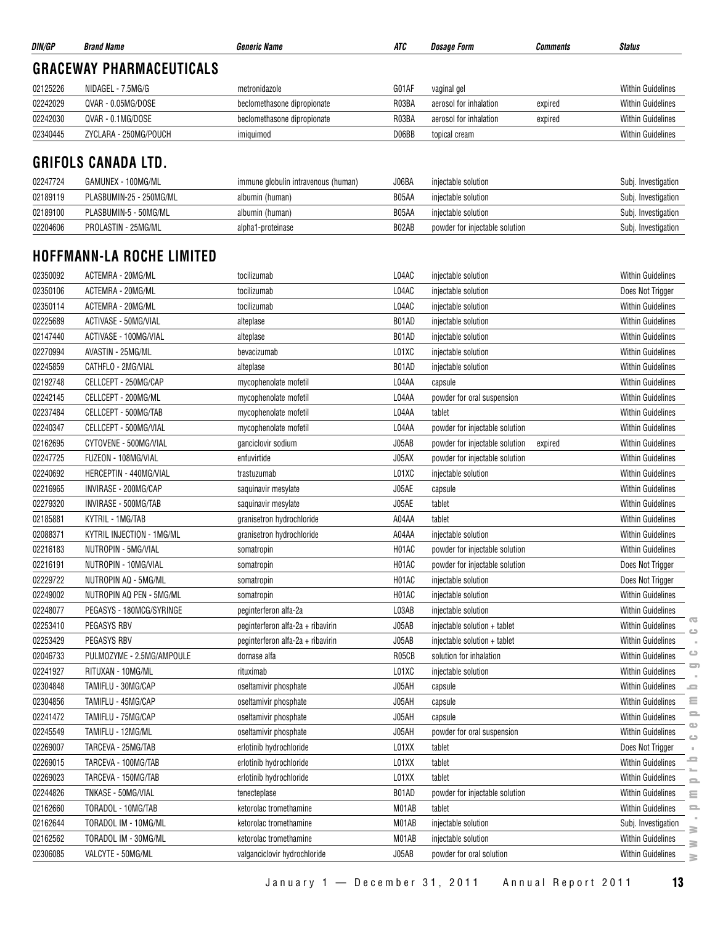| DIN/GP   | <b>Brand Name</b>               | <b>Generic Name</b>         | ATC   | <i><b>Dosage Form</b></i> | <b>Comments</b> | <b>Status</b>            |
|----------|---------------------------------|-----------------------------|-------|---------------------------|-----------------|--------------------------|
|          | <b>GRACEWAY PHARMACEUTICALS</b> |                             |       |                           |                 |                          |
| 02125226 | NIDAGEL - 7.5MG/G               | metronidazole               | G01AF | vaginal gel               |                 | <b>Within Guidelines</b> |
| 02242029 | QVAR - 0.05MG/DOSE              | beclomethasone dipropionate | R03BA | aerosol for inhalation    | expired         | <b>Within Guidelines</b> |
| 02242030 | QVAR - 0.1MG/DOSE               | beclomethasone dipropionate | R03BA | aerosol for inhalation    | expired         | <b>Within Guidelines</b> |
| 02340445 | ZYCLARA - 250MG/POUCH           | imiguimod                   | D06BB | topical cream             |                 | <b>Within Guidelines</b> |
|          | <b>CRIFOLO CANADA ITR</b>       |                             |       |                           |                 |                          |

### **GRIFOLS CANADA LTD.**

| 02247724 | GAMUNEX - 100MG/ML      | immune globulin intravenous (human) | J06BA | iniectable solution            | Subj. Investigation |
|----------|-------------------------|-------------------------------------|-------|--------------------------------|---------------------|
| 02189119 | PLASBUMIN-25 - 250MG/ML | albumin (human)                     | B05AA | iniectable solution            | Subj. Investigation |
| 02189100 | PLASBUMIN-5 - 50MG/ML   | albumin (human)                     | B05AA | iniectable solution            | Subj. Investigation |
| 02204606 | PROLASTIN - 25MG/ML     | alpha1-proteinase                   | B02AB | powder for injectable solution | Subj. Investigation |

## **HOFFMANN-LA ROCHE LIMITED**

| 02350092 | ACTEMRA - 20MG/ML         | tocilizumab                       | L04AC | injectable solution                       | <b>Within Guidelines</b>                                  |
|----------|---------------------------|-----------------------------------|-------|-------------------------------------------|-----------------------------------------------------------|
| 02350106 | ACTEMRA - 20MG/ML         | tocilizumab                       | L04AC | injectable solution                       | Does Not Trigger                                          |
| 02350114 | ACTEMRA - 20MG/ML         | tocilizumab                       | L04AC | injectable solution                       | <b>Within Guidelines</b>                                  |
| 02225689 | ACTIVASE - 50MG/VIAL      | alteplase                         | B01AD | injectable solution                       | <b>Within Guidelines</b>                                  |
| 02147440 | ACTIVASE - 100MG/VIAL     | alteplase                         | B01AD | injectable solution                       | <b>Within Guidelines</b>                                  |
| 02270994 | AVASTIN - 25MG/ML         | bevacizumab                       | L01XC | injectable solution                       | <b>Within Guidelines</b>                                  |
| 02245859 | CATHFLO - 2MG/VIAL        | alteplase                         | B01AD | injectable solution                       | Within Guidelines                                         |
| 02192748 | CELLCEPT - 250MG/CAP      | mycophenolate mofetil             | L04AA | capsule                                   | <b>Within Guidelines</b>                                  |
| 02242145 | CELLCEPT - 200MG/ML       | mycophenolate mofetil             | L04AA | powder for oral suspension                | <b>Within Guidelines</b>                                  |
| 02237484 | CELLCEPT - 500MG/TAB      | mycophenolate mofetil             | L04AA | tablet                                    | <b>Within Guidelines</b>                                  |
| 02240347 | CELLCEPT - 500MG/VIAL     | mycophenolate mofetil             | L04AA | powder for injectable solution            | <b>Within Guidelines</b>                                  |
| 02162695 | CYTOVENE - 500MG/VIAL     | ganciclovir sodium                | J05AB | powder for injectable solution<br>expired | <b>Within Guidelines</b>                                  |
| 02247725 | FUZEON - 108MG/VIAL       | enfuvirtide                       | J05AX | powder for injectable solution            | <b>Within Guidelines</b>                                  |
| 02240692 | HERCEPTIN - 440MG/VIAL    | trastuzumab                       | L01XC | injectable solution                       | <b>Within Guidelines</b>                                  |
| 02216965 | INVIRASE - 200MG/CAP      | saquinavir mesylate               | J05AE | capsule                                   | <b>Within Guidelines</b>                                  |
| 02279320 | INVIRASE - 500MG/TAB      | saquinavir mesylate               | J05AE | tablet                                    | <b>Within Guidelines</b>                                  |
| 02185881 | KYTRIL - 1MG/TAB          | granisetron hydrochloride         | A04AA | tablet                                    | <b>Within Guidelines</b>                                  |
| 02088371 | KYTRIL INJECTION - 1MG/ML | granisetron hydrochloride         | A04AA | injectable solution                       | <b>Within Guidelines</b>                                  |
| 02216183 | NUTROPIN - 5MG/VIAL       | somatropin                        | H01AC | powder for injectable solution            | <b>Within Guidelines</b>                                  |
| 02216191 | NUTROPIN - 10MG/VIAL      | somatropin                        | H01AC | powder for injectable solution            | Does Not Trigger                                          |
| 02229722 | NUTROPIN AQ - 5MG/ML      | somatropin                        | H01AC | injectable solution                       | Does Not Trigger                                          |
| 02249002 | NUTROPIN AQ PEN - 5MG/ML  | somatropin                        | H01AC | injectable solution                       | <b>Within Guidelines</b>                                  |
| 02248077 | PEGASYS - 180MCG/SYRINGE  | peginterferon alfa-2a             | L03AB | injectable solution                       | <b>Within Guidelines</b>                                  |
| 02253410 | PEGASYS RBV               | peginterferon alfa-2a + ribavirin | J05AB | injectable solution + tablet              | $\overline{\mathbb{C}}$<br><b>Within Guidelines</b><br>ده |
| 02253429 | PEGASYS RBV               | peginterferon alfa-2a + ribavirin | J05AB | injectable solution + tablet              | <b>Within Guidelines</b>                                  |
| 02046733 | PULMOZYME - 2.5MG/AMPOULE | dornase alfa                      | R05CB | solution for inhalation                   | $\circ$<br>Within Guidelines                              |
| 02241927 | RITUXAN - 10MG/ML         | rituximab                         | L01XC | injectable solution                       | ᇹ<br><b>Within Guidelines</b>                             |
| 02304848 | TAMIFLU - 30MG/CAP        | oseltamivir phosphate             | J05AH | capsule                                   | <b>Within Guidelines</b><br>$\qquad \qquad =$             |
| 02304856 | TAMIFLU - 45MG/CAP        | oseltamivir phosphate             | J05AH | capsule                                   | $\equiv$<br><b>Within Guidelines</b>                      |
| 02241472 | TAMIFLU - 75MG/CAP        | oseltamivir phosphate             | J05AH | capsule                                   | $\equiv$<br><b>Within Guidelines</b>                      |
| 02245549 | TAMIFLU - 12MG/ML         | oseltamivir phosphate             | J05AH | powder for oral suspension                | $\bigcirc$<br>Within Guidelines<br>$\bigcirc$             |
| 02269007 | TARCEVA - 25MG/TAB        | erlotinib hydrochloride           | L01XX | tablet                                    | Does Not Trigger                                          |
| 02269015 | TARCEVA - 100MG/TAB       | erlotinib hydrochloride           | L01XX | tablet                                    | ᆖ<br><b>Within Guidelines</b>                             |
| 02269023 | TARCEVA - 150MG/TAB       | erlotinib hydrochloride           | L01XX | tablet                                    | <b>Within Guidelines</b><br>$\equiv$                      |
| 02244826 | TNKASE - 50MG/VIAL        | tenecteplase                      | B01AD | powder for injectable solution            | <b>Within Guidelines</b><br>Ξ                             |
| 02162660 | TORADOL - 10MG/TAB        | ketorolac tromethamine            | M01AB | tablet                                    | $\equiv$<br><b>Within Guidelines</b>                      |
| 02162644 | TORADOL IM - 10MG/ML      | ketorolac tromethamine            | M01AB | injectable solution                       | Subj. Investigation<br>s                                  |
| 02162562 | TORADOL IM - 30MG/ML      | ketorolac tromethamine            | M01AB | injectable solution                       | Within Guidelines<br>≧                                    |
| 02306085 | VALCYTE - 50MG/ML         | valganciclovir hydrochloride      | J05AB | powder for oral solution                  | <b>Within Guidelines</b><br>$\geq$                        |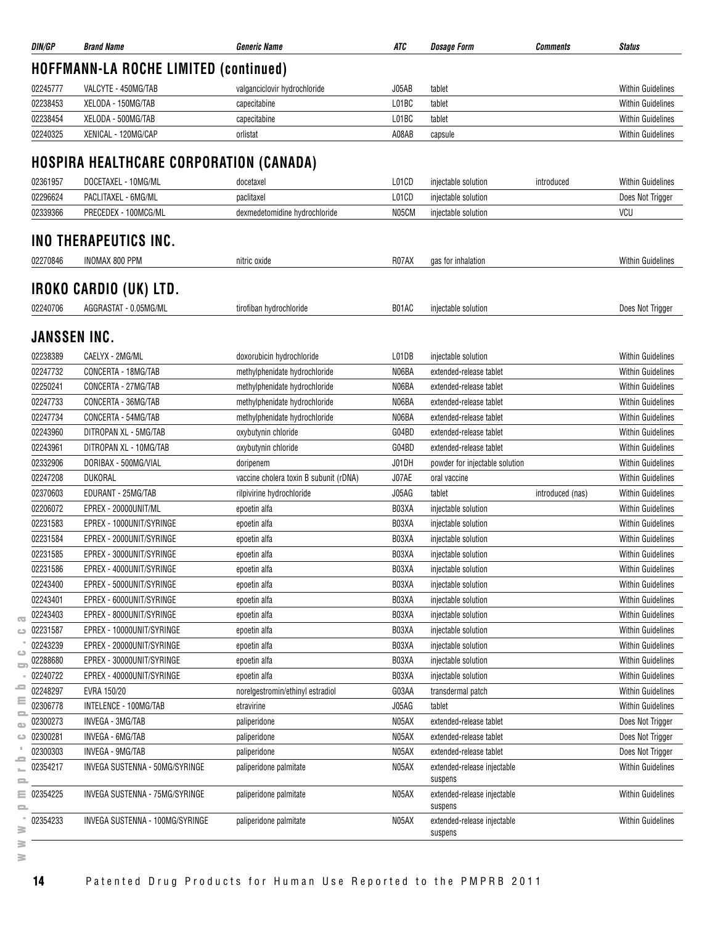| DIN/GP              | <b>Brand Name</b>                              | <b>Generic Name</b>                    | ATC   | <b>Dosage Form</b>                         | <b>Comments</b>  | <b>Status</b>            |
|---------------------|------------------------------------------------|----------------------------------------|-------|--------------------------------------------|------------------|--------------------------|
|                     | HOFFMANN-LA ROCHE LIMITED (continued)          |                                        |       |                                            |                  |                          |
| 02245777            | VALCYTE - 450MG/TAB                            | valganciclovir hydrochloride           | J05AB | tablet                                     |                  | <b>Within Guidelines</b> |
| 02238453            | XELODA - 150MG/TAB                             | capecitabine                           | L01BC | tablet                                     |                  | <b>Within Guidelines</b> |
| 02238454            | XELODA - 500MG/TAB                             | capecitabine                           | L01BC | tablet                                     |                  | <b>Within Guidelines</b> |
| 02240325            | XENICAL - 120MG/CAP                            | orlistat                               | A08AB | capsule                                    |                  | <b>Within Guidelines</b> |
|                     | <b>HOSPIRA HEALTHCARE CORPORATION (CANADA)</b> |                                        |       |                                            |                  |                          |
| 02361957            | DOCETAXEL - 10MG/ML                            |                                        | L01CD |                                            |                  | <b>Within Guidelines</b> |
| 02296624            | PACLITAXEL - 6MG/ML                            | docetaxel                              | L01CD | injectable solution<br>injectable solution | introduced       |                          |
| 02339366            | PRECEDEX - 100MCG/ML                           | paclitaxel                             | N05CM |                                            |                  | Does Not Trigger<br>VCU  |
|                     |                                                | dexmedetomidine hydrochloride          |       | injectable solution                        |                  |                          |
|                     | INO THERAPEUTICS INC.                          |                                        |       |                                            |                  |                          |
| 02270846            | <b>INOMAX 800 PPM</b>                          | nitric oxide                           | R07AX | gas for inhalation                         |                  | <b>Within Guidelines</b> |
|                     | IROKO CARDIO (UK) LTD.                         |                                        |       |                                            |                  |                          |
| 02240706            | AGGRASTAT - 0.05MG/ML                          | tirofiban hydrochloride                | B01AC | injectable solution                        |                  | Does Not Trigger         |
| <b>JANSSEN INC.</b> |                                                |                                        |       |                                            |                  |                          |
| 02238389            | CAELYX - 2MG/ML                                | doxorubicin hydrochloride              | L01DB | injectable solution                        |                  | <b>Within Guidelines</b> |
| 02247732            | CONCERTA - 18MG/TAB                            | methylphenidate hydrochloride          | N06BA | extended-release tablet                    |                  | <b>Within Guidelines</b> |
| 02250241            | CONCERTA - 27MG/TAB                            | methylphenidate hydrochloride          | N06BA | extended-release tablet                    |                  | <b>Within Guidelines</b> |
| 02247733            | CONCERTA - 36MG/TAB                            | methylphenidate hydrochloride          | N06BA | extended-release tablet                    |                  | <b>Within Guidelines</b> |
| 02247734            | CONCERTA - 54MG/TAB                            | methylphenidate hydrochloride          | N06BA | extended-release tablet                    |                  | <b>Within Guidelines</b> |
| 02243960            | DITROPAN XL - 5MG/TAB                          | oxybutynin chloride                    | G04BD | extended-release tablet                    |                  | <b>Within Guidelines</b> |
| 02243961            | DITROPAN XL - 10MG/TAB                         | oxybutynin chloride                    | G04BD | extended-release tablet                    |                  | <b>Within Guidelines</b> |
| 02332906            | DORIBAX - 500MG/VIAL                           | doripenem                              | J01DH | powder for injectable solution             |                  | <b>Within Guidelines</b> |
| 02247208            | DUKORAL                                        | vaccine cholera toxin B subunit (rDNA) | J07AE | oral vaccine                               |                  | <b>Within Guidelines</b> |
| 02370603            | EDURANT - 25MG/TAB                             | rilpivirine hydrochloride              | J05AG | tablet                                     | introduced (nas) | <b>Within Guidelines</b> |
| 02206072            | EPREX - 20000UNIT/ML                           | epoetin alfa                           | B03XA | injectable solution                        |                  | <b>Within Guidelines</b> |
| 02231583            | EPREX - 1000UNIT/SYRINGE                       |                                        | B03XA |                                            |                  | <b>Within Guidelines</b> |
|                     |                                                | epoetin alfa                           |       | injectable solution                        |                  |                          |
| 02231584            | EPREX - 2000UNIT/SYRINGE                       | epoetin alfa                           | B03XA | injectable solution                        |                  | <b>Within Guidelines</b> |
| 02231585            | EPREX - 3000UNIT/SYRINGE                       | epoetin alfa                           | B03XA | injectable solution                        |                  | <b>Within Guidelines</b> |
| 02231586            | EPREX - 4000UNIT/SYRINGE                       | epoetin alfa                           | B03XA | injectable solution                        |                  | <b>Within Guidelines</b> |
| 02243400            | EPREX - 5000UNIT/SYRINGE                       | epoetin alfa                           | B03XA | injectable solution                        |                  | <b>Within Guidelines</b> |
| 02243401            | EPREX - 6000UNIT/SYRINGE                       | epoetin alfa                           | B03XA | injectable solution                        |                  | <b>Within Guidelines</b> |
| 02243403            | EPREX - 8000UNIT/SYRINGE                       | epoetin alfa                           | B03XA | injectable solution                        |                  | <b>Within Guidelines</b> |
| 02231587            | EPREX - 10000UNIT/SYRINGE                      | epoetin alfa                           | B03XA | injectable solution                        |                  | <b>Within Guidelines</b> |
| 02243239            | EPREX - 20000UNIT/SYRINGE                      | epoetin alfa                           | B03XA | injectable solution                        |                  | <b>Within Guidelines</b> |
| 02288680            | EPREX - 30000UNIT/SYRINGE                      | epoetin alfa                           | B03XA | injectable solution                        |                  | <b>Within Guidelines</b> |
| 02240722            | EPREX - 40000UNIT/SYRINGE                      | epoetin alfa                           | B03XA | injectable solution                        |                  | <b>Within Guidelines</b> |
| 02248297            | EVRA 150/20                                    | norelgestromin/ethinyl estradiol       | G03AA | transdermal patch                          |                  | <b>Within Guidelines</b> |
| 02306778            | INTELENCE - 100MG/TAB                          | etravirine                             | J05AG | tablet                                     |                  | <b>Within Guidelines</b> |
| 02300273            | INVEGA - 3MG/TAB                               | paliperidone                           | N05AX | extended-release tablet                    |                  | Does Not Trigger         |
| 02300281            | INVEGA - 6MG/TAB                               | paliperidone                           | N05AX | extended-release tablet                    |                  | Does Not Trigger         |
| 02300303            | INVEGA - 9MG/TAB                               | paliperidone                           | N05AX | extended-release tablet                    |                  | Does Not Trigger         |
| 02354217            | INVEGA SUSTENNA - 50MG/SYRINGE                 | paliperidone palmitate                 | N05AX | extended-release injectable<br>suspens     |                  | Within Guidelines        |
| $\equiv 02354225$   | INVEGA SUSTENNA - 75MG/SYRINGE                 | paliperidone palmitate                 | N05AX | extended-release injectable<br>suspens     |                  | Within Guidelines        |
| 02354233            | INVEGA SUSTENNA - 100MG/SYRINGE                | paliperidone palmitate                 | N05AX | extended-release injectable<br>suspens     |                  | <b>Within Guidelines</b> |

**14** Patented Drug Products for Human Use Reported to the PMPRB 2011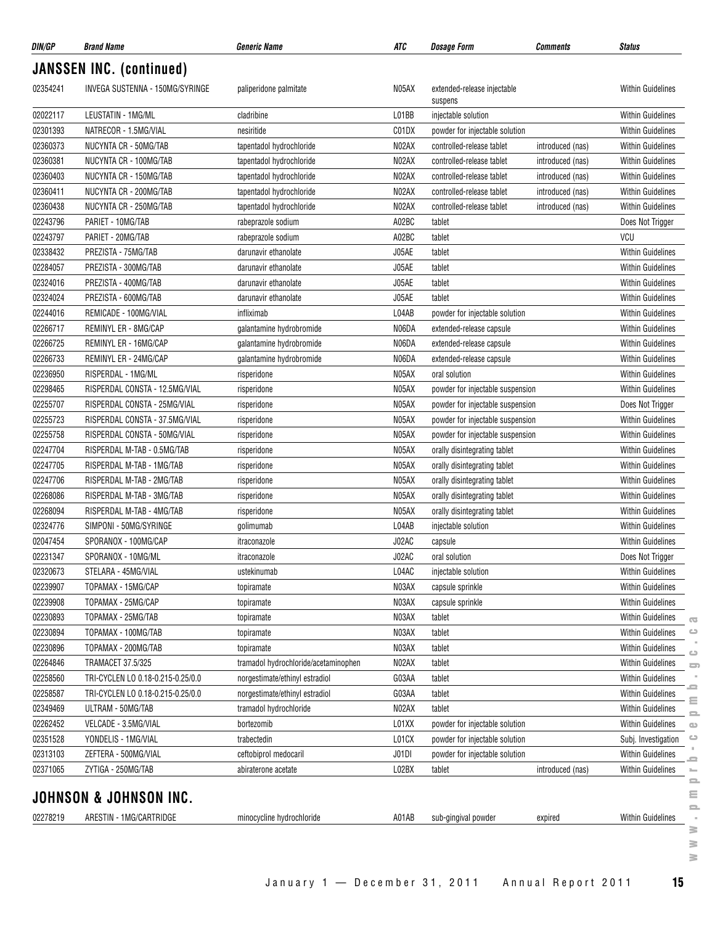| 02354241<br>02022117<br>02301393<br>02360373 | <b>JANSSEN INC. (continued)</b><br>INVEGA SUSTENNA - 150MG/SYRINGE | paliperidone palmitate               |       |                                        |                  |                          |
|----------------------------------------------|--------------------------------------------------------------------|--------------------------------------|-------|----------------------------------------|------------------|--------------------------|
|                                              |                                                                    |                                      |       |                                        |                  |                          |
|                                              |                                                                    |                                      | N05AX | extended-release injectable<br>suspens |                  | <b>Within Guidelines</b> |
|                                              | LEUSTATIN - 1MG/ML                                                 | cladribine                           | L01BB | injectable solution                    |                  | Within Guidelines        |
|                                              | NATRECOR - 1.5MG/VIAL                                              | nesiritide                           | C01DX | powder for injectable solution         |                  | <b>Within Guidelines</b> |
|                                              | NUCYNTA CR - 50MG/TAB                                              | tapentadol hydrochloride             | N02AX | controlled-release tablet              | introduced (nas) | Within Guidelines        |
| 02360381                                     | NUCYNTA CR - 100MG/TAB                                             | tapentadol hydrochloride             | N02AX | controlled-release tablet              | introduced (nas) | <b>Within Guidelines</b> |
| 02360403                                     | NUCYNTA CR - 150MG/TAB                                             | tapentadol hydrochloride             | N02AX | controlled-release tablet              | introduced (nas) | <b>Within Guidelines</b> |
| 02360411                                     | NUCYNTA CR - 200MG/TAB                                             | tapentadol hydrochloride             | N02AX | controlled-release tablet              | introduced (nas) | Within Guidelines        |
| 02360438                                     | NUCYNTA CR - 250MG/TAB                                             | tapentadol hydrochloride             | N02AX | controlled-release tablet              | introduced (nas) | <b>Within Guidelines</b> |
| 02243796                                     | PARIET - 10MG/TAB                                                  | rabeprazole sodium                   | A02BC | tablet                                 |                  | Does Not Trigger         |
| 02243797                                     | PARIET - 20MG/TAB                                                  | rabeprazole sodium                   | A02BC | tablet                                 |                  | <b>VCU</b>               |
| 02338432                                     | PREZISTA - 75MG/TAB                                                | darunavir ethanolate                 | J05AE | tablet                                 |                  | <b>Within Guidelines</b> |
| 02284057                                     | PREZISTA - 300MG/TAB                                               | darunavir ethanolate                 | J05AE | tablet                                 |                  | <b>Within Guidelines</b> |
| 02324016                                     | PREZISTA - 400MG/TAB                                               | darunavir ethanolate                 | J05AE | tablet                                 |                  | <b>Within Guidelines</b> |
| 02324024                                     | PREZISTA - 600MG/TAB                                               | darunavir ethanolate                 | J05AE | tablet                                 |                  | Within Guidelines        |
| 02244016                                     | REMICADE - 100MG/VIAL                                              | infliximab                           | L04AB | powder for injectable solution         |                  | <b>Within Guidelines</b> |
| 02266717                                     | REMINYL ER - 8MG/CAP                                               | galantamine hydrobromide             | N06DA | extended-release capsule               |                  | Within Guidelines        |
| 02266725                                     | REMINYL ER - 16MG/CAP                                              | galantamine hydrobromide             | N06DA | extended-release capsule               |                  | <b>Within Guidelines</b> |
| 02266733                                     | REMINYL ER - 24MG/CAP                                              | galantamine hydrobromide             | N06DA | extended-release capsule               |                  | <b>Within Guidelines</b> |
| 02236950                                     | RISPERDAL - 1MG/ML                                                 | risperidone                          | N05AX | oral solution                          |                  | <b>Within Guidelines</b> |
| 02298465                                     | RISPERDAL CONSTA - 12.5MG/VIAL                                     | risperidone                          | N05AX | powder for injectable suspension       |                  | <b>Within Guidelines</b> |
| 02255707                                     | RISPERDAL CONSTA - 25MG/VIAL                                       | risperidone                          | N05AX | powder for injectable suspension       |                  | Does Not Trigger         |
| 02255723                                     | RISPERDAL CONSTA - 37.5MG/VIAL                                     | risperidone                          | N05AX | powder for injectable suspension       |                  | Within Guidelines        |
| 02255758                                     | RISPERDAL CONSTA - 50MG/VIAL                                       | risperidone                          | N05AX | powder for injectable suspension       |                  | <b>Within Guidelines</b> |
| 02247704                                     | RISPERDAL M-TAB - 0.5MG/TAB                                        | risperidone                          | N05AX | orally disintegrating tablet           |                  | <b>Within Guidelines</b> |
| 02247705                                     | RISPERDAL M-TAB - 1MG/TAB                                          | risperidone                          | N05AX | orally disintegrating tablet           |                  | Within Guidelines        |
| 02247706                                     | RISPERDAL M-TAB - 2MG/TAB                                          | risperidone                          | N05AX | orally disintegrating tablet           |                  | Within Guidelines        |
| 02268086                                     | RISPERDAL M-TAB - 3MG/TAB                                          | risperidone                          | N05AX | orally disintegrating tablet           |                  | Within Guidelines        |
| 02268094                                     | RISPERDAL M-TAB - 4MG/TAB                                          | risperidone                          | N05AX | orally disintegrating tablet           |                  | <b>Within Guidelines</b> |
| 02324776                                     | SIMPONI - 50MG/SYRINGE                                             | golimumab                            | L04AB | injectable solution                    |                  | <b>Within Guidelines</b> |
| 02047454                                     | SPORANOX - 100MG/CAP                                               | itraconazole                         | J02AC | capsule                                |                  | <b>Within Guidelines</b> |
| 02231347                                     | SPORANOX - 10MG/ML                                                 | itraconazole                         | J02AC | oral solution                          |                  | Does Not Trigger         |
| 02320673                                     | STELARA - 45MG/VIAL                                                | ustekinumab                          | L04AC | injectable solution                    |                  | Within Guidelines        |
| 02239907                                     | TOPAMAX - 15MG/CAP                                                 | topiramate                           | N03AX | capsule sprinkle                       |                  | Within Guidelines        |
| 02239908                                     | TOPAMAX - 25MG/CAP                                                 | topiramate                           | N03AX | capsule sprinkle                       |                  | Within Guidelines        |
| 02230893                                     | TOPAMAX - 25MG/TAB                                                 | topiramate                           | N03AX | tablet                                 |                  | Within Guidelines        |
| 02230894                                     | TOPAMAX - 100MG/TAB                                                | topiramate                           | N03AX | tablet                                 |                  | <b>Within Guidelines</b> |
| 02230896                                     | TOPAMAX - 200MG/TAB                                                | topiramate                           | N03AX | tablet                                 |                  | <b>Within Guidelines</b> |
| 02264846                                     | TRAMACET 37.5/325                                                  | tramadol hydrochloride/acetaminophen | N02AX | tablet                                 |                  | <b>Within Guidelines</b> |
| 02258560                                     | TRI-CYCLEN LO 0.18-0.215-0.25/0.0                                  | norgestimate/ethinyl estradiol       | G03AA | tablet                                 |                  | Within Guidelines        |
| 02258587                                     | TRI-CYCLEN LO 0.18-0.215-0.25/0.0                                  | norgestimate/ethinyl estradiol       | G03AA | tablet                                 |                  | Within Guidelines        |
| 02349469                                     | ULTRAM - 50MG/TAB                                                  | tramadol hydrochloride               | N02AX | tablet                                 |                  | <b>Within Guidelines</b> |
| 02262452                                     | VELCADE - 3.5MG/VIAL                                               | bortezomib                           | L01XX | powder for injectable solution         |                  | <b>Within Guidelines</b> |
| 02351528                                     | YONDELIS - 1MG/VIAL                                                | trabectedin                          | L01CX | powder for injectable solution         |                  | Subj. Investigation      |
| 02313103                                     | ZEFTERA - 500MG/VIAL                                               | ceftobiprol medocaril                | J01DI | powder for injectable solution         |                  | Within Guidelines        |
| 02371065                                     | ZYTIGA - 250MG/TAB                                                 | abiraterone acetate                  | L02BX | tablet                                 | introduced (nas) | Within Guidelines        |
|                                              |                                                                    |                                      |       |                                        |                  |                          |
|                                              | <b>JOHNSON &amp; JOHNSON INC.</b><br>ARESTIN - 1MG/CARTRIDGE       |                                      |       |                                        |                  |                          |
| 02278219                                     |                                                                    | minocycline hydrochloride            | A01AB | sub-gingival powder                    | expired          | <b>Within Guidelines</b> |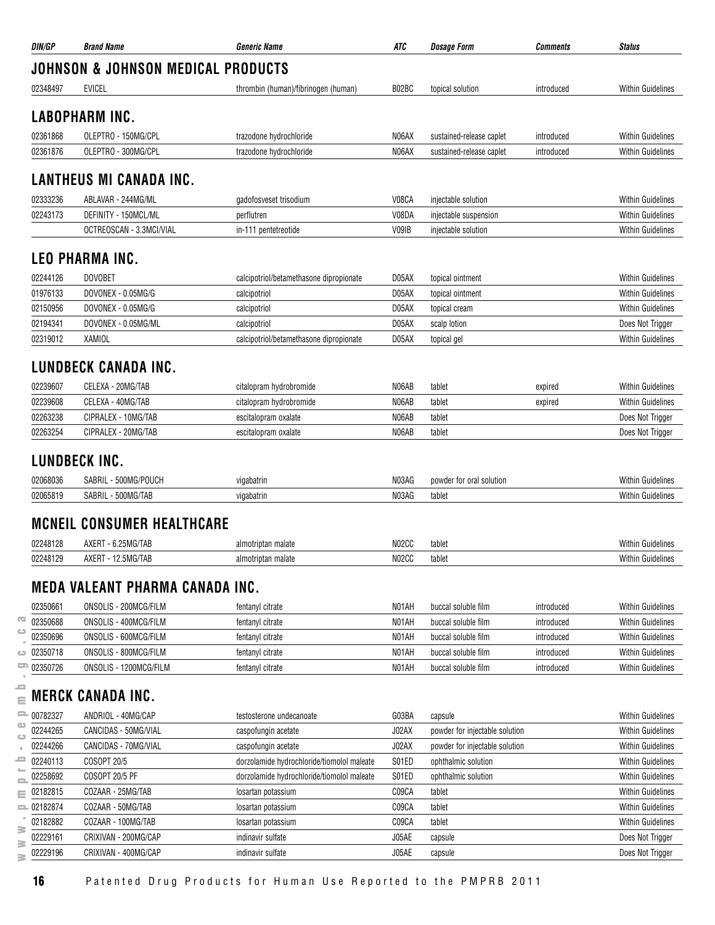| DIN/GP   | <b>Brand Name</b>                      | <i><b>Generic Name</b></i>                 | ATC   | <b>Dosage Form</b>                 | Comments   | <b>Status</b>            |
|----------|----------------------------------------|--------------------------------------------|-------|------------------------------------|------------|--------------------------|
|          | JOHNSON & JOHNSON MEDICAL PRODUCTS     |                                            |       |                                    |            |                          |
| 02348497 | <b>EVICEL</b>                          | thrombin (human)/fibrinogen (human)        | B02BC | topical solution                   | introduced | <b>Within Guidelines</b> |
|          | <b>LABOPHARM INC.</b>                  |                                            |       |                                    |            |                          |
|          |                                        |                                            |       |                                    |            |                          |
| 02361868 | OLEPTRO - 150MG/CPL                    | trazodone hydrochloride                    | N06AX | sustained-release caplet           | introduced | <b>Within Guidelines</b> |
| 02361876 | OLEPTRO - 300MG/CPL                    | trazodone hydrochloride                    | N06AX | sustained-release caplet           | introduced | <b>Within Guidelines</b> |
|          | <b>LANTHEUS MI CANADA INC.</b>         |                                            |       |                                    |            |                          |
| 02333236 | ABLAVAR - 244MG/ML                     | gadofosveset trisodium                     | V08CA | injectable solution                |            | <b>Within Guidelines</b> |
| 02243173 | DEFINITY - 150MCL/ML                   | perflutren                                 | V08DA | injectable suspension              |            | <b>Within Guidelines</b> |
|          | OCTREOSCAN - 3.3MCI/VIAL               | in-111 pentetreotide                       | V09IB | injectable solution                |            | <b>Within Guidelines</b> |
|          | <b>LEO PHARMA INC.</b>                 |                                            |       |                                    |            |                          |
| 02244126 | <b>DOVOBET</b>                         | calcipotriol/betamethasone dipropionate    | D05AX | topical ointment                   |            | <b>Within Guidelines</b> |
| 01976133 | DOVONEX - 0.05MG/G                     | calcipotriol                               | D05AX | topical ointment                   |            | <b>Within Guidelines</b> |
| 02150956 | DOVONEX - 0.05MG/G                     | calcipotriol                               | D05AX | topical cream                      |            | <b>Within Guidelines</b> |
| 02194341 | DOVONEX - 0.05MG/ML                    | calcipotriol                               | D05AX | scalp lotion                       |            | Does Not Trigger         |
| 02319012 | <b>XAMIOL</b>                          | calcipotriol/betamethasone dipropionate    | D05AX | topical gel                        |            | <b>Within Guidelines</b> |
|          | LUNDBECK CANADA INC.                   |                                            |       |                                    |            |                          |
| 02239607 | CELEXA - 20MG/TAB                      | citalopram hydrobromide                    | N06AB | tablet                             | expired    | <b>Within Guidelines</b> |
| 02239608 | CELEXA - 40MG/TAB                      | citalopram hydrobromide                    | N06AB | tablet                             | expired    | <b>Within Guidelines</b> |
| 02263238 | CIPRALEX - 10MG/TAB                    | escitalopram oxalate                       | N06AB | tablet                             |            | Does Not Trigger         |
| 02263254 | CIPRALEX - 20MG/TAB                    | escitalopram oxalate                       | N06AB | tablet                             |            | Does Not Trigger         |
|          | LUNDBECK INC.                          |                                            |       |                                    |            |                          |
| 02068036 | SABRIL - 500MG/POUCH                   |                                            | N03AG |                                    |            | <b>Within Guidelines</b> |
| 02065819 | SABRIL - 500MG/TAB                     | vigabatrin<br>vigabatrin                   | N03AG | powder for oral solution<br>tablet |            | <b>Within Guidelines</b> |
|          |                                        |                                            |       |                                    |            |                          |
|          | <b>MCNEIL CONSUMER HEALTHCARE</b>      |                                            |       |                                    |            |                          |
| 02248128 | AXERT - 6.25MG/TAB                     | almotriptan malate                         | N02CC | tablet                             |            | <b>Within Guidelines</b> |
| 02248129 | AXERT - 12.5MG/TAB                     | almotriptan malate                         | N02CC | tablet                             |            | <b>Within Guidelines</b> |
|          | <b>MEDA VALEANT PHARMA CANADA INC.</b> |                                            |       |                                    |            |                          |
| 02350661 | ONSOLIS - 200MCG/FILM                  | fentanyl citrate                           | N01AH | buccal soluble film                | introduced | <b>Within Guidelines</b> |
| 02350688 | ONSOLIS - 400MCG/FILM                  | fentanyl citrate                           | N01AH | buccal soluble film                | introduced | <b>Within Guidelines</b> |
| 02350696 | ONSOLIS - 600MCG/FILM                  | fentanyl citrate                           | N01AH | buccal soluble film                | introduced | <b>Within Guidelines</b> |
| 02350718 | ONSOLIS - 800MCG/FILM                  | fentanyl citrate                           | N01AH | buccal soluble film                | introduced | <b>Within Guidelines</b> |
| 02350726 | ONSOLIS - 1200MCG/FILM                 | fentanyl citrate                           | N01AH | buccal soluble film                | introduced | <b>Within Guidelines</b> |
|          | <b>MERCK CANADA INC.</b>               |                                            |       |                                    |            |                          |
| 00782327 | ANDRIOL - 40MG/CAP                     | testosterone undecanoate                   | G03BA | capsule                            |            | <b>Within Guidelines</b> |
| 02244265 | CANCIDAS - 50MG/VIAL                   | caspofungin acetate                        | J02AX | powder for injectable solution     |            | <b>Within Guidelines</b> |
| 02244266 | CANCIDAS - 70MG/VIAL                   | caspofungin acetate                        | J02AX | powder for injectable solution     |            | <b>Within Guidelines</b> |
| 02240113 | COSOPT 20/5                            | dorzolamide hydrochloride/tiomolol maleate | S01ED | ophthalmic solution                |            | <b>Within Guidelines</b> |
| 02258692 | COSOPT 20/5 PF                         | dorzolamide hydrochloride/tiomolol maleate | S01ED | ophthalmic solution                |            | <b>Within Guidelines</b> |
| 02182815 | COZAAR - 25MG/TAB                      | losartan potassium                         | C09CA | tablet                             |            | <b>Within Guidelines</b> |
| 02182874 | COZAAR - 50MG/TAB                      | losartan potassium                         | C09CA | tablet                             |            | <b>Within Guidelines</b> |
| 02182882 | COZAAR - 100MG/TAB                     | losartan potassium                         | C09CA | tablet                             |            | <b>Within Guidelines</b> |
| 02229161 | CRIXIVAN - 200MG/CAP                   | indinavir sulfate                          | J05AE | capsule                            |            | Does Not Trigger         |
| 02229196 | CRIXIVAN - 400MG/CAP                   | indinavir sulfate                          | J05AE | capsule                            |            | Does Not Trigger         |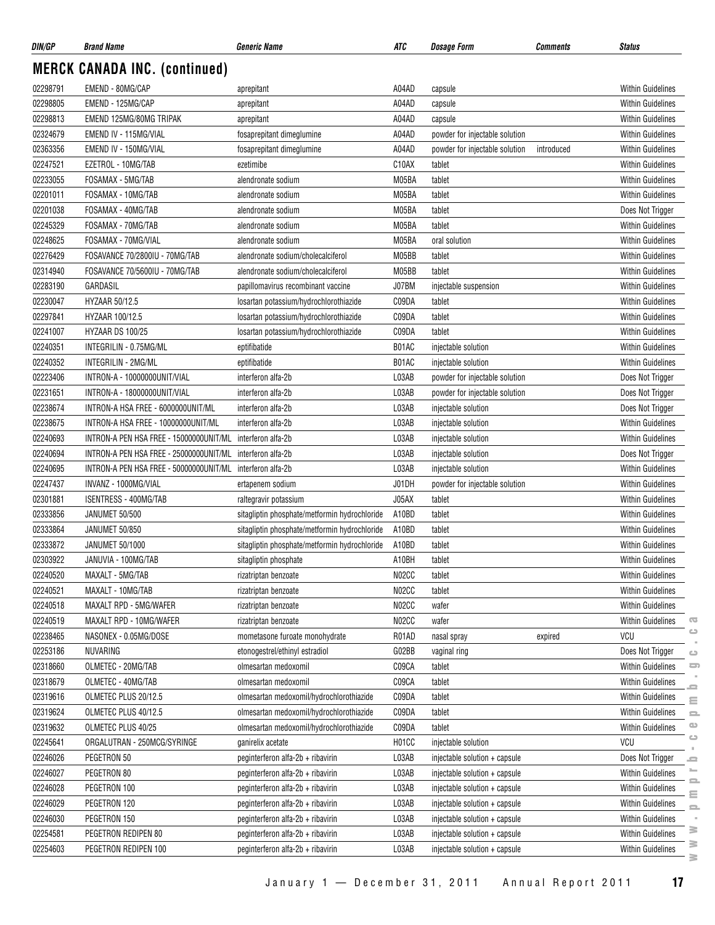| DIN/GP   | <b>Brand Name</b>                                          | <i><b>Generic Name</b></i>                    | ATC   | <b>Dosage Form</b>             | Comments   | <b>Status</b>            |               |
|----------|------------------------------------------------------------|-----------------------------------------------|-------|--------------------------------|------------|--------------------------|---------------|
|          | <b>MERCK CANADA INC. (continued)</b>                       |                                               |       |                                |            |                          |               |
| 02298791 | EMEND - 80MG/CAP                                           | aprepitant                                    | A04AD | capsule                        |            | <b>Within Guidelines</b> |               |
| 02298805 | EMEND - 125MG/CAP                                          | aprepitant                                    | A04AD | capsule                        |            | <b>Within Guidelines</b> |               |
| 02298813 | EMEND 125MG/80MG TRIPAK                                    | aprepitant                                    | A04AD | capsule                        |            | <b>Within Guidelines</b> |               |
| 02324679 | EMEND IV - 115MG/VIAL                                      | fosaprepitant dimeglumine                     | A04AD | powder for injectable solution |            | <b>Within Guidelines</b> |               |
| 02363356 | EMEND IV - 150MG/VIAL                                      | fosaprepitant dimeglumine                     | A04AD | powder for injectable solution | introduced | <b>Within Guidelines</b> |               |
| 02247521 | EZETROL - 10MG/TAB                                         | ezetimibe                                     | C10AX | tablet                         |            | Within Guidelines        |               |
| 02233055 | FOSAMAX - 5MG/TAB                                          | alendronate sodium                            | M05BA | tablet                         |            | <b>Within Guidelines</b> |               |
| 02201011 | FOSAMAX - 10MG/TAB                                         | alendronate sodium                            | M05BA | tablet                         |            | <b>Within Guidelines</b> |               |
| 02201038 | FOSAMAX - 40MG/TAB                                         | alendronate sodium                            | M05BA | tablet                         |            | Does Not Trigger         |               |
| 02245329 | FOSAMAX - 70MG/TAB                                         | alendronate sodium                            | M05BA | tablet                         |            | <b>Within Guidelines</b> |               |
| 02248625 | FOSAMAX - 70MG/VIAL                                        | alendronate sodium                            | M05BA | oral solution                  |            | <b>Within Guidelines</b> |               |
| 02276429 | FOSAVANCE 70/2800IU - 70MG/TAB                             | alendronate sodium/cholecalciferol            | M05BB | tablet                         |            | <b>Within Guidelines</b> |               |
| 02314940 | FOSAVANCE 70/5600IU - 70MG/TAB                             | alendronate sodium/cholecalciferol            | M05BB | tablet                         |            | Within Guidelines        |               |
| 02283190 | GARDASIL                                                   | papillomavirus recombinant vaccine            | J07BM | injectable suspension          |            | <b>Within Guidelines</b> |               |
| 02230047 | <b>HYZAAR 50/12.5</b>                                      | losartan potassium/hydrochlorothiazide        | C09DA | tablet                         |            | <b>Within Guidelines</b> |               |
| 02297841 | HYZAAR 100/12.5                                            | losartan potassium/hydrochlorothiazide        | C09DA | tablet                         |            | <b>Within Guidelines</b> |               |
| 02241007 | HYZAAR DS 100/25                                           | losartan potassium/hydrochlorothiazide        | C09DA | tablet                         |            | <b>Within Guidelines</b> |               |
| 02240351 | INTEGRILIN - 0.75MG/ML                                     | eptifibatide                                  | B01AC | injectable solution            |            | <b>Within Guidelines</b> |               |
| 02240352 | INTEGRILIN - 2MG/ML                                        | eptifibatide                                  | B01AC | injectable solution            |            | <b>Within Guidelines</b> |               |
| 02223406 | INTRON-A - 10000000UNIT/VIAL                               | interferon alfa-2b                            | L03AB | powder for injectable solution |            | Does Not Trigger         |               |
| 02231651 | INTRON-A - 18000000UNIT/VIAL                               | interferon alfa-2b                            | L03AB | powder for injectable solution |            | Does Not Trigger         |               |
| 02238674 | INTRON-A HSA FREE - 6000000UNIT/ML                         | interferon alfa-2b                            | L03AB | injectable solution            |            | Does Not Trigger         |               |
| 02238675 | INTRON-A HSA FREE - 10000000UNIT/ML                        | interferon alfa-2b                            | L03AB | injectable solution            |            | Within Guidelines        |               |
| 02240693 | INTRON-A PEN HSA FREE - 15000000UNIT/ML                    | interferon alfa-2b                            | L03AB | injectable solution            |            | <b>Within Guidelines</b> |               |
| 02240694 | INTRON-A PEN HSA FREE - 25000000UNIT/ML interferon alfa-2b |                                               | L03AB | injectable solution            |            | Does Not Trigger         |               |
| 02240695 | INTRON-A PEN HSA FREE - 50000000UNIT/ML interferon alfa-2b |                                               | L03AB | injectable solution            |            | <b>Within Guidelines</b> |               |
| 02247437 | INVANZ - 1000MG/VIAL                                       | ertapenem sodium                              | J01DH | powder for injectable solution |            | <b>Within Guidelines</b> |               |
| 02301881 | <b>ISENTRESS - 400MG/TAB</b>                               | raltegravir potassium                         | J05AX | tablet                         |            | <b>Within Guidelines</b> |               |
| 02333856 | JANUMET 50/500                                             | sitagliptin phosphate/metformin hydrochloride | A10BD | tablet                         |            | Within Guidelines        |               |
| 02333864 | JANUMET 50/850                                             | sitagliptin phosphate/metformin hydrochloride | A10BD | tablet                         |            | <b>Within Guidelines</b> |               |
| 02333872 | <b>JANUMET 50/1000</b>                                     | sitagliptin phosphate/metformin hydrochloride | A10BD | tablet                         |            | <b>Within Guidelines</b> |               |
| 02303922 | JANUVIA - 100MG/TAB                                        | sitagliptin phosphate                         | A10BH | tablet                         |            | <b>Within Guidelines</b> |               |
| 02240520 | MAXALT - 5MG/TAB                                           | rizatriptan benzoate                          | N02CC | tablet                         |            | <b>Within Guidelines</b> |               |
| 02240521 | MAXALT - 10MG/TAB                                          | rizatriptan benzoate                          | N02CC | tablet                         |            | Within Guidelines        |               |
| 02240518 | MAXALT RPD - 5MG/WAFER                                     | rizatriptan benzoate                          | N02CC | wafer                          |            | Within Guidelines        |               |
| 02240519 | MAXALT RPD - 10MG/WAFER                                    | rizatriptan benzoate                          | N02CC | wafer                          |            | <b>Within Guidelines</b> | Œ             |
| 02238465 | NASONEX - 0.05MG/DOSE                                      | mometasone furoate monohydrate                | R01AD | nasal spray                    | expired    | VCU                      | $\circ$       |
| 02253186 | NUVARING                                                   | etonogestrel/ethinyl estradiol                | G02BB | vaginal ring                   |            | Does Not Trigger         | $\circ$       |
| 02318660 | OLMETEC - 20MG/TAB                                         | olmesartan medoxomil                          | C09CA | tablet                         |            | <b>Within Guidelines</b> | 5             |
| 02318679 | OLMETEC - 40MG/TAB                                         | olmesartan medoxomil                          | C09CA | tablet                         |            | <b>Within Guidelines</b> |               |
| 02319616 | OLMETEC PLUS 20/12.5                                       | olmesartan medoxomil/hydrochlorothiazide      | C09DA | tablet                         |            | Within Guidelines        |               |
| 02319624 | OLMETEC PLUS 40/12.5                                       | olmesartan medoxomil/hydrochlorothiazide      | C09DA | tablet                         |            | <b>Within Guidelines</b> | Ξ<br>$\equiv$ |
| 02319632 | OLMETEC PLUS 40/25                                         | olmesartan medoxomil/hydrochlorothiazide      | C09DA | tablet                         |            | Within Guidelines        | $\bigcirc$    |
| 02245641 | ORGALUTRAN - 250MCG/SYRINGE                                | ganirelix acetate                             | H01CC | injectable solution            |            | VCU                      | $\circ$       |
| 02246026 | PEGETRON 50                                                | peginterferon alfa-2b + ribavirin             | L03AB | injectable solution + capsule  |            | Does Not Trigger         |               |
| 02246027 | PEGETRON 80                                                | peginterferon alfa-2b + ribavirin             | L03AB | injectable solution + capsule  |            | <b>Within Guidelines</b> | ᆖ             |
| 02246028 | PEGETRON 100                                               | peginterferon alfa-2b + ribavirin             | L03AB | injectable solution + capsule  |            | Within Guidelines        |               |
| 02246029 | PEGETRON 120                                               | peginterferon alfa-2b + ribavirin             | L03AB | injectable solution + capsule  |            | Within Guidelines        | Ξ             |
| 02246030 | PEGETRON 150                                               | peginterferon alfa-2b + ribavirin             | L03AB | injectable solution + capsule  |            | Within Guidelines        | $\equiv$      |
| 02254581 | PEGETRON REDIPEN 80                                        | peginterferon alfa-2b + ribavirin             | L03AB | injectable solution + capsule  |            | <b>Within Guidelines</b> | ₹             |
| 02254603 | PEGETRON REDIPEN 100                                       | peginterferon alfa-2b + ribavirin             | L03AB | injectable solution + capsule  |            | <b>Within Guidelines</b> | ≧             |
|          |                                                            |                                               |       |                                |            |                          | 3             |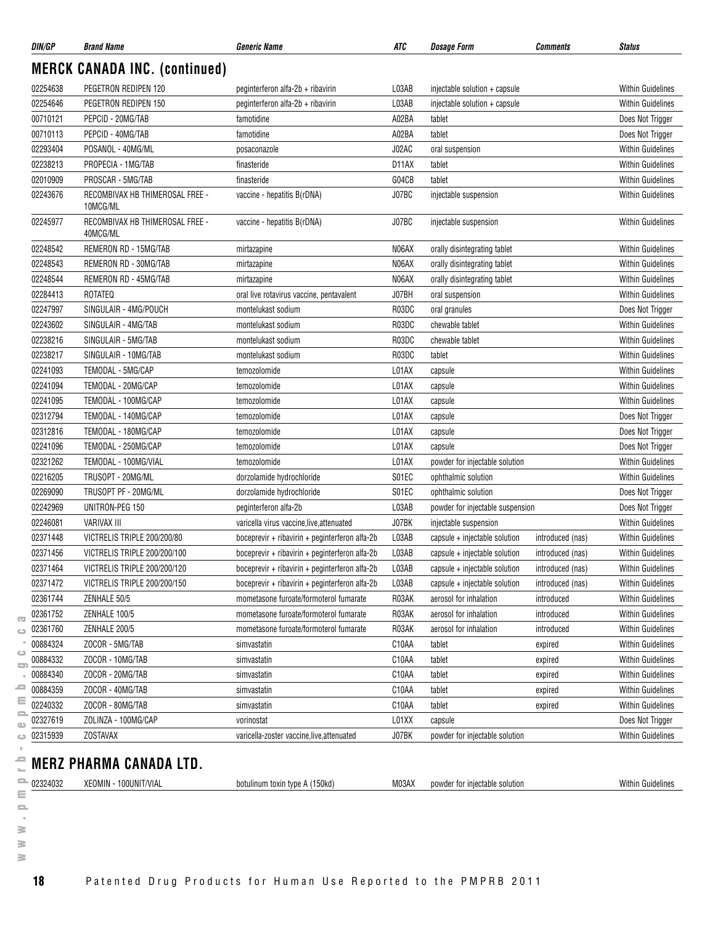| DIN/GP   | <b>Brand Name</b>                           | <b>Generic Name</b>                            | ATC   | <b>Dosage Form</b>               | Comments         | <b>Status</b>            |
|----------|---------------------------------------------|------------------------------------------------|-------|----------------------------------|------------------|--------------------------|
|          | <b>MERCK CANADA INC. (continued)</b>        |                                                |       |                                  |                  |                          |
| 02254638 | PEGETRON REDIPEN 120                        | peginterferon alfa-2b + ribavirin              | L03AB | injectable solution + capsule    |                  | <b>Within Guidelines</b> |
| 02254646 | PEGETRON REDIPEN 150                        | peginterferon alfa-2b + ribavirin              | L03AB | injectable solution + capsule    |                  | <b>Within Guidelines</b> |
| 00710121 | PEPCID - 20MG/TAB                           | famotidine                                     | A02BA | tablet                           |                  | Does Not Trigger         |
| 00710113 | PEPCID - 40MG/TAB                           | famotidine                                     | A02BA | tablet                           |                  | Does Not Trigger         |
| 02293404 | POSANOL - 40MG/ML                           | posaconazole                                   | J02AC | oral suspension                  |                  | <b>Within Guidelines</b> |
| 02238213 | PROPECIA - 1MG/TAB                          | finasteride                                    | D11AX | tablet                           |                  | <b>Within Guidelines</b> |
| 02010909 | PROSCAR - 5MG/TAB                           | finasteride                                    | G04CB | tablet                           |                  | <b>Within Guidelines</b> |
| 02243676 | RECOMBIVAX HB THIMEROSAL FREE -<br>10MCG/ML | vaccine - hepatitis B(rDNA)                    | J07BC | injectable suspension            |                  | <b>Within Guidelines</b> |
| 02245977 | RECOMBIVAX HB THIMEROSAL FREE -<br>40MCG/ML | vaccine - hepatitis B(rDNA)                    | J07BC | injectable suspension            |                  | <b>Within Guidelines</b> |
| 02248542 | REMERON RD - 15MG/TAB                       | mirtazapine                                    | N06AX | orally disintegrating tablet     |                  | <b>Within Guidelines</b> |
| 02248543 | REMERON RD - 30MG/TAB                       | mirtazapine                                    | N06AX | orally disintegrating tablet     |                  | <b>Within Guidelines</b> |
| 02248544 | REMERON RD - 45MG/TAB                       | mirtazapine                                    | N06AX | orally disintegrating tablet     |                  | <b>Within Guidelines</b> |
| 02284413 | ROTATEQ                                     | oral live rotavirus vaccine, pentavalent       | J07BH | oral suspension                  |                  | <b>Within Guidelines</b> |
| 02247997 | SINGULAIR - 4MG/POUCH                       | montelukast sodium                             | R03DC | oral granules                    |                  | Does Not Trigger         |
| 02243602 | SINGULAIR - 4MG/TAB                         | montelukast sodium                             | R03DC | chewable tablet                  |                  | <b>Within Guidelines</b> |
| 02238216 | SINGULAIR - 5MG/TAB                         | montelukast sodium                             | R03DC | chewable tablet                  |                  | <b>Within Guidelines</b> |
| 02238217 | SINGULAIR - 10MG/TAB                        | montelukast sodium                             | R03DC | tablet                           |                  | <b>Within Guidelines</b> |
| 02241093 | TEMODAL - 5MG/CAP                           | temozolomide                                   | L01AX | capsule                          |                  | <b>Within Guidelines</b> |
| 02241094 | TEMODAL - 20MG/CAP                          | temozolomide                                   | L01AX | capsule                          |                  | <b>Within Guidelines</b> |
| 02241095 | TEMODAL - 100MG/CAP                         | temozolomide                                   | L01AX | capsule                          |                  | <b>Within Guidelines</b> |
| 02312794 | TEMODAL - 140MG/CAP                         | temozolomide                                   | L01AX | capsule                          |                  | Does Not Trigger         |
| 02312816 | TEMODAL - 180MG/CAP                         | temozolomide                                   | L01AX | capsule                          |                  | Does Not Trigger         |
| 02241096 | TEMODAL - 250MG/CAP                         | temozolomide                                   | L01AX | capsule                          |                  | Does Not Trigger         |
| 02321262 | TEMODAL - 100MG/VIAL                        | temozolomide                                   | L01AX | powder for injectable solution   |                  | <b>Within Guidelines</b> |
| 02216205 | TRUSOPT - 20MG/ML                           | dorzolamide hydrochloride                      | S01EC | ophthalmic solution              |                  | <b>Within Guidelines</b> |
| 02269090 | TRUSOPT PF - 20MG/ML                        | dorzolamide hydrochloride                      | S01EC | ophthalmic solution              |                  | Does Not Trigger         |
| 02242969 | UNITRON-PEG 150                             | peginterferon alfa-2b                          | L03AB | powder for injectable suspension |                  | Does Not Trigger         |
| 02246081 | <b>VARIVAX III</b>                          | varicella virus vaccine, live, attenuated      | J07BK | injectable suspension            |                  | <b>Within Guidelines</b> |
| 02371448 | VICTRELIS TRIPLE 200/200/80                 | boceprevir + ribavirin + peginterferon alfa-2b | L03AB | capsule + injectable solution    | introduced (nas) | <b>Within Guidelines</b> |
| 02371456 | VICTRELIS TRIPLE 200/200/100                | boceprevir + ribavirin + peginterferon alfa-2b | L03AB | capsule + injectable solution    | introduced (nas) | <b>Within Guidelines</b> |
| 02371464 | VICTRELIS TRIPLE 200/200/120                | boceprevir + ribavirin + peginterferon alfa-2b | L03AB | capsule + injectable solution    | introduced (nas) | <b>Within Guidelines</b> |
| 02371472 | VICTRELIS TRIPLE 200/200/150                | boceprevir + ribavirin + peginterferon alfa-2b | L03AB | capsule + injectable solution    | introduced (nas) | <b>Within Guidelines</b> |
| 02361744 | ZENHALE 50/5                                | mometasone furoate/formoterol fumarate         | R03AK | aerosol for inhalation           | introduced       | <b>Within Guidelines</b> |
| 02361752 | ZENHALE 100/5                               | mometasone furoate/formoterol fumarate         | R03AK | aerosol for inhalation           | introduced       | <b>Within Guidelines</b> |
| 02361760 | ZENHALE 200/5                               | mometasone furoate/formoterol fumarate         | R03AK | aerosol for inhalation           | introduced       | Within Guidelines        |
| 00884324 | ZOCOR - 5MG/TAB                             | simvastatin                                    | C10AA | tablet                           | expired          | <b>Within Guidelines</b> |
| 00884332 | ZOCOR - 10MG/TAB                            | simvastatin                                    | C10AA | tablet                           | expired          | <b>Within Guidelines</b> |
| 00884340 | ZOCOR - 20MG/TAB                            | simvastatin                                    | C10AA | tablet                           | expired          | <b>Within Guidelines</b> |
| 00884359 | ZOCOR - 40MG/TAB                            | simvastatin                                    | C10AA | tablet                           | expired          | <b>Within Guidelines</b> |
| 02240332 | ZOCOR - 80MG/TAB                            | simvastatin                                    | C10AA | tablet                           | expired          | Within Guidelines        |
| 02327619 | ZOLINZA - 100MG/CAP                         | vorinostat                                     | L01XX | capsule                          |                  | Does Not Trigger         |
| 02315939 | <b>ZOSTAVAX</b>                             | varicella-zoster vaccine, live, attenuated     | J07BK | powder for injectable solution   |                  | <b>Within Guidelines</b> |
|          |                                             |                                                |       |                                  |                  |                          |
|          | <b>MERZ PHARMA CANADA LTD.</b>              |                                                |       |                                  |                  |                          |
| 02324032 | XEOMIN - 100UNIT/VIAL                       | botulinum toxin type A (150kd)                 | M03AX | powder for injectable solution   |                  | <b>Within Guidelines</b> |

 $\equiv$  $\sim$  $\geq$  $\geq$  $\geq$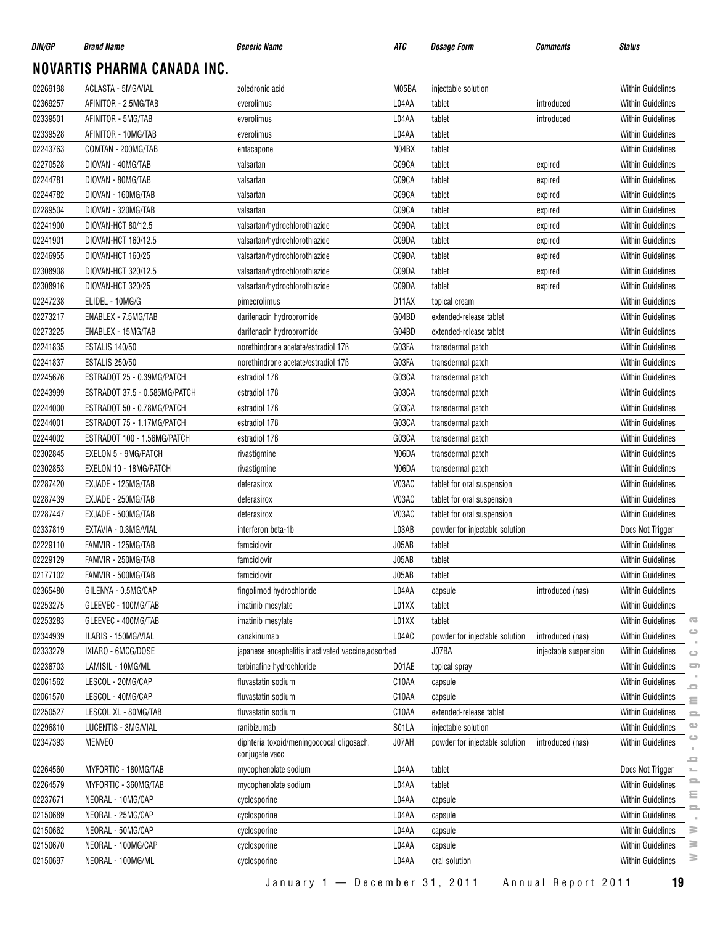| DIN/GP   | <b>Brand Name</b>             | <b>Generic Name</b>                                         | ATC   | <b>Dosage Form</b>             | Comments              | <b>Status</b>                                                                                |
|----------|-------------------------------|-------------------------------------------------------------|-------|--------------------------------|-----------------------|----------------------------------------------------------------------------------------------|
|          | NOVARTIS PHARMA CANADA INC.   |                                                             |       |                                |                       |                                                                                              |
| 02269198 | ACLASTA - 5MG/VIAL            | zoledronic acid                                             | M05BA | injectable solution            |                       | <b>Within Guidelines</b>                                                                     |
| 02369257 | AFINITOR - 2.5MG/TAB          | everolimus                                                  | L04AA | tablet                         | introduced            | Within Guidelines                                                                            |
| 02339501 | AFINITOR - 5MG/TAB            | everolimus                                                  | L04AA | tablet                         | introduced            | Within Guidelines                                                                            |
| 02339528 | AFINITOR - 10MG/TAB           | everolimus                                                  | L04AA | tablet                         |                       | <b>Within Guidelines</b>                                                                     |
| 02243763 | COMTAN - 200MG/TAB            | entacapone                                                  | N04BX | tablet                         |                       | Within Guidelines                                                                            |
| 02270528 | DIOVAN - 40MG/TAB             | valsartan                                                   | C09CA | tablet                         | expired               | <b>Within Guidelines</b>                                                                     |
| 02244781 | DIOVAN - 80MG/TAB             | valsartan                                                   | C09CA | tablet                         | expired               | <b>Within Guidelines</b>                                                                     |
| 02244782 | DIOVAN - 160MG/TAB            | valsartan                                                   | C09CA | tablet                         | expired               | Within Guidelines                                                                            |
| 02289504 | DIOVAN - 320MG/TAB            | valsartan                                                   | C09CA | tablet                         | expired               | Within Guidelines                                                                            |
| 02241900 | DIOVAN-HCT 80/12.5            | valsartan/hydrochlorothiazide                               | C09DA | tablet                         | expired               | <b>Within Guidelines</b>                                                                     |
| 02241901 | DIOVAN-HCT 160/12.5           | valsartan/hydrochlorothiazide                               | C09DA | tablet                         | expired               | Within Guidelines                                                                            |
| 02246955 | DIOVAN-HCT 160/25             | valsartan/hydrochlorothiazide                               | C09DA | tablet                         | expired               | <b>Within Guidelines</b>                                                                     |
| 02308908 | DIOVAN-HCT 320/12.5           | valsartan/hydrochlorothiazide                               | C09DA | tablet                         | expired               | <b>Within Guidelines</b>                                                                     |
| 02308916 | DIOVAN-HCT 320/25             | valsartan/hydrochlorothiazide                               | C09DA | tablet                         | expired               | <b>Within Guidelines</b>                                                                     |
| 02247238 | ELIDEL - 10MG/G               | pimecrolimus                                                | D11AX | topical cream                  |                       | <b>Within Guidelines</b>                                                                     |
| 02273217 | ENABLEX - 7.5MG/TAB           | darifenacin hydrobromide                                    | G04BD | extended-release tablet        |                       | Within Guidelines                                                                            |
| 02273225 | ENABLEX - 15MG/TAB            | darifenacin hydrobromide                                    | G04BD | extended-release tablet        |                       | <b>Within Guidelines</b>                                                                     |
| 02241835 | <b>ESTALIS 140/50</b>         | norethindrone acetate/estradiol 17B                         | G03FA | transdermal patch              |                       | <b>Within Guidelines</b>                                                                     |
| 02241837 | <b>ESTALIS 250/50</b>         | norethindrone acetate/estradiol 17B                         | G03FA | transdermal patch              |                       | <b>Within Guidelines</b>                                                                     |
| 02245676 | ESTRADOT 25 - 0.39MG/PATCH    | estradiol 17 <sub>B</sub>                                   | G03CA | transdermal patch              |                       | <b>Within Guidelines</b>                                                                     |
| 02243999 | ESTRADOT 37.5 - 0.585MG/PATCH | estradiol 17 <sub>B</sub>                                   | G03CA | transdermal patch              |                       | <b>Within Guidelines</b>                                                                     |
| 02244000 | ESTRADOT 50 - 0.78MG/PATCH    | estradiol 17 <sub>B</sub>                                   | G03CA | transdermal patch              |                       | <b>Within Guidelines</b>                                                                     |
| 02244001 | ESTRADOT 75 - 1.17MG/PATCH    | estradiol 17 <sub>B</sub>                                   | G03CA | transdermal patch              |                       | <b>Within Guidelines</b>                                                                     |
| 02244002 | ESTRADOT 100 - 1.56MG/PATCH   | estradiol 17 <sub>B</sub>                                   | G03CA | transdermal patch              |                       | <b>Within Guidelines</b>                                                                     |
| 02302845 | EXELON 5 - 9MG/PATCH          | rivastigmine                                                | N06DA | transdermal patch              |                       | <b>Within Guidelines</b>                                                                     |
| 02302853 | EXELON 10 - 18MG/PATCH        | rivastigmine                                                | N06DA | transdermal patch              |                       | <b>Within Guidelines</b>                                                                     |
| 02287420 | EXJADE - 125MG/TAB            | deferasirox                                                 | V03AC | tablet for oral suspension     |                       | Within Guidelines                                                                            |
| 02287439 | EXJADE - 250MG/TAB            | deferasirox                                                 | V03AC | tablet for oral suspension     |                       | Within Guidelines                                                                            |
| 02287447 | EXJADE - 500MG/TAB            | deferasirox                                                 | V03AC | tablet for oral suspension     |                       | <b>Within Guidelines</b>                                                                     |
| 02337819 | EXTAVIA - 0.3MG/VIAL          | interferon beta-1b                                          | L03AB | powder for injectable solution |                       | Does Not Trigger                                                                             |
| 02229110 | FAMVIR - 125MG/TAB            | famciclovir                                                 | J05AB | tablet                         |                       | <b>Within Guidelines</b>                                                                     |
| 02229129 | FAMVIR - 250MG/TAB            | famciclovir                                                 | J05AB | tablet                         |                       | Within Guidelines                                                                            |
| 02177102 | FAMVIR - 500MG/TAB            | famciclovir                                                 | J05AB | tablet                         |                       | <b>Within Guidelines</b>                                                                     |
| 02365480 | GILENYA - 0.5MG/CAP           | fingolimod hydrochloride                                    | L04AA | capsule                        | introduced (nas)      | Within Guidelines                                                                            |
| 02253275 | GLEEVEC - 100MG/TAB           | imatinib mesylate                                           | L01XX | tablet                         |                       | <b>Within Guidelines</b>                                                                     |
| 02253283 | GLEEVEC - 400MG/TAB           | imatinib mesylate                                           | L01XX | tablet                         |                       | $\overline{\mathbf{C}}$<br><b>Within Guidelines</b>                                          |
| 02344939 | ILARIS - 150MG/VIAL           | canakinumab                                                 | L04AC | powder for injectable solution | introduced (nas)      | ت<br>Within Guidelines                                                                       |
| 02333279 | IXIARO - 6MCG/DOSE            | japanese encephalitis inactivated vaccine, adsorbed         |       | J07BA                          | injectable suspension | Within Guidelines<br>$\bigcirc$                                                              |
| 02238703 | LAMISIL - 10MG/ML             | terbinafine hydrochloride                                   | D01AE | topical spray                  |                       | ᇹ<br><b>Within Guidelines</b>                                                                |
| 02061562 | LESCOL - 20MG/CAP             | fluvastatin sodium                                          | C10AA | capsule                        |                       | <b>Within Guidelines</b>                                                                     |
| 02061570 | LESCOL - 40MG/CAP             | fluvastatin sodium                                          | C10AA | capsule                        |                       | -<br><b>Within Guidelines</b><br>≣                                                           |
| 02250527 | LESCOL XL - 80MG/TAB          | fluvastatin sodium                                          | C10AA | extended-release tablet        |                       | <b>Within Guidelines</b><br>$\equiv$                                                         |
| 02296810 | LUCENTIS - 3MG/VIAL           | ranibizumab                                                 | S01LA | injectable solution            |                       | $\qquad \qquad \qquad \qquad \qquad \qquad \qquad \qquad \qquad \qquad$<br>Within Guidelines |
| 02347393 | <b>MENVEO</b>                 | diphteria toxoid/meningoccocal oligosach.<br>conjugate vacc | J07AH | powder for injectable solution | introduced (nas)      | $\circ$<br>Within Guidelines<br>0                                                            |
| 02264560 | MYFORTIC - 180MG/TAB          | mycophenolate sodium                                        | L04AA | tablet                         |                       | Does Not Trigger<br>$\equiv$                                                                 |
| 02264579 | MYFORTIC - 360MG/TAB          | mycophenolate sodium                                        | L04AA | tablet                         |                       | 으<br><b>Within Guidelines</b>                                                                |
| 02237671 | NEORAL - 10MG/CAP             | cyclosporine                                                | L04AA | capsule                        |                       | Ξ<br><b>Within Guidelines</b>                                                                |
| 02150689 | NEORAL - 25MG/CAP             | cyclosporine                                                | L04AA | capsule                        |                       | $\equiv$<br>Within Guidelines                                                                |
| 02150662 | NEORAL - 50MG/CAP             | cyclosporine                                                | L04AA | capsule                        |                       | <b>Within Guidelines</b><br>≩                                                                |
| 02150670 | NEORAL - 100MG/CAP            | cyclosporine                                                | L04AA | capsule                        |                       | ₹<br><b>Within Guidelines</b>                                                                |
| 02150697 | NEORAL - 100MG/ML             | cyclosporine                                                | L04AA | oral solution                  |                       | ≩<br><b>Within Guidelines</b>                                                                |
|          |                               |                                                             |       |                                |                       |                                                                                              |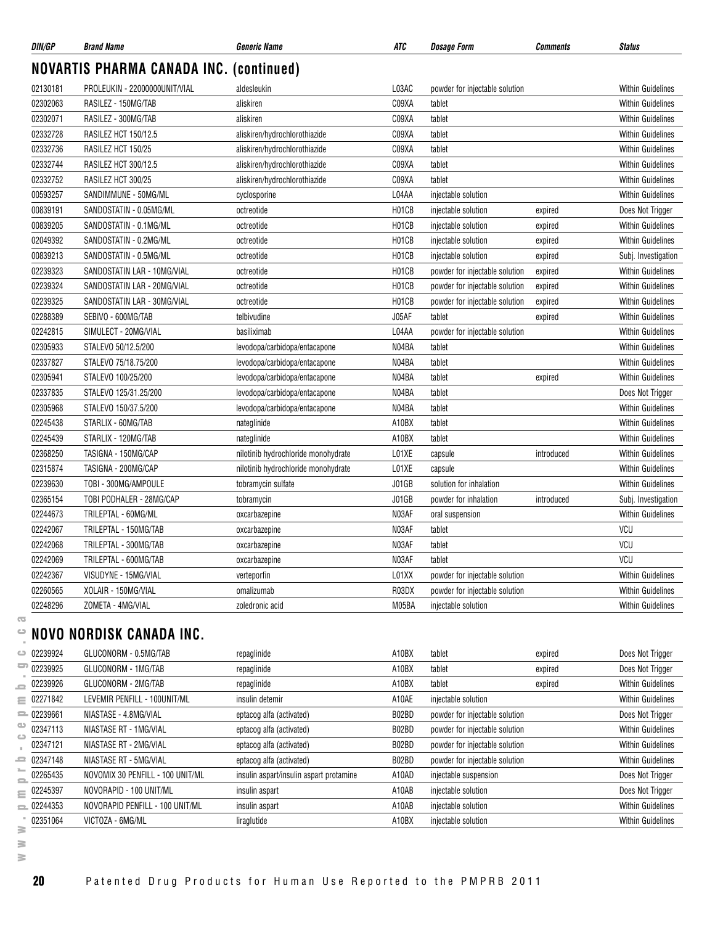| DIN/GP       | <b>Brand Name</b>                              | <b>Generic Name</b>                 | ATC          | <b>Dosage Form</b>             | <b>Comments</b> | <b>Status</b>            |
|--------------|------------------------------------------------|-------------------------------------|--------------|--------------------------------|-----------------|--------------------------|
|              | <b>NOVARTIS PHARMA CANADA INC. (continued)</b> |                                     |              |                                |                 |                          |
| 02130181     | PROLEUKIN - 22000000UNIT/VIAL                  | aldesleukin                         | L03AC        | powder for injectable solution |                 | <b>Within Guidelines</b> |
| 02302063     | RASILEZ - 150MG/TAB                            | aliskiren                           | C09XA        | tablet                         |                 | <b>Within Guidelines</b> |
| 02302071     | RASILEZ - 300MG/TAB                            | aliskiren                           | C09XA        | tablet                         |                 | <b>Within Guidelines</b> |
| 02332728     | RASILEZ HCT 150/12.5                           | aliskiren/hydrochlorothiazide       | C09XA        | tablet                         |                 | <b>Within Guidelines</b> |
| 02332736     | RASILEZ HCT 150/25                             | aliskiren/hydrochlorothiazide       | C09XA        | tablet                         |                 | <b>Within Guidelines</b> |
| 02332744     | RASILEZ HCT 300/12.5                           | aliskiren/hydrochlorothiazide       | C09XA        | tablet                         |                 | <b>Within Guidelines</b> |
| 02332752     | RASILEZ HCT 300/25                             | aliskiren/hydrochlorothiazide       | C09XA        | tablet                         |                 | <b>Within Guidelines</b> |
| 00593257     | SANDIMMUNE - 50MG/ML                           | cyclosporine                        | L04AA        | injectable solution            |                 | <b>Within Guidelines</b> |
| 00839191     | SANDOSTATIN - 0.05MG/ML                        | octreotide                          | H01CB        | injectable solution            | expired         | Does Not Trigger         |
| 00839205     | SANDOSTATIN - 0.1MG/ML                         | octreotide                          | H01CB        | injectable solution            | expired         | <b>Within Guidelines</b> |
| 02049392     | SANDOSTATIN - 0.2MG/ML                         | octreotide                          | H01CB        | injectable solution            | expired         | <b>Within Guidelines</b> |
| 00839213     | SANDOSTATIN - 0.5MG/ML                         | octreotide                          | H01CB        | injectable solution            | expired         | Subj. Investigation      |
| 02239323     | SANDOSTATIN LAR - 10MG/VIAL                    | octreotide                          | H01CB        | powder for injectable solution | expired         | <b>Within Guidelines</b> |
| 02239324     | SANDOSTATIN LAR - 20MG/VIAL                    | octreotide                          | H01CB        | powder for injectable solution | expired         | <b>Within Guidelines</b> |
| 02239325     | SANDOSTATIN LAR - 30MG/VIAL                    | octreotide                          | H01CB        | powder for injectable solution | expired         | <b>Within Guidelines</b> |
| 02288389     | SEBIVO - 600MG/TAB                             | telbivudine                         | J05AF        | tablet                         | expired         | <b>Within Guidelines</b> |
| 02242815     | SIMULECT - 20MG/VIAL                           | basiliximab                         | L04AA        | powder for injectable solution |                 | <b>Within Guidelines</b> |
| 02305933     | STALEVO 50/12.5/200                            | levodopa/carbidopa/entacapone       | N04BA        | tablet                         |                 | <b>Within Guidelines</b> |
| 02337827     | STALEVO 75/18.75/200                           | levodopa/carbidopa/entacapone       | N04BA        | tablet                         |                 | <b>Within Guidelines</b> |
| 02305941     | STALEVO 100/25/200                             | levodopa/carbidopa/entacapone       | N04BA        | tablet                         | expired         | <b>Within Guidelines</b> |
| 02337835     | STALEVO 125/31.25/200                          | levodopa/carbidopa/entacapone       | N04BA        | tablet                         |                 | Does Not Trigger         |
| 02305968     | STALEVO 150/37.5/200                           | levodopa/carbidopa/entacapone       | N04BA        | tablet                         |                 | <b>Within Guidelines</b> |
| 02245438     | STARLIX - 60MG/TAB                             | nateglinide                         | A10BX        | tablet                         |                 | <b>Within Guidelines</b> |
| 02245439     | STARLIX - 120MG/TAB                            | nateglinide                         | A10BX        | tablet                         |                 | <b>Within Guidelines</b> |
| 02368250     | TASIGNA - 150MG/CAP                            | nilotinib hydrochloride monohydrate | L01XE        | capsule                        | introduced      | <b>Within Guidelines</b> |
| 02315874     | TASIGNA - 200MG/CAP                            | nilotinib hydrochloride monohydrate | L01XE        | capsule                        |                 | <b>Within Guidelines</b> |
| 02239630     | TOBI - 300MG/AMPOULE                           | tobramycin sulfate                  | J01GB        | solution for inhalation        |                 | <b>Within Guidelines</b> |
| 02365154     | TOBI PODHALER - 28MG/CAP                       | tobramycin                          | <b>J01GB</b> | powder for inhalation          | introduced      | Subj. Investigation      |
| 02244673     | TRILEPTAL - 60MG/ML                            | oxcarbazepine                       | N03AF        | oral suspension                |                 | <b>Within Guidelines</b> |
| 02242067     | TRILEPTAL - 150MG/TAB                          | oxcarbazepine                       | N03AF        | tablet                         |                 | VCU                      |
| 02242068     | TRILEPTAL - 300MG/TAB                          | oxcarbazepine                       | N03AF        | tablet                         |                 | VCU                      |
| 02242069     | TRILEPTAL - 600MG/TAB                          | oxcarbazepine                       | N03AF        | tablet                         |                 | VCU                      |
| 02242367     | VISUDYNE - 15MG/VIAL                           | verteporfin                         | L01XX        | powder for injectable solution |                 | <b>Within Guidelines</b> |
| 02260565     | XOLAIR - 150MG/VIAL                            | omalizumab                          | R03DX        | powder for injectable solution |                 | <b>Within Guidelines</b> |
| 02248296     | ZOMETA - 4MG/VIAL                              | zoledronic acid                     | M05BA        | injectable solution            |                 | Within Guidelines        |
|              | NOVO NORDISK CANADA INC.                       |                                     |              |                                |                 |                          |
| 02239924     | GLUCONORM - 0.5MG/TAB                          | repaglinide                         | A10BX        | tablet                         | expired         | Does Not Trigger         |
| 02239925     | GLUCONORM - 1MG/TAB                            | repaglinide                         | A10BX        | tablet                         | expired         | Does Not Trigger         |
| 02239926     | GLUCONORM - 2MG/TAB                            | repaglinide                         | A10BX        | tablet                         | expired         | <b>Within Guidelines</b> |
| 02271842     | LEVEMIR PENFILL - 100UNIT/ML                   | insulin detemir                     | A10AE        | injectable solution            |                 | Within Guidelines        |
| $= 02239661$ | NIASTASE - 4.8MG/VIAL                          | eptacog alfa (activated)            | B02BD        | powder for injectable solution |                 | Does Not Trigger         |

| τ        |
|----------|
| د        |
| ٠        |
| ده       |
| 5        |
| ٠        |
| 9        |
| ≣        |
| $\equiv$ |
| ഄ        |
| ت        |
| п        |
| 2        |
| ►        |
| 0        |
| Ξ        |
| $\equiv$ |
| ٠        |
| ≩        |
| ≋<br>a   |
| ≧        |

02347113 NIASTASE RT - 1MG/VIAL eptacog alfa (activated) B02BD powder for injectable solution Within Guidelines 02347121 NIASTASE RT - 2MG/VIAL eptacog alfa (activated) B02BD powder for injectable solution Within Guidelines 02347148 NIASTASE RT - 5MG/VIAL external eptacog alfa (activated) B02BD powder for injectable solution Within Guidelines 02265435 NOVOMIX 30 PENFILL - 100 UNIT/ML insulin aspart/insulin aspart protamine A10AD injectable suspension Does Not Trigger 02245397 NOVORAPID - 100 UNIT/ML insulin aspart insulin aspart A10AB injectable solution Does Not Trigger 02244353 NOVORAPID PENFILL - 100 UNIT/ML insulin aspart and the manufactable solution and Mithin Guidelines 02351064 VICTOZA - 6MG/ML liraglutide A10BX injectable solution Within Guidelines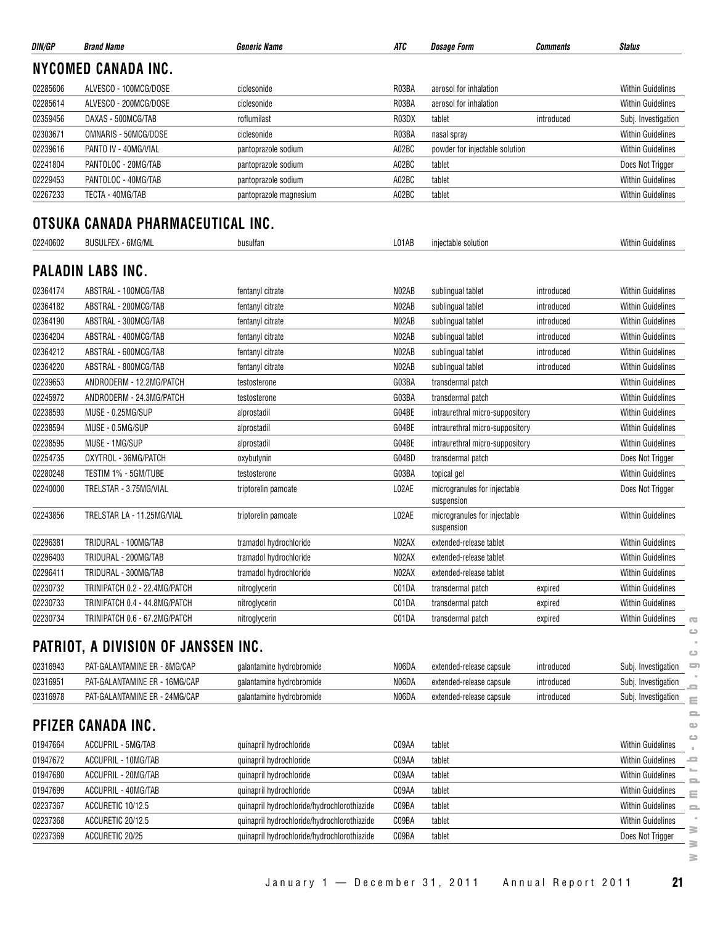| DIN/GP   | <b>Brand Name</b>                   | <b>Generic Name</b>                         | ATC   | <b>Dosage Form</b>                         | Comments   | <b>Status</b>                                |
|----------|-------------------------------------|---------------------------------------------|-------|--------------------------------------------|------------|----------------------------------------------|
|          | <b>NYCOMED CANADA INC.</b>          |                                             |       |                                            |            |                                              |
| 02285606 | ALVESCO - 100MCG/DOSE               | ciclesonide                                 | R03BA | aerosol for inhalation                     |            | <b>Within Guidelines</b>                     |
| 02285614 | ALVESCO - 200MCG/DOSE               | ciclesonide                                 | R03BA | aerosol for inhalation                     |            | <b>Within Guidelines</b>                     |
| 02359456 | DAXAS - 500MCG/TAB                  | roflumilast                                 | R03DX | tablet                                     | introduced | Subj. Investigation                          |
| 02303671 | OMNARIS - 50MCG/DOSE                | ciclesonide                                 | R03BA | nasal spray                                |            | <b>Within Guidelines</b>                     |
| 02239616 | PANTO IV - 40MG/VIAL                | pantoprazole sodium                         | A02BC | powder for injectable solution             |            | <b>Within Guidelines</b>                     |
| 02241804 | PANTOLOC - 20MG/TAB                 | pantoprazole sodium                         | A02BC | tablet                                     |            | Does Not Trigger                             |
| 02229453 | PANTOLOC - 40MG/TAB                 | pantoprazole sodium                         | A02BC | tablet                                     |            | <b>Within Guidelines</b>                     |
| 02267233 | TECTA - 40MG/TAB                    | pantoprazole magnesium                      | A02BC | tablet                                     |            | <b>Within Guidelines</b>                     |
|          | OTSUKA CANADA PHARMACEUTICAL INC.   |                                             |       |                                            |            |                                              |
| 02240602 | <b>BUSULFEX - 6MG/ML</b>            | busulfan                                    | L01AB | injectable solution                        |            | Within Guidelines                            |
|          | <b>PALADIN LABS INC.</b>            |                                             |       |                                            |            |                                              |
| 02364174 | ABSTRAL - 100MCG/TAB                | fentanyl citrate                            | N02AB | sublingual tablet                          | introduced | <b>Within Guidelines</b>                     |
| 02364182 | ABSTRAL - 200MCG/TAB                | fentanyl citrate                            | N02AB | sublingual tablet                          | introduced | Within Guidelines                            |
| 02364190 | ABSTRAL - 300MCG/TAB                | fentanyl citrate                            | N02AB | sublingual tablet                          | introduced | Within Guidelines                            |
| 02364204 | ABSTRAL - 400MCG/TAB                | fentanyl citrate                            | N02AB | sublingual tablet                          | introduced | <b>Within Guidelines</b>                     |
| 02364212 | ABSTRAL - 600MCG/TAB                | fentanyl citrate                            | N02AB | sublingual tablet                          | introduced | <b>Within Guidelines</b>                     |
| 02364220 | ABSTRAL - 800MCG/TAB                | fentanyl citrate                            | N02AB | sublingual tablet                          | introduced | <b>Within Guidelines</b>                     |
| 02239653 | ANDRODERM - 12.2MG/PATCH            | testosterone                                | G03BA | transdermal patch                          |            | <b>Within Guidelines</b>                     |
| 02245972 | ANDRODERM - 24.3MG/PATCH            | testosterone                                | G03BA | transdermal patch                          |            | <b>Within Guidelines</b>                     |
| 02238593 | MUSE - 0.25MG/SUP                   | alprostadil                                 | G04BE | intraurethral micro-suppository            |            | Within Guidelines                            |
| 02238594 | MUSE - 0.5MG/SUP                    | alprostadil                                 | G04BE | intraurethral micro-suppository            |            | <b>Within Guidelines</b>                     |
| 02238595 | MUSE - 1MG/SUP                      | alprostadil                                 | G04BE | intraurethral micro-suppository            |            | <b>Within Guidelines</b>                     |
| 02254735 | OXYTROL - 36MG/PATCH                | oxybutynin                                  | G04BD | transdermal patch                          |            | Does Not Trigger                             |
| 02280248 | TESTIM 1% - 5GM/TUBE                | testosterone                                | G03BA | topical gel                                |            | <b>Within Guidelines</b>                     |
| 02240000 | TRELSTAR - 3.75MG/VIAL              | triptorelin pamoate                         | L02AE | microgranules for injectable<br>suspension |            | Does Not Trigger                             |
| 02243856 | TRELSTAR LA - 11.25MG/VIAL          | triptorelin pamoate                         | L02AE | microgranules for injectable<br>suspension |            | <b>Within Guidelines</b>                     |
| 02296381 | TRIDURAL - 100MG/TAB                | tramadol hydrochloride                      | N02AX | extended-release tablet                    |            | <b>Within Guidelines</b>                     |
| 02296403 | TRIDURAL - 200MG/TAB                | tramadol hydrochloride                      | N02AX | extended-release tablet                    |            | <b>Within Guidelines</b>                     |
| 02296411 | TRIDURAL - 300MG/TAB                | tramadol hydrochloride                      | N02AX | extended-release tablet                    |            | <b>Within Guidelines</b>                     |
| 02230732 | TRINIPATCH 0.2 - 22.4MG/PATCH       | nitroglycerin                               | C01DA | transdermal patch                          | expired    | Within Guidelines                            |
| 02230733 | TRINIPATCH 0.4 - 44.8MG/PATCH       | nitroglycerin                               | C01DA | transdermal patch                          | expired    | <b>Within Guidelines</b>                     |
| 02230734 | TRINIPATCH 0.6 - 67.2MG/PATCH       | nitroglycerin                               | C01DA | transdermal patch                          | expired    | Within Guidelines<br>$\overline{\mathbf{C}}$ |
|          | PATRIOT, A DIVISION OF JANSSEN INC. |                                             |       |                                            |            | ت<br>ت                                       |
| 02316943 | PAT-GALANTAMINE ER - 8MG/CAP        | galantamine hydrobromide                    | N06DA | extended-release capsule                   | introduced | 5<br>Subj. Investigation                     |
| 02316951 | PAT-GALANTAMINE ER - 16MG/CAP       | galantamine hydrobromide                    | N06DA | extended-release capsule                   | introduced | Subj. Investigation                          |
| 02316978 | PAT-GALANTAMINE ER - 24MG/CAP       | galantamine hydrobromide                    | N06DA | extended-release capsule                   | introduced | Subj. Investigation<br>Ξ                     |
|          | PFIZER CANADA INC.                  |                                             |       |                                            |            | 으<br>$\bullet$                               |
| 01947664 | ACCUPRIL - 5MG/TAB                  | quinapril hydrochloride                     | C09AA | tablet                                     |            | ت<br>Within Guidelines                       |
| 01947672 | ACCUPRIL - 10MG/TAB                 | quinapril hydrochloride                     | C09AA | tablet                                     |            | <b>Within Guidelines</b><br>ᆖ                |
| 01947680 | ACCUPRIL - 20MG/TAB                 | quinapril hydrochloride                     | C09AA | tablet                                     |            | <b>Within Guidelines</b>                     |
| 01947699 | ACCUPRIL - 40MG/TAB                 | quinapril hydrochloride                     | C09AA | tablet                                     |            | <b>Within Guidelines</b><br>Ξ                |
| 02237367 | ACCURETIC 10/12.5                   | quinapril hydrochloride/hydrochlorothiazide | C09BA | tablet                                     |            | Within Guidelines<br>$\equiv$                |
| 02237368 | ACCURETIC 20/12.5                   | quinapril hydrochloride/hydrochlorothiazide | C09BA | tablet                                     |            | <b>Within Guidelines</b>                     |
| 02237369 | ACCURETIC 20/25                     | quinapril hydrochloride/hydrochlorothiazide | C09BA | tablet                                     |            | 3<br>Does Not Trigger                        |
|          |                                     |                                             |       |                                            |            | ∍<br>≋                                       |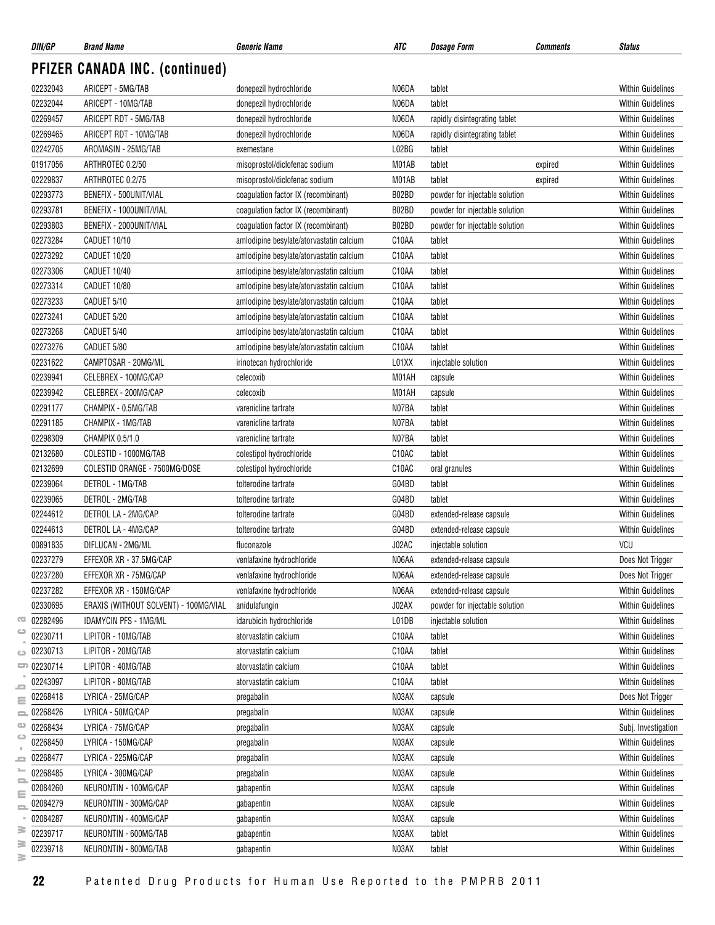| DIN/GP        | <b>Brand Name</b>                     | <b>Generic Name</b>                      | ATC   | Dosage Form                    | <b>Comments</b> | <b>Status</b>            |
|---------------|---------------------------------------|------------------------------------------|-------|--------------------------------|-----------------|--------------------------|
|               | <b>PFIZER CANADA INC. (continued)</b> |                                          |       |                                |                 |                          |
| 02232043      | ARICEPT - 5MG/TAB                     | donepezil hydrochloride                  | N06DA | tablet                         |                 | <b>Within Guidelines</b> |
| 02232044      | ARICEPT - 10MG/TAB                    | donepezil hydrochloride                  | N06DA | tablet                         |                 | <b>Within Guidelines</b> |
| 02269457      | ARICEPT RDT - 5MG/TAB                 | donepezil hydrochloride                  | N06DA | rapidly disintegrating tablet  |                 | <b>Within Guidelines</b> |
| 02269465      | ARICEPT RDT - 10MG/TAB                | donepezil hydrochloride                  | N06DA | rapidly disintegrating tablet  |                 | <b>Within Guidelines</b> |
| 02242705      | AROMASIN - 25MG/TAB                   | exemestane                               | L02BG | tablet                         |                 | <b>Within Guidelines</b> |
| 01917056      | ARTHROTEC 0.2/50                      | misoprostol/diclofenac sodium            | M01AB | tablet                         | expired         | <b>Within Guidelines</b> |
| 02229837      | ARTHROTEC 0.2/75                      | misoprostol/diclofenac sodium            | M01AB | tablet                         | expired         | <b>Within Guidelines</b> |
| 02293773      | BENEFIX - 500UNIT/VIAL                | coagulation factor IX (recombinant)      | B02BD | powder for injectable solution |                 | <b>Within Guidelines</b> |
| 02293781      | BENEFIX - 1000UNIT/VIAL               | coagulation factor IX (recombinant)      | B02BD | powder for injectable solution |                 | <b>Within Guidelines</b> |
| 02293803      | BENEFIX - 2000UNIT/VIAL               | coagulation factor IX (recombinant)      | B02BD | powder for injectable solution |                 | <b>Within Guidelines</b> |
| 02273284      | CADUET 10/10                          | amlodipine besylate/atorvastatin calcium | C10AA | tablet                         |                 | <b>Within Guidelines</b> |
| 02273292      | CADUET 10/20                          | amlodipine besylate/atorvastatin calcium | C10AA | tablet                         |                 | <b>Within Guidelines</b> |
| 02273306      | CADUET 10/40                          | amlodipine besylate/atorvastatin calcium | C10AA | tablet                         |                 | <b>Within Guidelines</b> |
| 02273314      | CADUET 10/80                          | amlodipine besylate/atorvastatin calcium | C10AA | tablet                         |                 | <b>Within Guidelines</b> |
| 02273233      | CADUET 5/10                           | amlodipine besylate/atorvastatin calcium | C10AA | tablet                         |                 | <b>Within Guidelines</b> |
| 02273241      | CADUET 5/20                           | amlodipine besylate/atorvastatin calcium | C10AA | tablet                         |                 | <b>Within Guidelines</b> |
| 02273268      | CADUET 5/40                           | amlodipine besylate/atorvastatin calcium | C10AA | tablet                         |                 | <b>Within Guidelines</b> |
| 02273276      | CADUET 5/80                           | amlodipine besylate/atorvastatin calcium | C10AA | tablet                         |                 | <b>Within Guidelines</b> |
| 02231622      | CAMPTOSAR - 20MG/ML                   | irinotecan hydrochloride                 | L01XX | injectable solution            |                 | <b>Within Guidelines</b> |
| 02239941      | CELEBREX - 100MG/CAP                  | celecoxib                                | M01AH |                                |                 | <b>Within Guidelines</b> |
| 02239942      | CELEBREX - 200MG/CAP                  |                                          | M01AH | capsule                        |                 | <b>Within Guidelines</b> |
| 02291177      | CHAMPIX - 0.5MG/TAB                   | celecoxib<br>varenicline tartrate        | N07BA | capsule<br>tablet              |                 | <b>Within Guidelines</b> |
| 02291185      | CHAMPIX - 1MG/TAB                     |                                          | N07BA |                                |                 |                          |
|               |                                       | varenicline tartrate                     |       | tablet                         |                 | <b>Within Guidelines</b> |
| 02298309      | CHAMPIX 0.5/1.0                       | varenicline tartrate                     | N07BA | tablet                         |                 | <b>Within Guidelines</b> |
| 02132680      | COLESTID - 1000MG/TAB                 | colestipol hydrochloride                 | C10AC | tablet                         |                 | <b>Within Guidelines</b> |
| 02132699      | COLESTID ORANGE - 7500MG/DOSE         | colestipol hydrochloride                 | C10AC | oral granules                  |                 | <b>Within Guidelines</b> |
| 02239064      | DETROL - 1MG/TAB                      | tolterodine tartrate                     | G04BD | tablet                         |                 | <b>Within Guidelines</b> |
| 02239065      | DETROL - 2MG/TAB                      | tolterodine tartrate                     | G04BD | tablet                         |                 | <b>Within Guidelines</b> |
| 02244612      | DETROL LA - 2MG/CAP                   | tolterodine tartrate                     | G04BD | extended-release capsule       |                 | <b>Within Guidelines</b> |
| 02244613      | DETROL LA - 4MG/CAP                   | tolterodine tartrate                     | G04BD | extended-release capsule       |                 | <b>Within Guidelines</b> |
| 00891835      | DIFLUCAN - 2MG/ML                     | fluconazole                              | J02AC | injectable solution            |                 | VCU                      |
| 02237279      | EFFEXOR XR - 37.5MG/CAP               | venlafaxine hydrochloride                | N06AA | extended-release capsule       |                 | Does Not Trigger         |
| 02237280      | EFFEXOR XR - 75MG/CAP                 | venlafaxine hydrochloride                | N06AA | extended-release capsule       |                 | Does Not Trigger         |
| 02237282      | EFFEXOR XR - 150MG/CAP                | venlafaxine hydrochloride                | N06AA | extended-release capsule       |                 | <b>Within Guidelines</b> |
| 02330695      | ERAXIS (WITHOUT SOLVENT) - 100MG/VIAL | anidulafungin                            | J02AX | powder for injectable solution |                 | <b>Within Guidelines</b> |
| 02282496      | <b>IDAMYCIN PFS - 1MG/ML</b>          | idarubicin hydrochloride                 | L01DB | injectable solution            |                 | <b>Within Guidelines</b> |
| 02230711      | LIPITOR - 10MG/TAB                    | atorvastatin calcium                     | C10AA | tablet                         |                 | Within Guidelines        |
| 02230713      | LIPITOR - 20MG/TAB                    | atorvastatin calcium                     | C10AA | tablet                         |                 | Within Guidelines        |
| 02230714<br>ᇹ | LIPITOR - 40MG/TAB                    | atorvastatin calcium                     | C10AA | tablet                         |                 | Within Guidelines        |
| 02243097      | LIPITOR - 80MG/TAB                    | atorvastatin calcium                     | C10AA | tablet                         |                 | <b>Within Guidelines</b> |
| 02268418      | LYRICA - 25MG/CAP                     | pregabalin                               | N03AX | capsule                        |                 | Does Not Trigger         |
| 02268426      | LYRICA - 50MG/CAP                     | pregabalin                               | N03AX | capsule                        |                 | Within Guidelines        |
| 02268434      | LYRICA - 75MG/CAP                     | pregabalin                               | N03AX | capsule                        |                 | Subj. Investigation      |
| 02268450      | LYRICA - 150MG/CAP                    | pregabalin                               | N03AX | capsule                        |                 | <b>Within Guidelines</b> |
| 02268477      | LYRICA - 225MG/CAP                    | pregabalin                               | N03AX | capsule                        |                 | Within Guidelines        |
| 02268485      | LYRICA - 300MG/CAP                    | pregabalin                               | N03AX | capsule                        |                 | <b>Within Guidelines</b> |
| 02084260      | NEURONTIN - 100MG/CAP                 | gabapentin                               | N03AX | capsule                        |                 | <b>Within Guidelines</b> |
| 02084279      | NEURONTIN - 300MG/CAP                 | gabapentin                               | N03AX | capsule                        |                 | <b>Within Guidelines</b> |
| 02084287      | NEURONTIN - 400MG/CAP                 | gabapentin                               | N03AX | capsule                        |                 | <b>Within Guidelines</b> |
| 02239717      | NEURONTIN - 600MG/TAB                 | gabapentin                               | N03AX | tablet                         |                 | <b>Within Guidelines</b> |
| 02239718      | NEURONTIN - 800MG/TAB                 | gabapentin                               | N03AX | tablet                         |                 | Within Guidelines        |
|               |                                       |                                          |       |                                |                 |                          |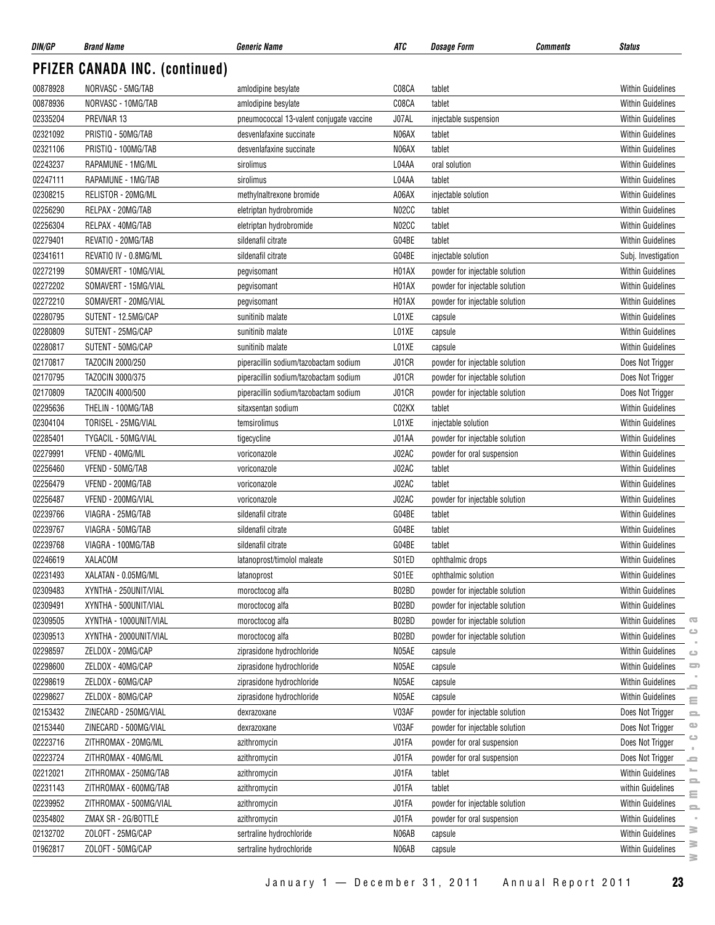| DIN/GP   | <b>Brand Name</b>              | <b>Generic Name</b>                      | ATC                | <i><b>Dosage Form</b></i>      | Comments | <b>Status</b>            |                                 |
|----------|--------------------------------|------------------------------------------|--------------------|--------------------------------|----------|--------------------------|---------------------------------|
|          | PFIZER CANADA INC. (continued) |                                          |                    |                                |          |                          |                                 |
| 00878928 | NORVASC - 5MG/TAB              | amlodipine besylate                      | C08CA              | tablet                         |          | <b>Within Guidelines</b> |                                 |
| 00878936 | NORVASC - 10MG/TAB             | amlodipine besylate                      | C08CA              | tablet                         |          | <b>Within Guidelines</b> |                                 |
| 02335204 | PREVNAR 13                     | pneumococcal 13-valent conjugate vaccine | J07AL              | injectable suspension          |          | <b>Within Guidelines</b> |                                 |
| 02321092 | PRISTIQ - 50MG/TAB             | desvenlafaxine succinate                 | N06AX              | tablet                         |          | <b>Within Guidelines</b> |                                 |
| 02321106 | PRISTIQ - 100MG/TAB            | desvenlafaxine succinate                 | N06AX              | tablet                         |          | <b>Within Guidelines</b> |                                 |
| 02243237 | RAPAMUNE - 1MG/ML              | sirolimus                                | L04AA              | oral solution                  |          | <b>Within Guidelines</b> |                                 |
| 02247111 | RAPAMUNE - 1MG/TAB             | sirolimus                                | L04AA              | tablet                         |          | <b>Within Guidelines</b> |                                 |
| 02308215 | RELISTOR - 20MG/ML             | methylnaltrexone bromide                 | A06AX              | injectable solution            |          | <b>Within Guidelines</b> |                                 |
| 02256290 | RELPAX - 20MG/TAB              | eletriptan hydrobromide                  | N02CC              | tablet                         |          | <b>Within Guidelines</b> |                                 |
| 02256304 | RELPAX - 40MG/TAB              | eletriptan hydrobromide                  | N <sub>02</sub> CC | tablet                         |          | <b>Within Guidelines</b> |                                 |
| 02279401 | REVATIO - 20MG/TAB             | sildenafil citrate                       | G04BE              | tablet                         |          | <b>Within Guidelines</b> |                                 |
| 02341611 | REVATIO IV - 0.8MG/ML          | sildenafil citrate                       | G04BE              | injectable solution            |          | Subj. Investigation      |                                 |
| 02272199 | SOMAVERT - 10MG/VIAL           | pegvisomant                              | H01AX              | powder for injectable solution |          | <b>Within Guidelines</b> |                                 |
| 02272202 | SOMAVERT - 15MG/VIAL           | pegvisomant                              | H01AX              | powder for injectable solution |          | <b>Within Guidelines</b> |                                 |
| 02272210 | SOMAVERT - 20MG/VIAL           | pegvisomant                              | H01AX              | powder for injectable solution |          | <b>Within Guidelines</b> |                                 |
| 02280795 | SUTENT - 12.5MG/CAP            | sunitinib malate                         | L01XE              | capsule                        |          | <b>Within Guidelines</b> |                                 |
| 02280809 | SUTENT - 25MG/CAP              | sunitinib malate                         | L01XE              | capsule                        |          | <b>Within Guidelines</b> |                                 |
| 02280817 | SUTENT - 50MG/CAP              | sunitinib malate                         | L01XE              | capsule                        |          | <b>Within Guidelines</b> |                                 |
| 02170817 | TAZOCIN 2000/250               | piperacillin sodium/tazobactam sodium    | J01CR              | powder for injectable solution |          | Does Not Trigger         |                                 |
| 02170795 | TAZOCIN 3000/375               | piperacillin sodium/tazobactam sodium    | J01CR              | powder for injectable solution |          | Does Not Trigger         |                                 |
| 02170809 | TAZOCIN 4000/500               | piperacillin sodium/tazobactam sodium    | J01CR              | powder for injectable solution |          | Does Not Trigger         |                                 |
| 02295636 | THELIN - 100MG/TAB             | sitaxsentan sodium                       | C02KX              | tablet                         |          | <b>Within Guidelines</b> |                                 |
| 02304104 | TORISEL - 25MG/VIAL            |                                          | L01XE              | injectable solution            |          | <b>Within Guidelines</b> |                                 |
|          |                                | temsirolimus                             | J01AA              |                                |          | <b>Within Guidelines</b> |                                 |
| 02285401 | TYGACIL - 50MG/VIAL            | tigecycline                              |                    | powder for injectable solution |          |                          |                                 |
| 02279991 | VFEND - 40MG/ML                | voriconazole                             | J02AC              | powder for oral suspension     |          | Within Guidelines        |                                 |
| 02256460 | VFEND - 50MG/TAB               | voriconazole                             | J02AC              | tablet                         |          | <b>Within Guidelines</b> |                                 |
| 02256479 | VFEND - 200MG/TAB              | voriconazole                             | J02AC              | tablet                         |          | <b>Within Guidelines</b> |                                 |
| 02256487 | VFEND - 200MG/VIAL             | voriconazole                             | J02AC              | powder for injectable solution |          | <b>Within Guidelines</b> |                                 |
| 02239766 | VIAGRA - 25MG/TAB              | sildenafil citrate                       | G04BE              | tablet                         |          | <b>Within Guidelines</b> |                                 |
| 02239767 | VIAGRA - 50MG/TAB              | sildenafil citrate                       | G04BE              | tablet                         |          | <b>Within Guidelines</b> |                                 |
| 02239768 | VIAGRA - 100MG/TAB             | sildenafil citrate                       | G04BE              | tablet                         |          | <b>Within Guidelines</b> |                                 |
| 02246619 | XALACOM                        | latanoprost/timolol maleate              | S01ED              | ophthalmic drops               |          | <b>Within Guidelines</b> |                                 |
| 02231493 | XALATAN - 0.05MG/ML            | latanoprost                              | S01EE              | ophthalmic solution            |          | Within Guidelines        |                                 |
| 02309483 | XYNTHA - 250UNIT/VIAL          | moroctocog alfa                          | B02BD              | powder for injectable solution |          | Within Guidelines        |                                 |
| 02309491 | XYNTHA - 500UNIT/VIAL          | moroctocog alfa                          | B02BD              | powder for injectable solution |          | <b>Within Guidelines</b> |                                 |
| 02309505 | XYNTHA - 1000UNIT/VIAL         | moroctocog alfa                          | B02BD              | powder for injectable solution |          | <b>Within Guidelines</b> | Œ<br>ت                          |
| 02309513 | XYNTHA - 2000UNIT/VIAL         | moroctocog alfa                          | B02BD              | powder for injectable solution |          | Within Guidelines        |                                 |
| 02298597 | ZELDOX - 20MG/CAP              | ziprasidone hydrochloride                | N05AE              | capsule                        |          | <b>Within Guidelines</b> | $\qquad \qquad \qquad \Box$     |
| 02298600 | ZELDOX - 40MG/CAP              | ziprasidone hydrochloride                | N05AE              | capsule                        |          | Within Guidelines        | $\overline{\phantom{m}}$        |
| 02298619 | ZELDOX - 60MG/CAP              | ziprasidone hydrochloride                | N05AE              | capsule                        |          | Within Guidelines        | 0                               |
| 02298627 | ZELDOX - 80MG/CAP              | ziprasidone hydrochloride                | N05AE              | capsule                        |          | <b>Within Guidelines</b> | $\equiv$                        |
| 02153432 | ZINECARD - 250MG/VIAL          | dexrazoxane                              | V03AF              | powder for injectable solution |          | Does Not Trigger         | $\equiv$                        |
| 02153440 | ZINECARD - 500MG/VIAL          | dexrazoxane                              | V03AF              | powder for injectable solution |          | Does Not Trigger         | $\circ$<br>$\qquad \qquad \Box$ |
| 02223716 | ZITHROMAX - 20MG/ML            | azithromycin                             | J01FA              | powder for oral suspension     |          | Does Not Trigger         |                                 |
| 02223724 | ZITHROMAX - 40MG/ML            | azithromycin                             | J01FA              | powder for oral suspension     |          | Does Not Trigger         | -                               |
| 02212021 | ZITHROMAX - 250MG/TAB          | azithromycin                             | J01FA              | tablet                         |          | Within Guidelines        | 2                               |
| 02231143 | ZITHROMAX - 600MG/TAB          | azithromycin                             | J01FA              | tablet                         |          | within Guidelines        | $\equiv$                        |
| 02239952 | ZITHROMAX - 500MG/VIAL         | azithromycin                             | J01FA              | powder for injectable solution |          | Within Guidelines        | 으                               |
| 02354802 | ZMAX SR - 2G/BOTTLE            | azithromycin                             | J01FA              | powder for oral suspension     |          | Within Guidelines        |                                 |
| 02132702 | ZOLOFT - 25MG/CAP              | sertraline hydrochloride                 | N06AB              | capsule                        |          | Within Guidelines        | ≧                               |
| 01962817 | ZOLOFT - 50MG/CAP              | sertraline hydrochloride                 | N06AB              | capsule                        |          | Within Guidelines        | ≧<br>$\geq$                     |
|          |                                |                                          |                    |                                |          |                          |                                 |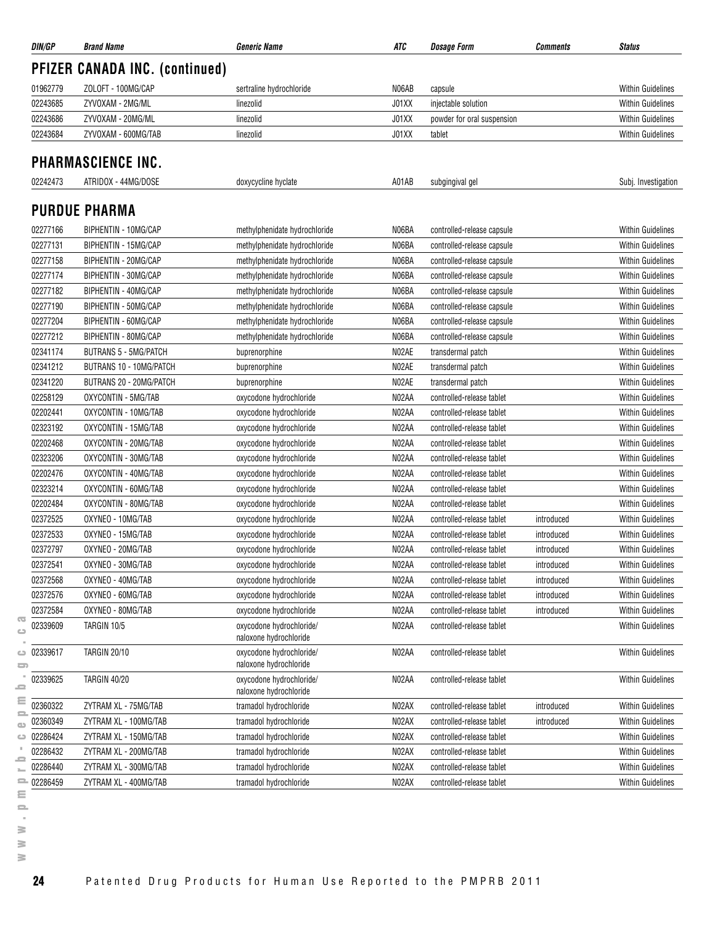| DIN/GP              | <b>Brand Name</b>                     | <b>Generic Name</b>                                | ATC   | Dosage Form                | <i><b>Comments</b></i> | <b>Status</b>            |
|---------------------|---------------------------------------|----------------------------------------------------|-------|----------------------------|------------------------|--------------------------|
|                     | <b>PFIZER CANADA INC. (continued)</b> |                                                    |       |                            |                        |                          |
| 01962779            | ZOLOFT - 100MG/CAP                    | sertraline hydrochloride                           | N06AB | capsule                    |                        | <b>Within Guidelines</b> |
| 02243685            | ZYVOXAM - 2MG/ML                      | linezolid                                          | J01XX | injectable solution        |                        | <b>Within Guidelines</b> |
| 02243686            | ZYVOXAM - 20MG/ML                     | linezolid                                          | J01XX | powder for oral suspension |                        | <b>Within Guidelines</b> |
| 02243684            | ZYVOXAM - 600MG/TAB                   | linezolid                                          | J01XX | tablet                     |                        | <b>Within Guidelines</b> |
|                     | <b>PHARMASCIENCE INC.</b>             |                                                    |       |                            |                        |                          |
| 02242473            | ATRIDOX - 44MG/DOSE                   | doxycycline hyclate                                | A01AB | subgingival gel            |                        | Subj. Investigation      |
|                     | <b>PURDUE PHARMA</b>                  |                                                    |       |                            |                        |                          |
| 02277166            |                                       |                                                    | N06BA |                            |                        |                          |
|                     | BIPHENTIN - 10MG/CAP                  | methylphenidate hydrochloride                      |       | controlled-release capsule |                        | <b>Within Guidelines</b> |
| 02277131            | BIPHENTIN - 15MG/CAP                  | methylphenidate hydrochloride                      | N06BA | controlled-release capsule |                        | <b>Within Guidelines</b> |
| 02277158            | BIPHENTIN - 20MG/CAP                  | methylphenidate hydrochloride                      | N06BA | controlled-release capsule |                        | <b>Within Guidelines</b> |
| 02277174            | BIPHENTIN - 30MG/CAP                  | methylphenidate hydrochloride                      | N06BA | controlled-release capsule |                        | <b>Within Guidelines</b> |
| 02277182            | BIPHENTIN - 40MG/CAP                  | methylphenidate hydrochloride                      | N06BA | controlled-release capsule |                        | <b>Within Guidelines</b> |
| 02277190            | BIPHENTIN - 50MG/CAP                  | methylphenidate hydrochloride                      | N06BA | controlled-release capsule |                        | <b>Within Guidelines</b> |
| 02277204            | BIPHENTIN - 60MG/CAP                  | methylphenidate hydrochloride                      | N06BA | controlled-release capsule |                        | <b>Within Guidelines</b> |
| 02277212            | BIPHENTIN - 80MG/CAP                  | methylphenidate hydrochloride                      | N06BA | controlled-release capsule |                        | <b>Within Guidelines</b> |
| 02341174            | <b>BUTRANS 5 - 5MG/PATCH</b>          | buprenorphine                                      | N02AE | transdermal patch          |                        | <b>Within Guidelines</b> |
| 02341212            | BUTRANS 10 - 10MG/PATCH               | buprenorphine                                      | N02AE | transdermal patch          |                        | <b>Within Guidelines</b> |
| 02341220            | BUTRANS 20 - 20MG/PATCH               | buprenorphine                                      | N02AE | transdermal patch          |                        | <b>Within Guidelines</b> |
| 02258129            | OXYCONTIN - 5MG/TAB                   | oxycodone hydrochloride                            | N02AA | controlled-release tablet  |                        | <b>Within Guidelines</b> |
| 02202441            | OXYCONTIN - 10MG/TAB                  | oxycodone hydrochloride                            | N02AA | controlled-release tablet  |                        | <b>Within Guidelines</b> |
| 02323192            | OXYCONTIN - 15MG/TAB                  | oxycodone hydrochloride                            | N02AA | controlled-release tablet  |                        | <b>Within Guidelines</b> |
| 02202468            | OXYCONTIN - 20MG/TAB                  | oxycodone hydrochloride                            | N02AA | controlled-release tablet  |                        | <b>Within Guidelines</b> |
| 02323206            | OXYCONTIN - 30MG/TAB                  | oxycodone hydrochloride                            | N02AA | controlled-release tablet  |                        | <b>Within Guidelines</b> |
| 02202476            | OXYCONTIN - 40MG/TAB                  | oxycodone hydrochloride                            | N02AA | controlled-release tablet  |                        | <b>Within Guidelines</b> |
| 02323214            | OXYCONTIN - 60MG/TAB                  | oxycodone hydrochloride                            | N02AA | controlled-release tablet  |                        | <b>Within Guidelines</b> |
| 02202484            | OXYCONTIN - 80MG/TAB                  | oxycodone hydrochloride                            | N02AA | controlled-release tablet  |                        | <b>Within Guidelines</b> |
| 02372525            | OXYNEO - 10MG/TAB                     | oxycodone hydrochloride                            | N02AA | controlled-release tablet  | introduced             | <b>Within Guidelines</b> |
| 02372533            | OXYNEO - 15MG/TAB                     | oxycodone hydrochloride                            | N02AA | controlled-release tablet  | introduced             | <b>Within Guidelines</b> |
| 02372797            | OXYNEO - 20MG/TAB                     | oxycodone hydrochloride                            | N02AA | controlled-release tablet  | introduced             | <b>Within Guidelines</b> |
| 02372541            | OXYNEO - 30MG/TAB                     | oxycodone hydrochloride                            | N02AA | controlled-release tablet  | introduced             | Within Guidelines        |
| 02372568            | OXYNEO - 40MG/TAB                     | oxycodone hydrochloride                            | N02AA | controlled-release tablet  | introduced             | <b>Within Guidelines</b> |
| 02372576            | OXYNEO - 60MG/TAB                     | oxycodone hydrochloride                            | N02AA | controlled-release tablet  | introduced             | <b>Within Guidelines</b> |
| 02372584            | OXYNEO - 80MG/TAB                     | oxycodone hydrochloride                            | N02AA | controlled-release tablet  | introduced             | Within Guidelines        |
| 02339609            | TARGIN 10/5                           | oxycodone hydrochloride/<br>naloxone hydrochloride | N02AA | controlled-release tablet  |                        | <b>Within Guidelines</b> |
| $\implies$ 02339617 | <b>TARGIN 20/10</b>                   | oxycodone hydrochloride/<br>naloxone hydrochloride | N02AA | controlled-release tablet  |                        | Within Guidelines        |
| 02339625            | <b>TARGIN 40/20</b>                   | oxycodone hydrochloride/<br>naloxone hydrochloride | N02AA | controlled-release tablet  |                        | Within Guidelines        |
| 02360322            | ZYTRAM XL - 75MG/TAB                  | tramadol hydrochloride                             | N02AX | controlled-release tablet  | introduced             | <b>Within Guidelines</b> |
| 02360349            | ZYTRAM XL - 100MG/TAB                 | tramadol hydrochloride                             | N02AX | controlled-release tablet  | introduced             | <b>Within Guidelines</b> |
| 02286424            | ZYTRAM XL - 150MG/TAB                 | tramadol hydrochloride                             | N02AX | controlled-release tablet  |                        | Within Guidelines        |
| 02286432            | ZYTRAM XL - 200MG/TAB                 | tramadol hydrochloride                             | N02AX | controlled-release tablet  |                        | Within Guidelines        |
| 02286440            | ZYTRAM XL - 300MG/TAB                 | tramadol hydrochloride                             | N02AX | controlled-release tablet  |                        | <b>Within Guidelines</b> |
| 02286459            | ZYTRAM XL - 400MG/TAB                 | tramadol hydrochloride                             | N02AX | controlled-release tablet  |                        | Within Guidelines        |
|                     |                                       |                                                    |       |                            |                        |                          |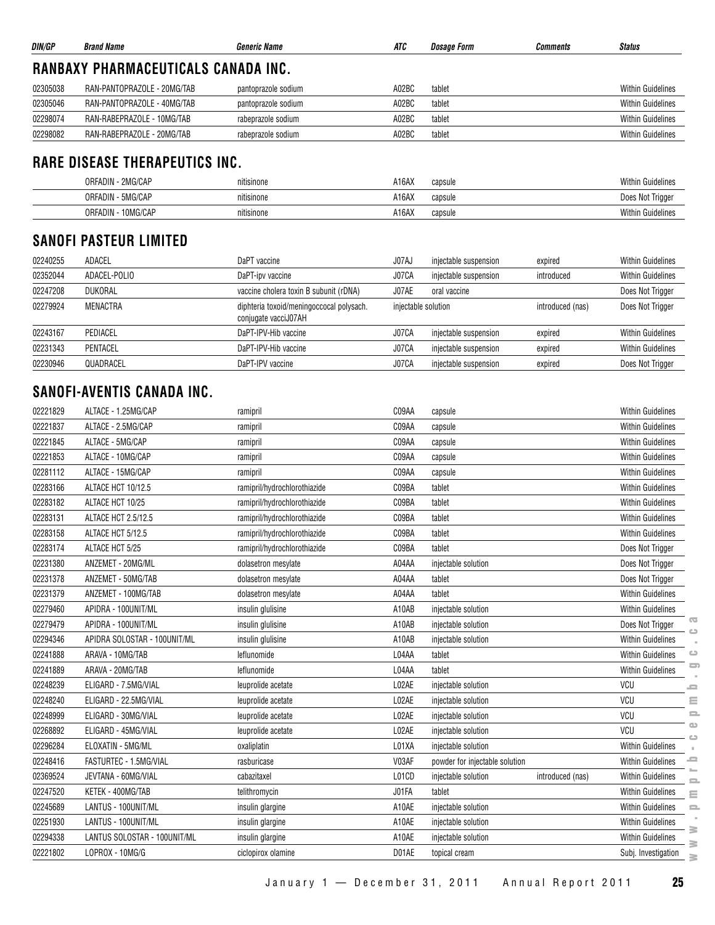| DIN/GP   | <b>Brand Name</b>                   | <b>Generic Name</b> | ATC   | Dosage Form | <b>Comments</b> | <b>Status</b>            |
|----------|-------------------------------------|---------------------|-------|-------------|-----------------|--------------------------|
|          | RANBAXY PHARMACEUTICALS CANADA INC. |                     |       |             |                 |                          |
| 02305038 | RAN-PANTOPRAZOLE - 20MG/TAB         | pantoprazole sodium | A02BC | tablet      |                 | <b>Within Guidelines</b> |
| 02305046 | RAN-PANTOPRAZOLE - 40MG/TAB         | pantoprazole sodium | A02BC | tablet      |                 | <b>Within Guidelines</b> |
| 02298074 | RAN-RABEPRAZOLE - 10MG/TAB          | rabeprazole sodium  | A02BC | tablet      |                 | <b>Within Guidelines</b> |
| 02298082 | RAN-RABEPRAZOLE - 20MG/TAB          | rabeprazole sodium  | A02BC | tablet      |                 | <b>Within Guidelines</b> |

## **RARE DISEASE THERAPEUTICS INC.**

| 2MG/CAP<br>ORFADIN -  | $\cdots$<br>nitisinone | A16AX<br>capsule         | <b>Within Guidelines</b> |
|-----------------------|------------------------|--------------------------|--------------------------|
| ORFADIN - 5MG/CAP     | nitisinone             | A16AX<br>capsule         | Does Not<br>Triage       |
| 10MG/CAP<br>ORFADIN - | nitisinone             | $A16A\lambda$<br>capsule | <b>Within Guidelines</b> |

## **SANOFI PASTEUR LIMITED**

| 02240255 | ADACEL         | DaPT vaccine                                                     | J07AJ               | injectable suspension | expired          | <b>Within Guidelines</b> |
|----------|----------------|------------------------------------------------------------------|---------------------|-----------------------|------------------|--------------------------|
| 02352044 | ADACEL-POLIO   | DaPT-ipv vaccine                                                 | J07CA               | injectable suspension | introduced       | <b>Within Guidelines</b> |
| 02247208 | <b>DUKORAL</b> | vaccine cholera toxin B subunit (rDNA)                           | J07AE               | oral vaccine          |                  | Does Not Trigger         |
| 02279924 | MENACTRA       | diphteria toxoid/meningoccocal polysach.<br>conjugate vacciJ07AH | injectable solution |                       | introduced (nas) | Does Not Trigger         |
| 02243167 | PEDIACEL       | DaPT-IPV-Hib vaccine                                             | J07CA               | injectable suspension | expired          | <b>Within Guidelines</b> |
| 02231343 | PENTACEL       | DaPT-IPV-Hib vaccine                                             | J07CA               | injectable suspension | expired          | <b>Within Guidelines</b> |
| 02230946 | QUADRACEL      | DaPT-IPV vaccine                                                 | J07CA               | injectable suspension | expired          | Does Not Trigger         |

## **SANOFI-AVENTIS CANADA INC.**

| 02221829 | ALTACE - 1.25MG/CAP          | ramipril                     | C09AA | capsule                                 | Within Guidelines                           |
|----------|------------------------------|------------------------------|-------|-----------------------------------------|---------------------------------------------|
| 02221837 | ALTACE - 2.5MG/CAP           | ramipril                     | C09AA | capsule                                 | <b>Within Guidelines</b>                    |
| 02221845 | ALTACE - 5MG/CAP             | ramipril                     | C09AA | capsule                                 | <b>Within Guidelines</b>                    |
| 02221853 | ALTACE - 10MG/CAP            | ramipril                     | C09AA | capsule                                 | <b>Within Guidelines</b>                    |
| 02281112 | ALTACE - 15MG/CAP            | ramipril                     | C09AA | capsule                                 | <b>Within Guidelines</b>                    |
| 02283166 | ALTACE HCT 10/12.5           | ramipril/hydrochlorothiazide | C09BA | tablet                                  | <b>Within Guidelines</b>                    |
| 02283182 | ALTACE HCT 10/25             | ramipril/hydrochlorothiazide | C09BA | tablet                                  | <b>Within Guidelines</b>                    |
| 02283131 | ALTACE HCT 2.5/12.5          | ramipril/hydrochlorothiazide | C09BA | tablet                                  | <b>Within Guidelines</b>                    |
| 02283158 | ALTACE HCT 5/12.5            | ramipril/hydrochlorothiazide | C09BA | tablet                                  | <b>Within Guidelines</b>                    |
| 02283174 | ALTACE HCT 5/25              | ramipril/hydrochlorothiazide | C09BA | tablet                                  | Does Not Trigger                            |
| 02231380 | ANZEMET - 20MG/ML            | dolasetron mesylate          | A04AA | injectable solution                     | Does Not Trigger                            |
| 02231378 | ANZEMET - 50MG/TAB           | dolasetron mesylate          | A04AA | tablet                                  | Does Not Trigger                            |
| 02231379 | ANZEMET - 100MG/TAB          | dolasetron mesylate          | A04AA | tablet                                  | <b>Within Guidelines</b>                    |
| 02279460 | APIDRA - 100UNIT/ML          | insulin glulisine            | A10AB | injectable solution                     | <b>Within Guidelines</b>                    |
| 02279479 | APIDRA - 100UNIT/ML          | insulin glulisine            | A10AB | injectable solution                     | $\overline{\mathbb{C}}$<br>Does Not Trigger |
| 02294346 | APIDRA SOLOSTAR - 100UNIT/ML | insulin glulisine            | A10AB | injectable solution                     | <b>Within Guidelines</b>                    |
| 02241888 | ARAVA - 10MG/TAB             | leflunomide                  | L04AA | tablet                                  | $\circ$<br><b>Within Guidelines</b>         |
| 02241889 | ARAVA - 20MG/TAB             | leflunomide                  | L04AA | tablet                                  | $\Box$<br><b>Within Guidelines</b>          |
| 02248239 | ELIGARD - 7.5MG/VIAL         | leuprolide acetate           | L02AE | injectable solution                     | VCU<br>ᆖ                                    |
| 02248240 | ELIGARD - 22.5MG/VIAL        | leuprolide acetate           | L02AE | injectable solution                     | VCU<br>Ξ                                    |
| 02248999 | ELIGARD - 30MG/VIAL          | leuprolide acetate           | L02AE | injectable solution                     | $\equiv$<br>VCU                             |
| 02268892 | ELIGARD - 45MG/VIAL          | leuprolide acetate           | L02AE | injectable solution                     | $\bigcirc$<br>VCU<br>$\sim$                 |
| 02296284 | ELOXATIN - 5MG/ML            | oxaliplatin                  | L01XA | injectable solution                     | Within Guidelines                           |
| 02248416 | FASTURTEC - 1.5MG/VIAL       | rasburicase                  | V03AF | powder for injectable solution          | ᇰ<br>Within Guidelines                      |
| 02369524 | JEVTANA - 60MG/VIAL          | cabazitaxel                  | L01CD | injectable solution<br>introduced (nas) | <b>Within Guidelines</b>                    |
| 02247520 | KETEK - 400MG/TAB            | telithromycin                | J01FA | tablet                                  | <b>Within Guidelines</b><br>$\equiv$        |
| 02245689 | LANTUS - 100UNIT/ML          | insulin glargine             | A10AE | injectable solution                     | <b>Within Guidelines</b><br>$=$             |
| 02251930 | LANTUS - 100UNIT/ML          | insulin glargine             | A10AE | injectable solution                     | Within Guidelines                           |
| 02294338 | LANTUS SOLOSTAR - 100UNIT/ML | insulin glargine             | A10AE | injectable solution                     | ≧<br><b>Within Guidelines</b><br>$\geq$     |
| 02221802 | LOPROX - 10MG/G              | ciclopirox olamine           | D01AE | topical cream                           | Subj. Investigation<br>≧                    |
|          |                              |                              |       |                                         |                                             |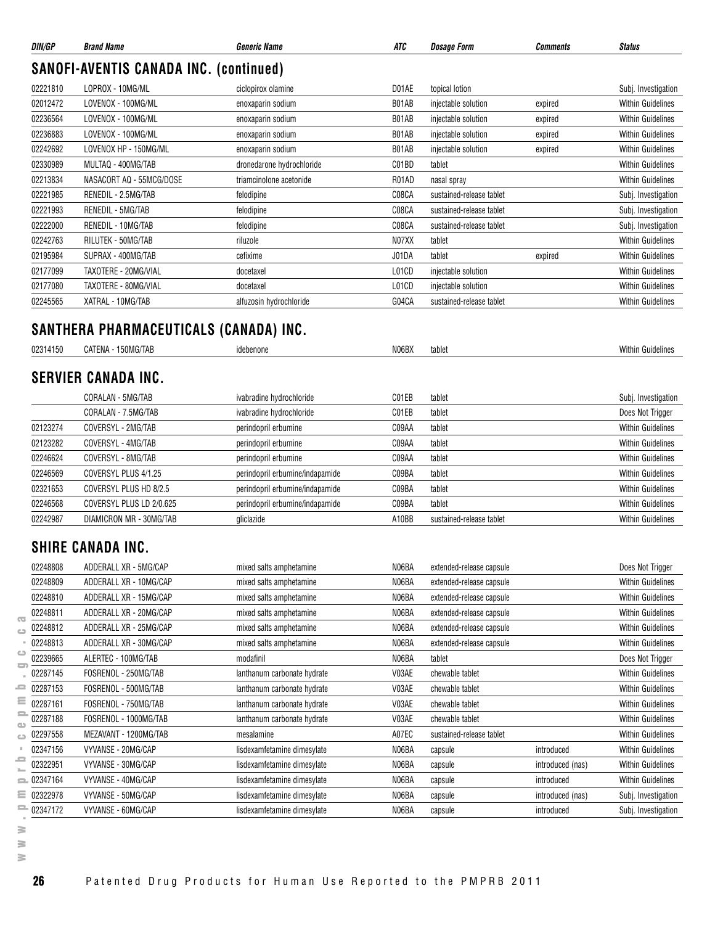| DIN/GP                                                                                       | <b>Brand Name</b>                             | <b>Generic Name</b>                                        | ATC            | <b>Dosage Form</b>       | <b>Comments</b>                | <b>Status</b>                                                                                                                                                                                                                                                                                                                                           |
|----------------------------------------------------------------------------------------------|-----------------------------------------------|------------------------------------------------------------|----------------|--------------------------|--------------------------------|---------------------------------------------------------------------------------------------------------------------------------------------------------------------------------------------------------------------------------------------------------------------------------------------------------------------------------------------------------|
|                                                                                              | <b>SANOFI-AVENTIS CANADA INC. (continued)</b> |                                                            |                |                          |                                |                                                                                                                                                                                                                                                                                                                                                         |
| 02221810                                                                                     | LOPROX - 10MG/ML                              | ciclopirox olamine                                         | D01AE          | topical lotion           |                                | Subj. Investigation                                                                                                                                                                                                                                                                                                                                     |
| 02012472                                                                                     | LOVENOX - 100MG/ML                            | enoxaparin sodium                                          | B01AB          | injectable solution      | expired                        | <b>Within Guidelines</b>                                                                                                                                                                                                                                                                                                                                |
| 02236564                                                                                     | LOVENOX - 100MG/ML                            | enoxaparin sodium                                          | B01AB          | injectable solution      | expired                        | <b>Within Guidelines</b>                                                                                                                                                                                                                                                                                                                                |
| 02236883                                                                                     | LOVENOX - 100MG/ML                            | enoxaparin sodium                                          | B01AB          | injectable solution      | expired                        | <b>Within Guidelines</b>                                                                                                                                                                                                                                                                                                                                |
| 02242692                                                                                     | LOVENOX HP - 150MG/ML                         | enoxaparin sodium                                          | B01AB          | injectable solution      | expired                        | <b>Within Guidelines</b>                                                                                                                                                                                                                                                                                                                                |
| 02330989                                                                                     | MULTAQ - 400MG/TAB                            | dronedarone hydrochloride                                  | C01BD          | tablet                   |                                | <b>Within Guidelines</b>                                                                                                                                                                                                                                                                                                                                |
| 02213834                                                                                     | NASACORT AQ - 55MCG/DOSE                      | triamcinolone acetonide                                    | R01AD          | nasal spray              |                                | <b>Within Guidelines</b>                                                                                                                                                                                                                                                                                                                                |
| 02221985                                                                                     | RENEDIL - 2.5MG/TAB                           | felodipine                                                 | C08CA          | sustained-release tablet |                                | Subj. Investigation                                                                                                                                                                                                                                                                                                                                     |
| 02221993                                                                                     | RENEDIL - 5MG/TAB                             | felodipine                                                 | C08CA          | sustained-release tablet |                                | Subj. Investigation                                                                                                                                                                                                                                                                                                                                     |
| 02222000                                                                                     | RENEDIL - 10MG/TAB                            | felodipine                                                 | C08CA          | sustained-release tablet |                                | Subj. Investigation                                                                                                                                                                                                                                                                                                                                     |
| 02242763                                                                                     | RILUTEK - 50MG/TAB                            | riluzole                                                   | N07XX          | tablet                   |                                | <b>Within Guidelines</b>                                                                                                                                                                                                                                                                                                                                |
| 02195984                                                                                     | SUPRAX - 400MG/TAB                            | cefixime                                                   | J01DA          | tablet                   | expired                        | <b>Within Guidelines</b>                                                                                                                                                                                                                                                                                                                                |
| 02177099                                                                                     | TAXOTERE - 20MG/VIAL                          | docetaxel                                                  | L01CD          | injectable solution      |                                | <b>Within Guidelines</b>                                                                                                                                                                                                                                                                                                                                |
| 02177080                                                                                     | TAXOTERE - 80MG/VIAL                          | docetaxel                                                  | L01CD          | injectable solution      |                                | <b>Within Guidelines</b>                                                                                                                                                                                                                                                                                                                                |
| 02245565                                                                                     | XATRAL - 10MG/TAB                             | alfuzosin hydrochloride                                    | G04CA          | sustained-release tablet |                                | <b>Within Guidelines</b>                                                                                                                                                                                                                                                                                                                                |
|                                                                                              | SANTHERA PHARMACEUTICALS (CANADA) INC.        |                                                            |                |                          |                                |                                                                                                                                                                                                                                                                                                                                                         |
| 02314150                                                                                     | CATENA - 150MG/TAB                            | idebenone                                                  | N06BX          | tablet                   |                                | <b>Within Guidelines</b>                                                                                                                                                                                                                                                                                                                                |
|                                                                                              | <b>SERVIER CANADA INC.</b>                    |                                                            |                |                          |                                |                                                                                                                                                                                                                                                                                                                                                         |
|                                                                                              | CORALAN - 5MG/TAB                             | ivabradine hydrochloride                                   | C01EB          | tablet                   |                                | Subj. Investigation                                                                                                                                                                                                                                                                                                                                     |
|                                                                                              | CORALAN - 7.5MG/TAB                           | ivabradine hydrochloride                                   | C01EB          | tablet                   |                                | Does Not Trigger                                                                                                                                                                                                                                                                                                                                        |
| 02123274                                                                                     | COVERSYL - 2MG/TAB                            | perindopril erbumine                                       | C09AA          | tablet                   |                                | <b>Within Guidelines</b>                                                                                                                                                                                                                                                                                                                                |
| 02123282                                                                                     | COVERSYL - 4MG/TAB                            | perindopril erbumine                                       | C09AA          | tablet                   |                                | <b>Within Guidelines</b>                                                                                                                                                                                                                                                                                                                                |
| 02246624                                                                                     | COVERSYL - 8MG/TAB                            | perindopril erbumine                                       | C09AA          | tablet                   |                                | <b>Within Guidelines</b>                                                                                                                                                                                                                                                                                                                                |
| 02246569                                                                                     | COVERSYL PLUS 4/1.25                          | perindopril erbumine/indapamide                            | C09BA          | tablet                   |                                | <b>Within Guidelines</b>                                                                                                                                                                                                                                                                                                                                |
| 02321653                                                                                     | COVERSYL PLUS HD 8/2.5                        | perindopril erbumine/indapamide                            | C09BA          | tablet                   |                                | <b>Within Guidelines</b>                                                                                                                                                                                                                                                                                                                                |
| 02246568                                                                                     | COVERSYL PLUS LD 2/0.625                      | perindopril erbumine/indapamide                            | C09BA          | tablet                   |                                | <b>Within Guidelines</b>                                                                                                                                                                                                                                                                                                                                |
| 02242987                                                                                     | DIAMICRON MR - 30MG/TAB                       | gliclazide                                                 | A10BB          | sustained-release tablet |                                | <b>Within Guidelines</b>                                                                                                                                                                                                                                                                                                                                |
|                                                                                              | <b>SHIRE CANADA INC.</b>                      |                                                            |                |                          |                                |                                                                                                                                                                                                                                                                                                                                                         |
| 02248808                                                                                     | ADDERALL XR - 5MG/CAP                         | mixed salts amphetamine                                    | N06BA          | extended-release capsule |                                | Does Not Trigger                                                                                                                                                                                                                                                                                                                                        |
| 02248809                                                                                     | ADDERALL XR - 10MG/CAP                        | mixed salts amphetamine                                    | N06BA          | extended-release capsule |                                | <b>Within Guidelines</b>                                                                                                                                                                                                                                                                                                                                |
|                                                                                              |                                               | mixed salts amphetamine                                    | N06BA          | extended-release capsule |                                | <b>Within Guidelines</b>                                                                                                                                                                                                                                                                                                                                |
|                                                                                              |                                               |                                                            |                |                          |                                |                                                                                                                                                                                                                                                                                                                                                         |
| 02248810                                                                                     | ADDERALL XR - 15MG/CAP                        |                                                            |                |                          |                                |                                                                                                                                                                                                                                                                                                                                                         |
| 02248811                                                                                     | ADDERALL XR - 20MG/CAP                        | mixed salts amphetamine                                    | N06BA          | extended-release capsule |                                |                                                                                                                                                                                                                                                                                                                                                         |
|                                                                                              | ADDERALL XR - 25MG/CAP                        | mixed salts amphetamine                                    | N06BA          | extended-release capsule |                                |                                                                                                                                                                                                                                                                                                                                                         |
|                                                                                              | ADDERALL XR - 30MG/CAP                        | mixed salts amphetamine                                    | N06BA          | extended-release capsule |                                |                                                                                                                                                                                                                                                                                                                                                         |
| 02248812<br>02248813<br>02239665                                                             | ALERTEC - 100MG/TAB                           | modafinil                                                  | N06BA          | tablet                   |                                |                                                                                                                                                                                                                                                                                                                                                         |
|                                                                                              | FOSRENOL - 250MG/TAB                          | lanthanum carbonate hydrate                                | V03AE          | chewable tablet          |                                |                                                                                                                                                                                                                                                                                                                                                         |
|                                                                                              | FOSRENOL - 500MG/TAB<br>FOSRENOL - 750MG/TAB  | lanthanum carbonate hydrate                                | V03AE          | chewable tablet          |                                |                                                                                                                                                                                                                                                                                                                                                         |
|                                                                                              |                                               | lanthanum carbonate hydrate                                | V03AE          | chewable tablet          |                                |                                                                                                                                                                                                                                                                                                                                                         |
|                                                                                              | FOSRENOL - 1000MG/TAB                         | lanthanum carbonate hydrate                                | V03AE          | chewable tablet          |                                |                                                                                                                                                                                                                                                                                                                                                         |
|                                                                                              | MEZAVANT - 1200MG/TAB                         | mesalamine                                                 | A07EC          | sustained-release tablet |                                |                                                                                                                                                                                                                                                                                                                                                         |
|                                                                                              | VYVANSE - 20MG/CAP                            | lisdexamfetamine dimesylate                                | N06BA          | capsule                  | introduced                     |                                                                                                                                                                                                                                                                                                                                                         |
|                                                                                              | VYVANSE - 30MG/CAP                            | lisdexamfetamine dimesylate                                | N06BA          | capsule                  | introduced (nas)               |                                                                                                                                                                                                                                                                                                                                                         |
| 02287145<br>02287153<br>02287161<br>02287188<br>02297558<br>02347156<br>02322951<br>02347164 | VYVANSE - 40MG/CAP                            | lisdexamfetamine dimesylate                                | N06BA          | capsule                  | introduced                     | Does Not Trigger                                                                                                                                                                                                                                                                                                                                        |
| 02322978<br>$= 02347172$                                                                     | VYVANSE - 50MG/CAP<br>VYVANSE - 60MG/CAP      | lisdexamfetamine dimesylate<br>lisdexamfetamine dimesylate | N06BA<br>N06BA | capsule<br>capsule       | introduced (nas)<br>introduced | <b>Within Guidelines</b><br><b>Within Guidelines</b><br><b>Within Guidelines</b><br><b>Within Guidelines</b><br><b>Within Guidelines</b><br><b>Within Guidelines</b><br>Within Guidelines<br><b>Within Guidelines</b><br><b>Within Guidelines</b><br><b>Within Guidelines</b><br><b>Within Guidelines</b><br>Subj. Investigation<br>Subj. Investigation |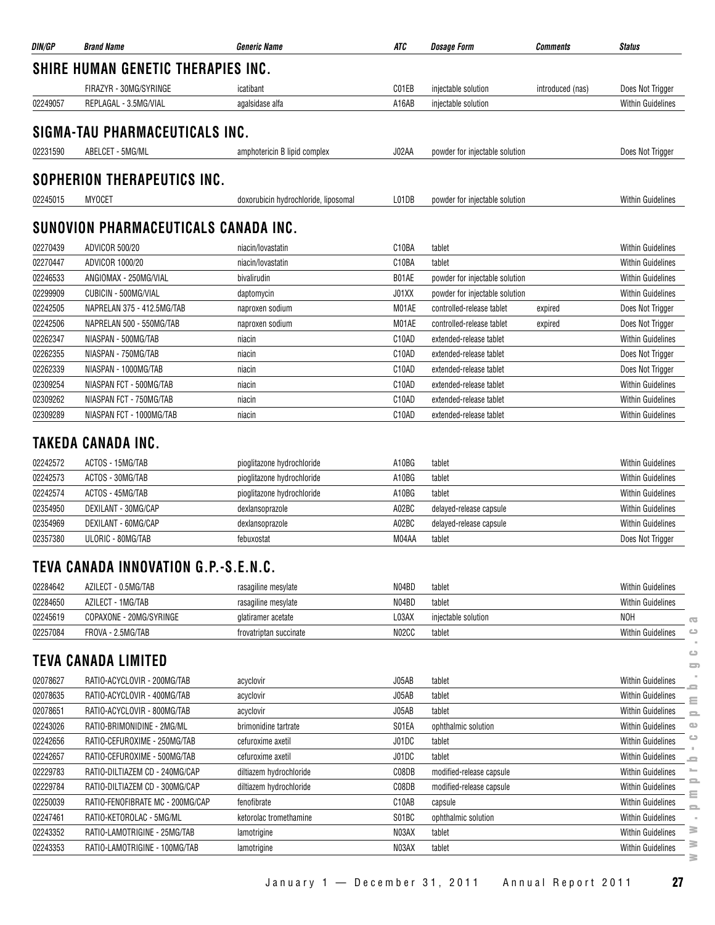| DIN/GP   | <b>Brand Name</b>                         | <b>Generic Name</b>                  | ATC                | <b>Dosage Form</b>             | <b>Comments</b>  | <b>Status</b>            |
|----------|-------------------------------------------|--------------------------------------|--------------------|--------------------------------|------------------|--------------------------|
|          | <b>SHIRE HUMAN GENETIC THERAPIES INC.</b> |                                      |                    |                                |                  |                          |
|          | FIRAZYR - 30MG/SYRINGE                    | icatibant                            | C01EB              | injectable solution            | introduced (nas) | Does Not Trigger         |
| 02249057 | REPLAGAL - 3.5MG/VIAL                     | agalsidase alfa                      | A16AB              | injectable solution            |                  | <b>Within Guidelines</b> |
|          | SIGMA-TAU PHARMACEUTICALS INC.            |                                      |                    |                                |                  |                          |
| 02231590 | ABELCET - 5MG/ML                          | amphotericin B lipid complex         | J02AA              | powder for injectable solution |                  | Does Not Trigger         |
|          | SOPHERION THERAPEUTICS INC.               |                                      |                    |                                |                  |                          |
| 02245015 | <b>MYOCET</b>                             | doxorubicin hydrochloride, liposomal | L01DB              | powder for injectable solution |                  | <b>Within Guidelines</b> |
|          | SUNOVION PHARMACEUTICALS CANADA INC.      |                                      |                    |                                |                  |                          |
| 02270439 | <b>ADVICOR 500/20</b>                     | niacin/lovastatin                    | C <sub>10</sub> BA | tablet                         |                  | <b>Within Guidelines</b> |
| 02270447 | <b>ADVICOR 1000/20</b>                    | niacin/lovastatin                    | C <sub>10</sub> BA | tablet                         |                  | <b>Within Guidelines</b> |
| 02246533 | ANGIOMAX - 250MG/VIAL                     | bivalirudin                          | B01AE              | powder for injectable solution |                  | <b>Within Guidelines</b> |
| 02299909 | CUBICIN - 500MG/VIAL                      | daptomycin                           | J01XX              | powder for injectable solution |                  | <b>Within Guidelines</b> |
| 02242505 | NAPRELAN 375 - 412.5MG/TAB                | naproxen sodium                      | M01AE              | controlled-release tablet      | expired          | Does Not Trigger         |
| 02242506 | NAPRELAN 500 - 550MG/TAB                  | naproxen sodium                      | M01AE              | controlled-release tablet      | expired          | Does Not Trigger         |
| 02262347 | NIASPAN - 500MG/TAB                       | niacin                               | C <sub>10</sub> AD | extended-release tablet        |                  | <b>Within Guidelines</b> |
| 02262355 | NIASPAN - 750MG/TAB                       | niacin                               | C <sub>10</sub> AD | extended-release tablet        |                  | Does Not Trigger         |
| 02262339 | NIASPAN - 1000MG/TAB                      | niacin                               | C <sub>10</sub> AD | extended-release tablet        |                  | Does Not Trigger         |
| 02309254 | NIASPAN FCT - 500MG/TAB                   | niacin                               | C <sub>10</sub> AD | extended-release tablet        |                  | <b>Within Guidelines</b> |
| 02309262 | NIASPAN FCT - 750MG/TAB                   | niacin                               | C <sub>10</sub> AD | extended-release tablet        |                  | <b>Within Guidelines</b> |
| 02309289 | NIASPAN FCT - 1000MG/TAB                  | niacin                               | C <sub>10</sub> AD | extended-release tablet        |                  | <b>Within Guidelines</b> |

### **TAKEDA CANADA INC.**

| 02242572 | ACTOS - 15MG/TAB    | pioglitazone hydrochloride | A10BG | tablet                  | <b>Within Guidelines</b> |
|----------|---------------------|----------------------------|-------|-------------------------|--------------------------|
| 02242573 | ACTOS - 30MG/TAB    | pioglitazone hydrochloride | A10BG | tablet                  | <b>Within Guidelines</b> |
| 02242574 | ACTOS - 45MG/TAB    | pioglitazone hydrochloride | A10BG | tablet                  | <b>Within Guidelines</b> |
| 02354950 | DEXILANT - 30MG/CAP | dexlansoprazole            | A02BC | delayed-release capsule | <b>Within Guidelines</b> |
| 02354969 | DEXILANT - 60MG/CAP | dexlansoprazole            | A02BC | delayed-release capsule | <b>Within Guidelines</b> |
| 02357380 | ULORIC - 80MG/TAB   | febuxostat                 | M04AA | tablet                  | Does Not Trigger         |

## **TEVA CANADA INNOVATION G.P.-S.E.N.C.**

| 02284642 | AZILECT - 0.5MG/TAB              | rasagiline mesylate     | N04BD              | tablet                   | <b>Within Guidelines</b>                                 |
|----------|----------------------------------|-------------------------|--------------------|--------------------------|----------------------------------------------------------|
| 02284650 | AZILECT - 1MG/TAB                | rasagiline mesylate     | N04BD              | tablet                   | <b>Within Guidelines</b>                                 |
| 02245619 | COPAXONE - 20MG/SYRINGE          | glatiramer acetate      | L03AX              | injectable solution      | <b>NOH</b><br>$\overline{\mathbf{G}}$                    |
| 02257084 | FROVA - 2.5MG/TAB                | frovatriptan succinate  | N <sub>02</sub> CC | tablet                   | <b>Within Guidelines</b><br>$\bigcirc$                   |
|          | <b>TEVA CANADA LIMITED</b>       |                         |                    |                          | $\bigcirc$<br>$\equiv$                                   |
| 02078627 | RATIO-ACYCLOVIR - 200MG/TAB      | acyclovir               | J05AB              | tablet                   | <b>Within Guidelines</b>                                 |
| 02078635 | RATIO-ACYCLOVIR - 400MG/TAB      | acyclovir               | J05AB              | tablet                   | <b>Within Guidelines</b><br>≘                            |
| 02078651 | RATIO-ACYCLOVIR - 800MG/TAB      | acyclovir               | J05AB              | tablet                   | <b>Within Guidelines</b><br>$\qquad \qquad \blacksquare$ |
| 02243026 | RATIO-BRIMONIDINE - 2MG/ML       | brimonidine tartrate    | S01EA              | ophthalmic solution      | <b>Within Guidelines</b><br>$\Box$                       |
| 02242656 | RATIO-CEFUROXIME - 250MG/TAB     | cefuroxime axetil       | J01DC              | tablet                   | <b>Within Guidelines</b>                                 |
| 02242657 | RATIO-CEFUROXIME - 500MG/TAB     | cefuroxime axetil       | J01DC              | tablet                   | <b>Within Guidelines</b><br><b>SC</b>                    |
| 02229783 | RATIO-DILTIAZEM CD - 240MG/CAP   | diltiazem hydrochloride | C08DB              | modified-release capsule | <b>Within Guidelines</b><br>∸                            |
| 02229784 | RATIO-DILTIAZEM CD - 300MG/CAP   | diltiazem hydrochloride | C08DB              | modified-release capsule | $\equiv$<br><b>Within Guidelines</b><br>Ξ                |
| 02250039 | RATIO-FENOFIBRATE MC - 200MG/CAP | fenofibrate             | C <sub>10</sub> AB | capsule                  | <b>Within Guidelines</b><br>$\qquad \qquad \blacksquare$ |
| 02247461 | RATIO-KETOROLAC - 5MG/ML         | ketorolac tromethamine  | S01BC              | ophthalmic solution      | <b>Within Guidelines</b>                                 |
| 02243352 | RATIO-LAMOTRIGINE - 25MG/TAB     | lamotrigine             | N03AX              | tablet                   | ≋<br><b>Within Guidelines</b>                            |
| 02243353 | RATIO-LAMOTRIGINE - 100MG/TAB    | lamotrigine             | NO3AX              | tablet                   | 3<br><b>Within Guidelines</b><br>≧                       |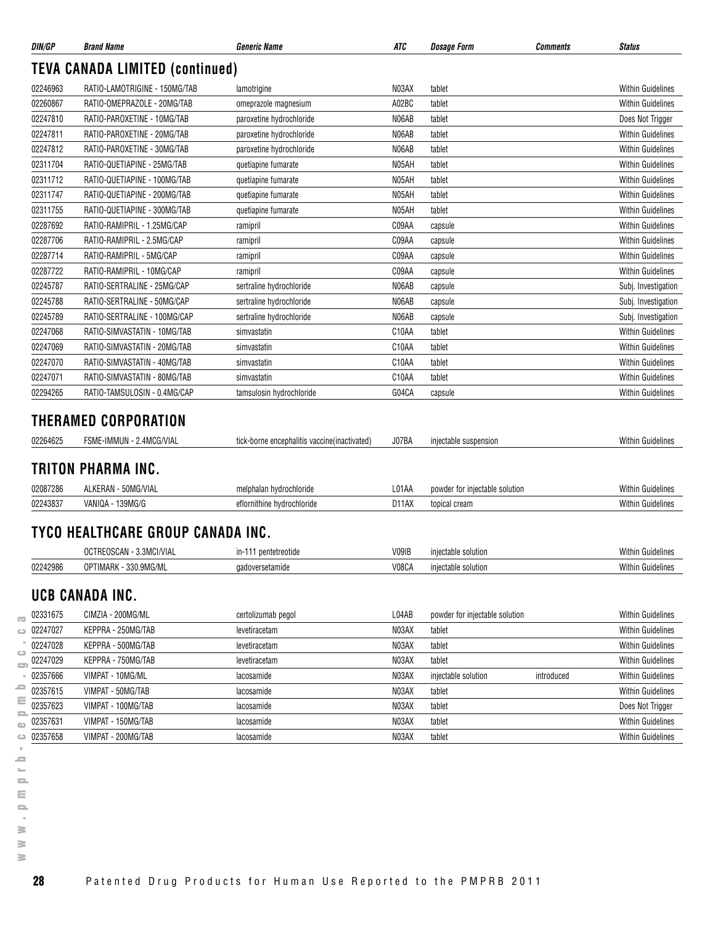| DIN/GP                                                               | <b>Brand Name</b>                                | <i><b>Generic Name</b></i>                    | ATC   | <b>Dosage Form</b>             | Comments   | <b>Status</b>                                                                          |
|----------------------------------------------------------------------|--------------------------------------------------|-----------------------------------------------|-------|--------------------------------|------------|----------------------------------------------------------------------------------------|
|                                                                      | <b>TEVA CANADA LIMITED (continued)</b>           |                                               |       |                                |            |                                                                                        |
| 02246963                                                             | RATIO-LAMOTRIGINE - 150MG/TAB                    | lamotrigine                                   | N03AX | tablet                         |            | <b>Within Guidelines</b>                                                               |
| 02260867                                                             | RATIO-OMEPRAZOLE - 20MG/TAB                      | omeprazole magnesium                          | A02BC | tablet                         |            | <b>Within Guidelines</b>                                                               |
| 02247810                                                             | RATIO-PAROXETINE - 10MG/TAB                      | paroxetine hydrochloride                      | N06AB | tablet                         |            | Does Not Trigger                                                                       |
| 02247811                                                             | RATIO-PAROXETINE - 20MG/TAB                      | paroxetine hydrochloride                      | N06AB | tablet                         |            | <b>Within Guidelines</b>                                                               |
| 02247812                                                             | RATIO-PAROXETINE - 30MG/TAB                      | paroxetine hydrochloride                      | N06AB | tablet                         |            | <b>Within Guidelines</b>                                                               |
| 02311704                                                             | RATIO-QUETIAPINE - 25MG/TAB                      | quetiapine fumarate                           | N05AH | tablet                         |            | <b>Within Guidelines</b>                                                               |
| 02311712                                                             | RATIO-QUETIAPINE - 100MG/TAB                     | quetiapine fumarate                           | N05AH | tablet                         |            | <b>Within Guidelines</b>                                                               |
| 02311747                                                             | RATIO-QUETIAPINE - 200MG/TAB                     | quetiapine fumarate                           | N05AH | tablet                         |            | <b>Within Guidelines</b>                                                               |
| 02311755                                                             | RATIO-QUETIAPINE - 300MG/TAB                     | quetiapine fumarate                           | N05AH | tablet                         |            | <b>Within Guidelines</b>                                                               |
| 02287692                                                             | RATIO-RAMIPRIL - 1.25MG/CAP                      | ramipril                                      | C09AA | capsule                        |            | <b>Within Guidelines</b>                                                               |
| 02287706                                                             | RATIO-RAMIPRIL - 2.5MG/CAP                       | ramipril                                      | C09AA | capsule                        |            | <b>Within Guidelines</b>                                                               |
| 02287714                                                             | RATIO-RAMIPRIL - 5MG/CAP                         | ramipril                                      | C09AA | capsule                        |            | <b>Within Guidelines</b>                                                               |
| 02287722                                                             | RATIO-RAMIPRIL - 10MG/CAP                        | ramipril                                      | C09AA | capsule                        |            | <b>Within Guidelines</b>                                                               |
| 02245787                                                             | RATIO-SERTRALINE - 25MG/CAP                      | sertraline hydrochloride                      | N06AB | capsule                        |            | Subj. Investigation                                                                    |
| 02245788                                                             | RATIO-SERTRALINE - 50MG/CAP                      | sertraline hydrochloride                      | N06AB | capsule                        |            | Subj. Investigation                                                                    |
| 02245789                                                             | RATIO-SERTRALINE - 100MG/CAP                     | sertraline hydrochloride                      | N06AB | capsule                        |            | Subj. Investigation                                                                    |
| 02247068                                                             | RATIO-SIMVASTATIN - 10MG/TAB                     | simvastatin                                   | C10AA | tablet                         |            | <b>Within Guidelines</b>                                                               |
| 02247069                                                             | RATIO-SIMVASTATIN - 20MG/TAB                     | simvastatin                                   | C10AA | tablet                         |            | <b>Within Guidelines</b>                                                               |
| 02247070                                                             | RATIO-SIMVASTATIN - 40MG/TAB                     | simvastatin                                   | C10AA | tablet                         |            | <b>Within Guidelines</b>                                                               |
| 02247071                                                             | RATIO-SIMVASTATIN - 80MG/TAB                     | simvastatin                                   | C10AA | tablet                         |            | <b>Within Guidelines</b>                                                               |
| 02294265                                                             | RATIO-TAMSULOSIN - 0.4MG/CAP                     | tamsulosin hydrochloride                      | G04CA | capsule                        |            | <b>Within Guidelines</b>                                                               |
| 02264625                                                             | THERAMED CORPORATION<br>FSME-IMMUN - 2.4MCG/VIAL | tick-borne encephalitis vaccine (inactivated) | J07BA | injectable suspension          |            | <b>Within Guidelines</b>                                                               |
|                                                                      | TRITON PHARMA INC.                               |                                               |       |                                |            |                                                                                        |
| 02087286                                                             | ALKERAN - 50MG/VIAL                              | melphalan hydrochloride                       | L01AA | powder for injectable solution |            | <b>Within Guidelines</b>                                                               |
| 02243837                                                             | VANIQA - 139MG/G                                 | eflornithine hydrochloride                    | D11AX | topical cream                  |            | <b>Within Guidelines</b>                                                               |
|                                                                      |                                                  |                                               |       |                                |            |                                                                                        |
|                                                                      | TYCO HEALTHCARE GROUP CANADA INC.                |                                               |       |                                |            |                                                                                        |
|                                                                      | OCTREOSCAN - 3.3MCI/VIAL                         | in-111 pentetreotide                          | V09IB | injectable solution            |            | Within Guidelines                                                                      |
| 02242986                                                             | OPTIMARK - 330.9MG/ML                            | gadoversetamide                               | V08CA | injectable solution            |            | <b>Within Guidelines</b>                                                               |
|                                                                      | UCB CANADA INC.                                  |                                               |       |                                |            |                                                                                        |
| 02331675                                                             | CIMZIA - 200MG/ML                                | certolizumab pegol                            | L04AB | powder for injectable solution |            | <b>Within Guidelines</b>                                                               |
| 02247027                                                             | KEPPRA - 250MG/TAB                               | levetiracetam                                 | N03AX | tablet                         |            | <b>Within Guidelines</b>                                                               |
|                                                                      | KEPPRA - 500MG/TAB                               | levetiracetam                                 | N03AX | tablet                         |            | <b>Within Guidelines</b>                                                               |
|                                                                      |                                                  | levetiracetam                                 | N03AX | tablet                         |            | <b>Within Guidelines</b>                                                               |
|                                                                      | KEPPRA - 750MG/TAB                               |                                               |       |                                | introduced |                                                                                        |
|                                                                      | VIMPAT - 10MG/ML                                 | lacosamide                                    | N03AX | injectable solution            |            |                                                                                        |
|                                                                      | VIMPAT - 50MG/TAB                                | lacosamide                                    | N03AX | tablet                         |            |                                                                                        |
|                                                                      | VIMPAT - 100MG/TAB                               | lacosamide                                    | N03AX | tablet                         |            |                                                                                        |
| 02247028<br>02247029<br>02357666<br>02357615<br>02357623<br>02357631 | VIMPAT - 150MG/TAB                               | lacosamide                                    | N03AX | tablet                         |            | Within Guidelines<br><b>Within Guidelines</b><br>Does Not Trigger<br>Within Guidelines |

**28** Patented Drug Products for Human Use Reported to the PMPRB 2011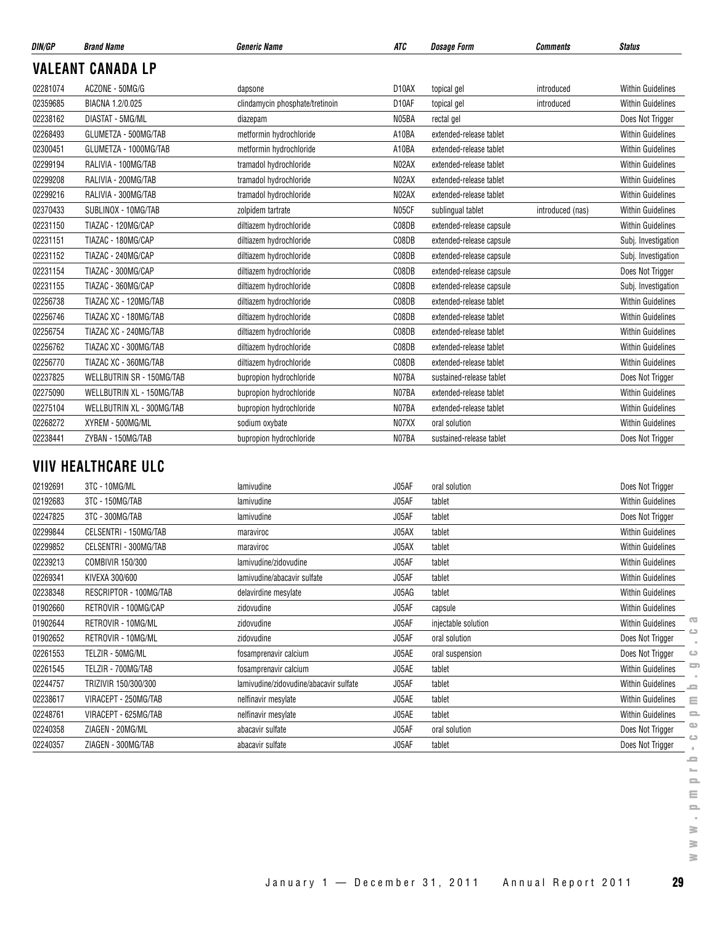| DIN/GP   | <b>Brand Name</b>                | <b>Generic Name</b>             | ATC                | <b>Dosage Form</b>       | <b>Comments</b>  | <b>Status</b>            |
|----------|----------------------------------|---------------------------------|--------------------|--------------------------|------------------|--------------------------|
|          | <b>VALEANT CANADA LP</b>         |                                 |                    |                          |                  |                          |
| 02281074 | ACZONE - 50MG/G                  | dapsone                         | D <sub>10</sub> AX | topical gel              | introduced       | <b>Within Guidelines</b> |
| 02359685 | BIACNA 1.2/0.025                 | clindamycin phosphate/tretinoin | D <sub>10</sub> AF | topical gel              | introduced       | <b>Within Guidelines</b> |
| 02238162 | DIASTAT - 5MG/ML                 | diazepam                        | N05BA              | rectal gel               |                  | Does Not Trigger         |
| 02268493 | GLUMETZA - 500MG/TAB             | metformin hydrochloride         | A10BA              | extended-release tablet  |                  | <b>Within Guidelines</b> |
| 02300451 | GLUMETZA - 1000MG/TAB            | metformin hydrochloride         | A10BA              | extended-release tablet  |                  | <b>Within Guidelines</b> |
| 02299194 | RALIVIA - 100MG/TAB              | tramadol hydrochloride          | N <sub>02</sub> AX | extended-release tablet  |                  | <b>Within Guidelines</b> |
| 02299208 | RALIVIA - 200MG/TAB              | tramadol hydrochloride          | N02AX              | extended-release tablet  |                  | <b>Within Guidelines</b> |
| 02299216 | RALIVIA - 300MG/TAB              | tramadol hydrochloride          | N02AX              | extended-release tablet  |                  | <b>Within Guidelines</b> |
| 02370433 | SUBLINOX - 10MG/TAB              | zolpidem tartrate               | N05CF              | sublingual tablet        | introduced (nas) | <b>Within Guidelines</b> |
| 02231150 | TIAZAC - 120MG/CAP               | diltiazem hydrochloride         | C08DB              | extended-release capsule |                  | <b>Within Guidelines</b> |
| 02231151 | TIAZAC - 180MG/CAP               | diltiazem hydrochloride         | C08DB              | extended-release capsule |                  | Subj. Investigation      |
| 02231152 | TIAZAC - 240MG/CAP               | diltiazem hydrochloride         | C08DB              | extended-release capsule |                  | Subj. Investigation      |
| 02231154 | TIAZAC - 300MG/CAP               | diltiazem hydrochloride         | C08DB              | extended-release capsule |                  | Does Not Trigger         |
| 02231155 | TIAZAC - 360MG/CAP               | diltiazem hydrochloride         | C08DB              | extended-release capsule |                  | Subj. Investigation      |
| 02256738 | TIAZAC XC - 120MG/TAB            | diltiazem hydrochloride         | C08DB              | extended-release tablet  |                  | <b>Within Guidelines</b> |
| 02256746 | TIAZAC XC - 180MG/TAB            | diltiazem hydrochloride         | C08DB              | extended-release tablet  |                  | <b>Within Guidelines</b> |
| 02256754 | TIAZAC XC - 240MG/TAB            | diltiazem hydrochloride         | C08DB              | extended-release tablet  |                  | <b>Within Guidelines</b> |
| 02256762 | TIAZAC XC - 300MG/TAB            | diltiazem hydrochloride         | C08DB              | extended-release tablet  |                  | <b>Within Guidelines</b> |
| 02256770 | TIAZAC XC - 360MG/TAB            | diltiazem hydrochloride         | C08DB              | extended-release tablet  |                  | <b>Within Guidelines</b> |
| 02237825 | <b>WELLBUTRIN SR - 150MG/TAB</b> | bupropion hydrochloride         | N07BA              | sustained-release tablet |                  | Does Not Trigger         |
| 02275090 | WELLBUTRIN XL - 150MG/TAB        | bupropion hydrochloride         | N07BA              | extended-release tablet  |                  | <b>Within Guidelines</b> |
| 02275104 | WELLBUTRIN XL - 300MG/TAB        | bupropion hydrochloride         | N07BA              | extended-release tablet  |                  | <b>Within Guidelines</b> |
| 02268272 | XYREM - 500MG/ML                 | sodium oxybate                  | N07XX              | oral solution            |                  | <b>Within Guidelines</b> |
| 02238441 | ZYBAN - 150MG/TAB                | bupropion hydrochloride         | N07BA              | sustained-release tablet |                  | Does Not Trigger         |

## **VIIV HEALTHCARE ULC**

| 02192691 | 3TC - 10MG/ML          | lamivudine                             | J05AF | oral solution       | Does Not Trigger                       |          |
|----------|------------------------|----------------------------------------|-------|---------------------|----------------------------------------|----------|
| 02192683 | 3TC - 150MG/TAB        | lamivudine                             | J05AF | tablet              | <b>Within Guidelines</b>               |          |
| 02247825 | 3TC - 300MG/TAB        | lamivudine                             | J05AF | tablet              | Does Not Trigger                       |          |
| 02299844 | CELSENTRI - 150MG/TAB  | maraviroc                              | J05AX | tablet              | <b>Within Guidelines</b>               |          |
| 02299852 | CELSENTRI - 300MG/TAB  | maraviroc                              | J05AX | tablet              | <b>Within Guidelines</b>               |          |
| 02239213 | COMBIVIR 150/300       | lamivudine/zidovudine                  | J05AF | tablet              | <b>Within Guidelines</b>               |          |
| 02269341 | KIVEXA 300/600         | lamivudine/abacavir sulfate            | J05AF | tablet              | <b>Within Guidelines</b>               |          |
| 02238348 | RESCRIPTOR - 100MG/TAB | delavirdine mesylate                   | J05AG | tablet              | <b>Within Guidelines</b>               |          |
| 01902660 | RETROVIR - 100MG/CAP   | zidovudine                             | J05AF | capsule             | <b>Within Guidelines</b>               |          |
| 01902644 | RETROVIR - 10MG/ML     | zidovudine                             | J05AF | injectable solution | $\sqrt{2}$<br><b>Within Guidelines</b> |          |
| 01902652 | RETROVIR - 10MG/ML     | zidovudine                             | J05AF | oral solution       | Does Not Trigger                       |          |
| 02261553 | TELZIR - 50MG/ML       | fosamprenavir calcium                  | J05AE | oral suspension     | Does Not Trigger<br>ت                  |          |
| 02261545 | TELZIR - 700MG/TAB     | fosamprenavir calcium                  | J05AE | tablet              | <b>Within Guidelines</b>               | 5        |
| 02244757 | TRIZIVIR 150/300/300   | lamivudine/zidovudine/abacavir sulfate | J05AF | tablet              | <b>Within Guidelines</b><br><b>SC</b>  |          |
| 02238617 | VIRACEPT - 250MG/TAB   | nelfinavir mesylate                    | J05AE | tablet              | <b>Within Guidelines</b><br>Ξ          |          |
| 02248761 | VIRACEPT - 625MG/TAB   | nelfinavir mesylate                    | J05AE | tablet              | <b>Within Guidelines</b>               | $\equiv$ |
| 02240358 | ZIAGEN - 20MG/ML       | abacavir sulfate                       | J05AF | oral solution       | $\mathbf{a}$<br>Does Not Trigger       |          |
| 02240357 | ZIAGEN - 300MG/TAB     | abacavir sulfate                       | J05AF | tablet              | $\circ$<br>Does Not Trigger            |          |